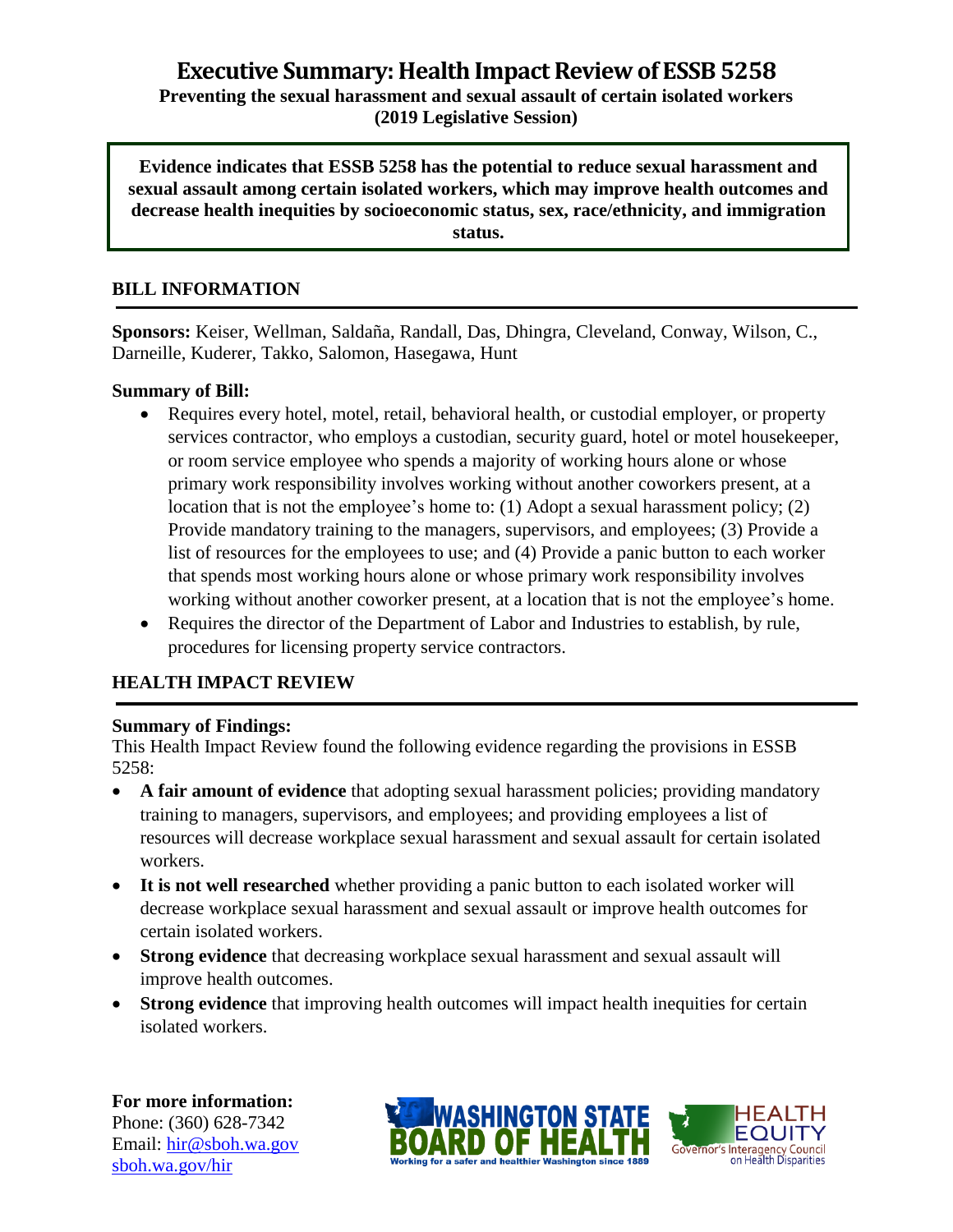## **Executive Summary: Health Impact Review of ESSB5258 Preventing the sexual harassment and sexual assault of certain isolated workers (2019 Legislative Session)**

**Evidence indicates that ESSB 5258 has the potential to reduce sexual harassment and sexual assault among certain isolated workers, which may improve health outcomes and decrease health inequities by socioeconomic status, sex, race/ethnicity, and immigration status.**

#### **BILL INFORMATION**

**Sponsors:** Keiser, Wellman, Saldaña, Randall, Das, Dhingra, Cleveland, Conway, Wilson, C., Darneille, Kuderer, Takko, Salomon, Hasegawa, Hunt

#### **Summary of Bill:**

- Requires every hotel, motel, retail, behavioral health, or custodial employer, or property services contractor, who employs a custodian, security guard, hotel or motel housekeeper, or room service employee who spends a majority of working hours alone or whose primary work responsibility involves working without another coworkers present, at a location that is not the employee's home to: (1) Adopt a sexual harassment policy; (2) Provide mandatory training to the managers, supervisors, and employees; (3) Provide a list of resources for the employees to use; and (4) Provide a panic button to each worker that spends most working hours alone or whose primary work responsibility involves working without another coworker present, at a location that is not the employee's home.
- Requires the director of the Department of Labor and Industries to establish, by rule, procedures for licensing property service contractors.

#### **HEALTH IMPACT REVIEW**

#### **Summary of Findings:**

This Health Impact Review found the following evidence regarding the provisions in ESSB 5258:

- **A fair amount of evidence** that adopting sexual harassment policies; providing mandatory training to managers, supervisors, and employees; and providing employees a list of resources will decrease workplace sexual harassment and sexual assault for certain isolated workers.
- **It is not well researched** whether providing a panic button to each isolated worker will decrease workplace sexual harassment and sexual assault or improve health outcomes for certain isolated workers.
- **Strong evidence** that decreasing workplace sexual harassment and sexual assault will improve health outcomes.
- **Strong evidence** that improving health outcomes will impact health inequities for certain isolated workers.

**For more information:** Phone: (360) 628-7342 Email: [hir@sboh.wa.gov](mailto:hir@sboh.wa.gov) [sboh.wa.gov/](http://sboh.wa.gov/)hir



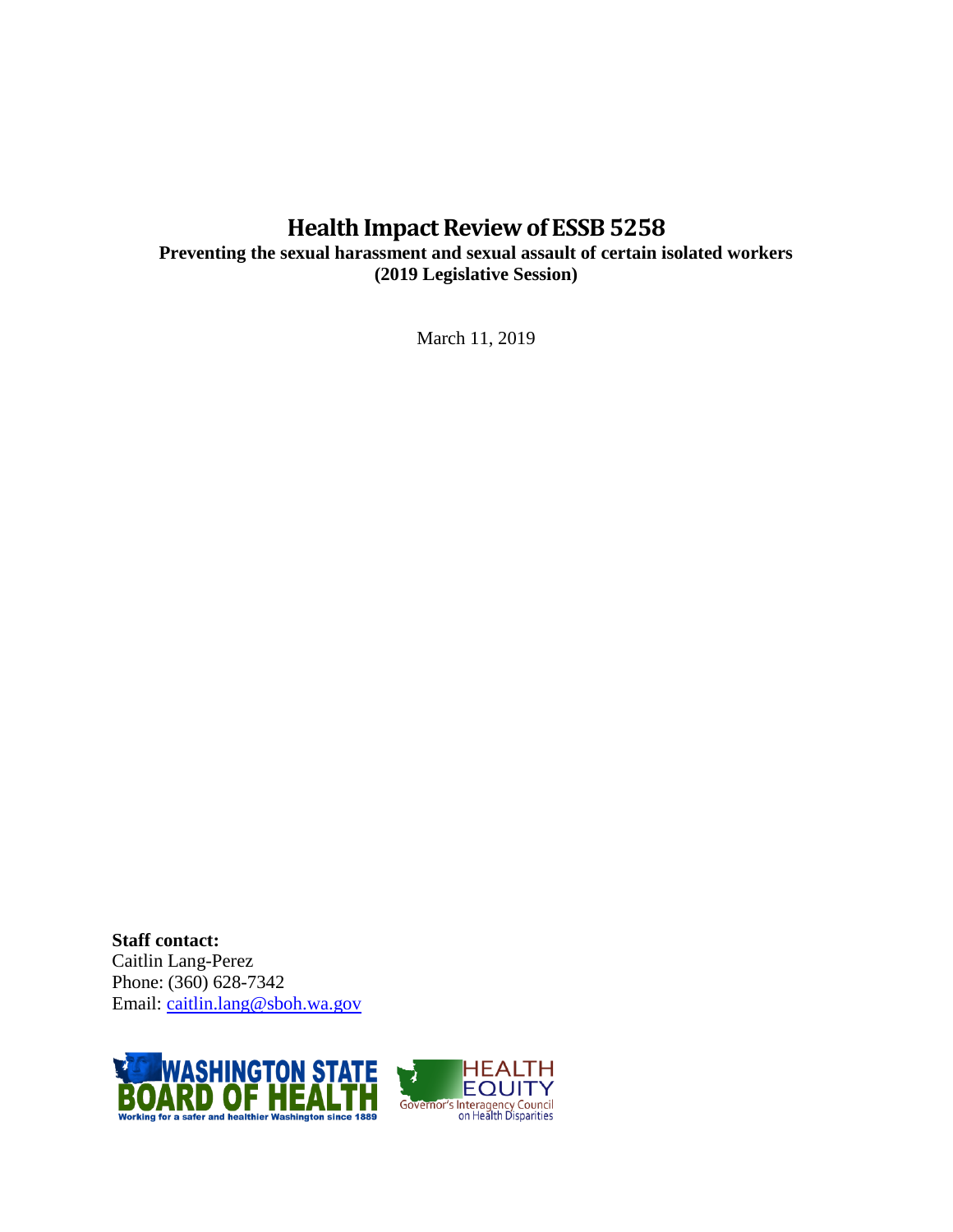# **Health Impact Review of ESSB5258**

**Preventing the sexual harassment and sexual assault of certain isolated workers (2019 Legislative Session)**

March 11, 2019

**Staff contact:** Caitlin Lang-Perez Phone: (360) 628-7342 Email: [caitlin.lang@sboh.wa.gov](mailto:caitlin.lang@sboh.wa.gov)

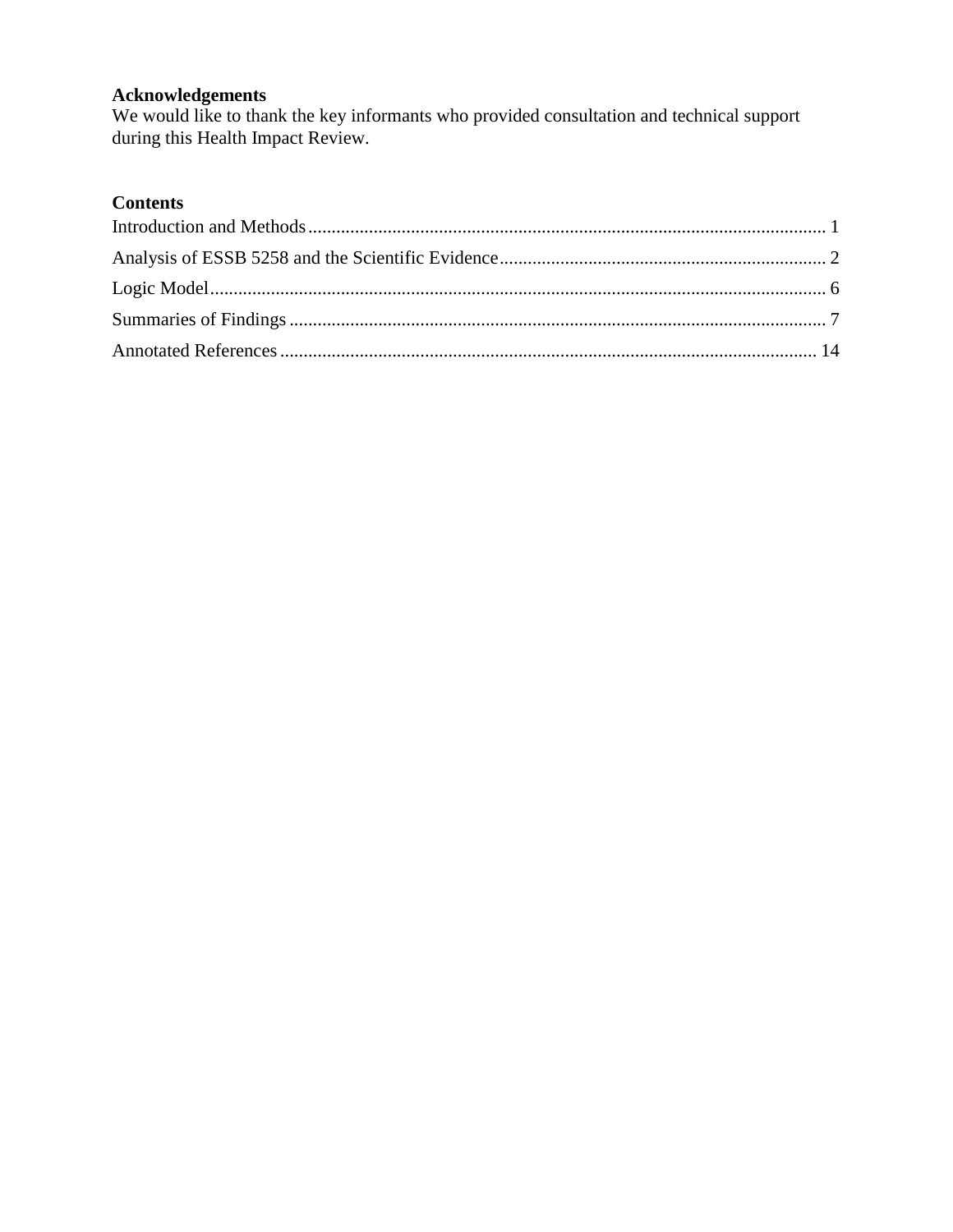# **Acknowledgements**

We would like to thank the key informants who provided consultation and technical support during this Health Impact Review.

# **Contents**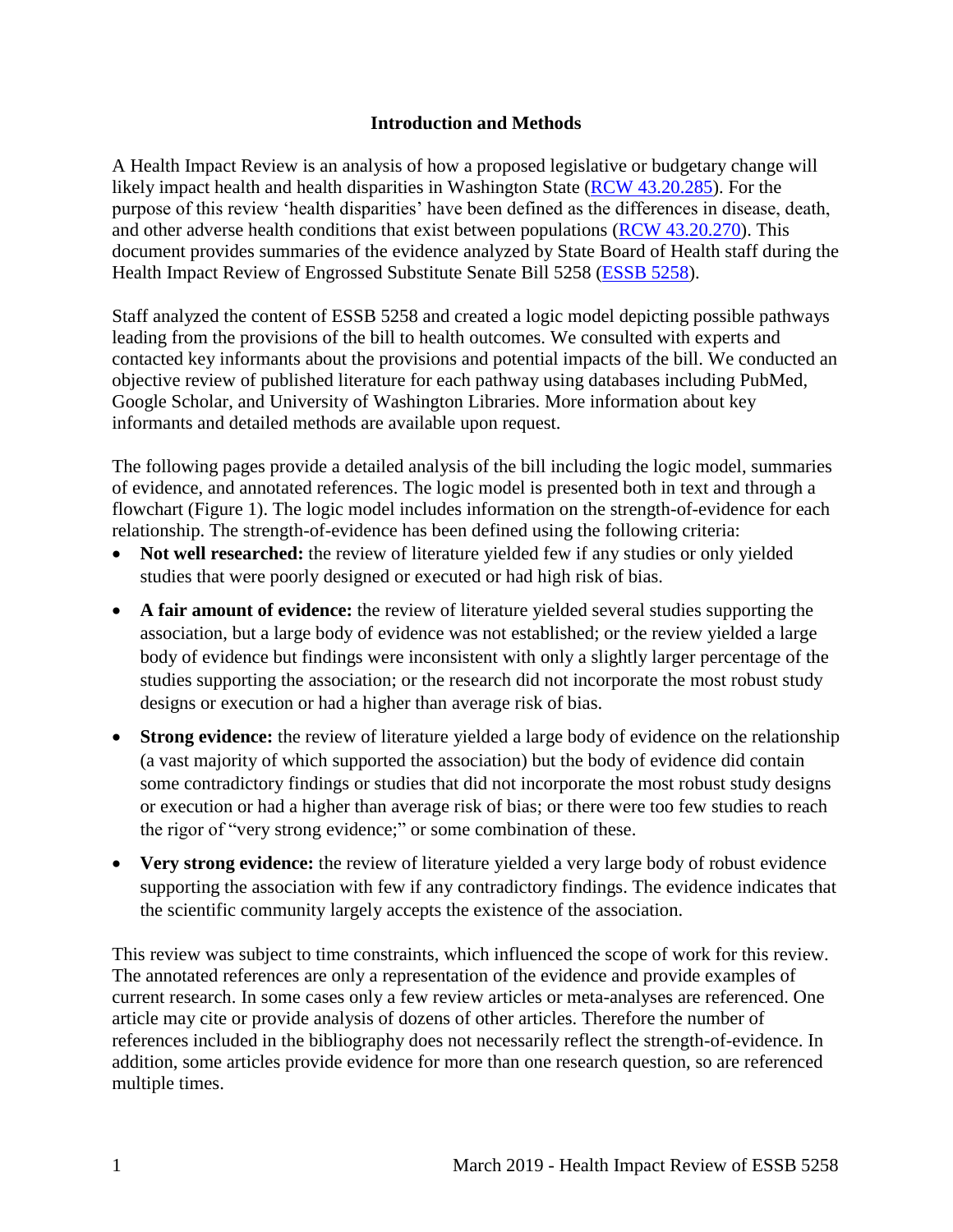#### **Introduction and Methods**

<span id="page-3-0"></span>A Health Impact Review is an analysis of how a proposed legislative or budgetary change will likely impact health and health disparities in Washington State [\(RCW 43.20.285\)](http://apps.leg.wa.gov/rcw/default.aspx?cite=43.20.285). For the purpose of this review 'health disparities' have been defined as the differences in disease, death, and other adverse health conditions that exist between populations [\(RCW 43.20.270\)](http://apps.leg.wa.gov/rcw/default.aspx?cite=43.20.270). This document provides summaries of the evidence analyzed by State Board of Health staff during the Health Impact Review of Engrossed Substitute Senate Bill 5258 [\(ESSB 5258\)](https://app.leg.wa.gov/billsummary?BillNumber=5258&Year=2019&Initiative=false).

Staff analyzed the content of ESSB 5258 and created a logic model depicting possible pathways leading from the provisions of the bill to health outcomes. We consulted with experts and contacted key informants about the provisions and potential impacts of the bill. We conducted an objective review of published literature for each pathway using databases including PubMed, Google Scholar, and University of Washington Libraries. More information about key informants and detailed methods are available upon request.

The following pages provide a detailed analysis of the bill including the logic model, summaries of evidence, and annotated references. The logic model is presented both in text and through a flowchart (Figure 1). The logic model includes information on the strength-of-evidence for each relationship. The strength-of-evidence has been defined using the following criteria:

- Not well researched: the review of literature yielded few if any studies or only yielded studies that were poorly designed or executed or had high risk of bias.
- **A fair amount of evidence:** the review of literature yielded several studies supporting the association, but a large body of evidence was not established; or the review yielded a large body of evidence but findings were inconsistent with only a slightly larger percentage of the studies supporting the association; or the research did not incorporate the most robust study designs or execution or had a higher than average risk of bias.
- **Strong evidence:** the review of literature yielded a large body of evidence on the relationship (a vast majority of which supported the association) but the body of evidence did contain some contradictory findings or studies that did not incorporate the most robust study designs or execution or had a higher than average risk of bias; or there were too few studies to reach the rigor of "very strong evidence;" or some combination of these.
- Very strong evidence: the review of literature yielded a very large body of robust evidence supporting the association with few if any contradictory findings. The evidence indicates that the scientific community largely accepts the existence of the association.

This review was subject to time constraints, which influenced the scope of work for this review. The annotated references are only a representation of the evidence and provide examples of current research. In some cases only a few review articles or meta-analyses are referenced. One article may cite or provide analysis of dozens of other articles. Therefore the number of references included in the bibliography does not necessarily reflect the strength-of-evidence. In addition, some articles provide evidence for more than one research question, so are referenced multiple times.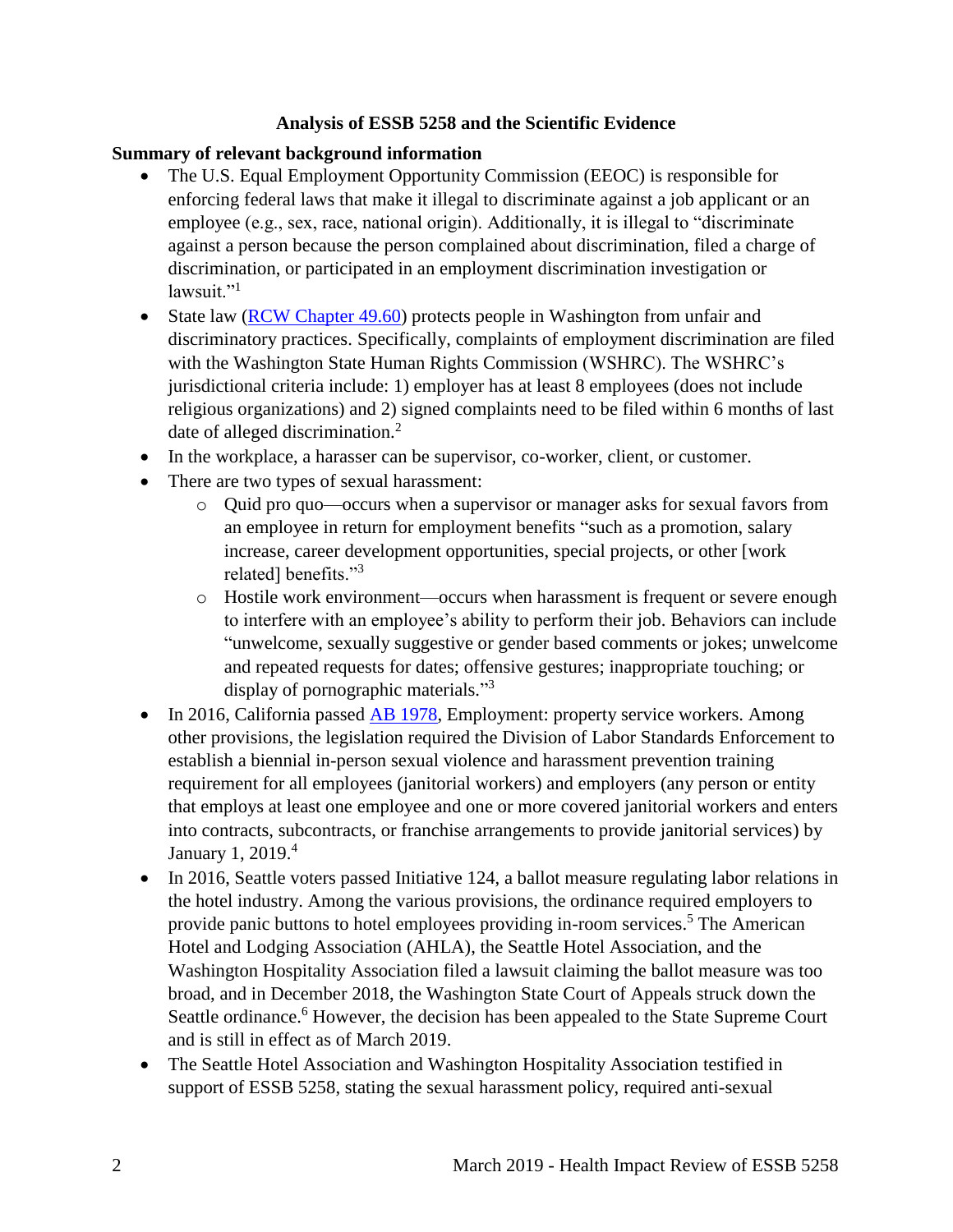## **Analysis of ESSB 5258 and the Scientific Evidence**

## <span id="page-4-0"></span>**Summary of relevant background information**

- The U.S. Equal Employment Opportunity Commission (EEOC) is responsible for enforcing federal laws that make it illegal to discriminate against a job applicant or an employee (e.g., sex, race, national origin). Additionally, it is illegal to "discriminate against a person because the person complained about discrimination, filed a charge of discrimination, or participated in an employment discrimination investigation or lawsuit."<sup>1</sup>
- State law [\(RCW Chapter 49.60\)](https://apps.leg.wa.gov/rcw/default.aspx?cite=49.60&full=true) protects people in Washington from unfair and discriminatory practices. Specifically, complaints of employment discrimination are filed with the Washington State Human Rights Commission (WSHRC). The WSHRC's jurisdictional criteria include: 1) employer has at least 8 employees (does not include religious organizations) and 2) signed complaints need to be filed within 6 months of last date of alleged discrimination.<sup>2</sup>
- In the workplace, a harasser can be supervisor, co-worker, client, or customer.
- There are two types of sexual harassment:
	- o Quid pro quo—occurs when a supervisor or manager asks for sexual favors from an employee in return for employment benefits "such as a promotion, salary increase, career development opportunities, special projects, or other [work related] benefits."<sup>3</sup>
	- o Hostile work environment—occurs when harassment is frequent or severe enough to interfere with an employee's ability to perform their job. Behaviors can include "unwelcome, sexually suggestive or gender based comments or jokes; unwelcome and repeated requests for dates; offensive gestures; inappropriate touching; or display of pornographic materials."<sup>3</sup>
- In 2016, California passed [AB 1978,](http://leginfo.legislature.ca.gov/faces/billTextClient.xhtml?bill_id=201520160AB1978) Employment: property service workers. Among other provisions, the legislation required the Division of Labor Standards Enforcement to establish a biennial in-person sexual violence and harassment prevention training requirement for all employees (janitorial workers) and employers (any person or entity that employs at least one employee and one or more covered janitorial workers and enters into contracts, subcontracts, or franchise arrangements to provide janitorial services) by January 1, 2019.<sup>4</sup>
- In 2016, Seattle voters passed Initiative 124, a ballot measure regulating labor relations in the hotel industry. Among the various provisions, the ordinance required employers to provide panic buttons to hotel employees providing in-room services.<sup>5</sup> The American Hotel and Lodging Association (AHLA), the Seattle Hotel Association, and the Washington Hospitality Association filed a lawsuit claiming the ballot measure was too broad, and in December 2018, the Washington State Court of Appeals struck down the Seattle ordinance.<sup>6</sup> However, the decision has been appealed to the State Supreme Court and is still in effect as of March 2019.
- The Seattle Hotel Association and Washington Hospitality Association testified in support of ESSB 5258, stating the sexual harassment policy, required anti-sexual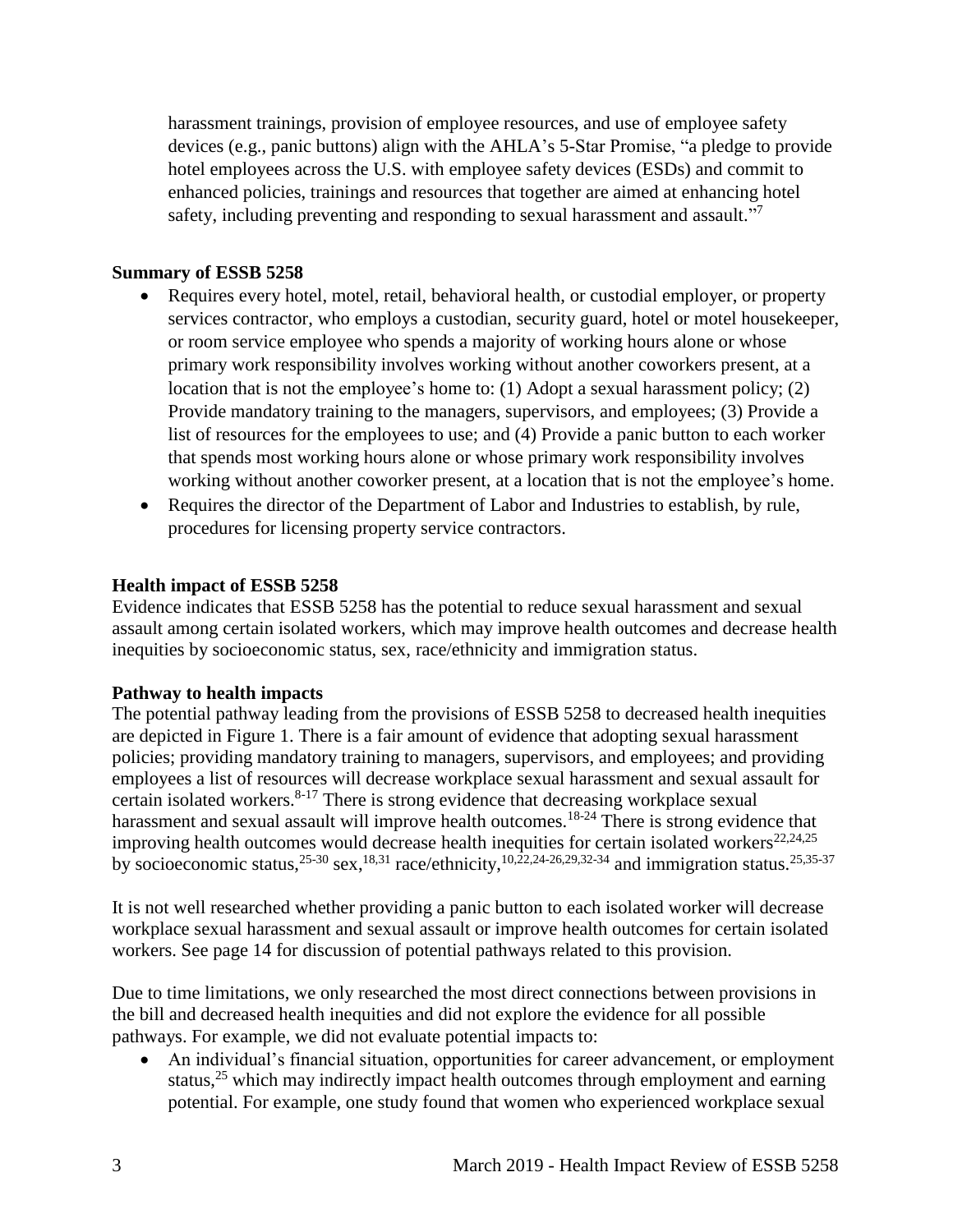harassment trainings, provision of employee resources, and use of employee safety devices (e.g., panic buttons) align with the AHLA's 5-Star Promise, "a pledge to provide hotel employees across the U.S. with employee safety devices (ESDs) and commit to enhanced policies, trainings and resources that together are aimed at enhancing hotel safety, including preventing and responding to sexual harassment and assault."<sup>7</sup>

#### **Summary of ESSB 5258**

- Requires every hotel, motel, retail, behavioral health, or custodial employer, or property services contractor, who employs a custodian, security guard, hotel or motel housekeeper, or room service employee who spends a majority of working hours alone or whose primary work responsibility involves working without another coworkers present, at a location that is not the employee's home to: (1) Adopt a sexual harassment policy; (2) Provide mandatory training to the managers, supervisors, and employees; (3) Provide a list of resources for the employees to use; and (4) Provide a panic button to each worker that spends most working hours alone or whose primary work responsibility involves working without another coworker present, at a location that is not the employee's home.
- Requires the director of the Department of Labor and Industries to establish, by rule, procedures for licensing property service contractors.

#### **Health impact of ESSB 5258**

Evidence indicates that ESSB 5258 has the potential to reduce sexual harassment and sexual assault among certain isolated workers, which may improve health outcomes and decrease health inequities by socioeconomic status, sex, race/ethnicity and immigration status.

#### **Pathway to health impacts**

The potential pathway leading from the provisions of ESSB 5258 to decreased health inequities are depicted in Figure 1. There is a fair amount of evidence that adopting sexual harassment policies; providing mandatory training to managers, supervisors, and employees; and providing employees a list of resources will decrease workplace sexual harassment and sexual assault for certain isolated workers. $8-17$  There is strong evidence that decreasing workplace sexual harassment and sexual assault will improve health outcomes.<sup>18-24</sup> There is strong evidence that improving health outcomes would decrease health inequities for certain isolated workers<sup>[22](#page-26-0)[,24](#page-28-0)[,25](#page-29-0)</sup> by socioeconomic status,  $25-30$  sex,  $18,31$  $18,31$  race/ethnicity,  $10,22,24-26,29,32-34$  $10,22,24-26,29,32-34$  $10,22,24-26,29,32-34$  $10,22,24-26,29,32-34$  $10,22,24-26,29,32-34$  and immigration status.  $25,35-37$  $25,35-37$ 

It is not well researched whether providing a panic button to each isolated worker will decrease workplace sexual harassment and sexual assault or improve health outcomes for certain isolated workers. See page 14 for discussion of potential pathways related to this provision.

Due to time limitations, we only researched the most direct connections between provisions in the bill and decreased health inequities and did not explore the evidence for all possible pathways. For example, we did not evaluate potential impacts to:

 An individual's financial situation, opportunities for career advancement, or employment status, $^{25}$  which may indirectly impact health outcomes through employment and earning potential. For example, one study found that women who experienced workplace sexual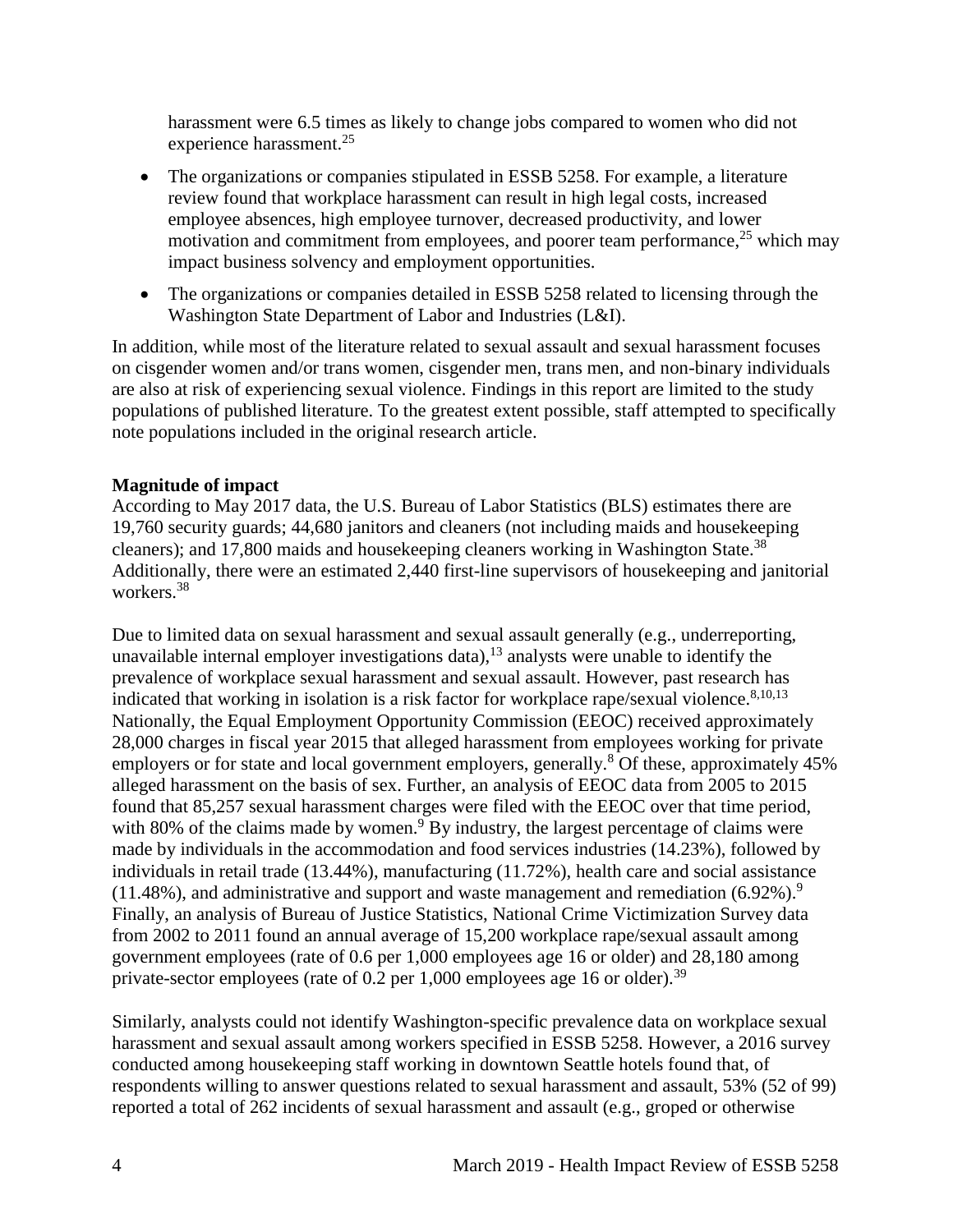harassment were 6.5 times as likely to change jobs compared to women who did not experience harassment.<sup>25</sup>

- The organizations or companies stipulated in ESSB 5258. For example, a literature review found that workplace harassment can result in high legal costs, increased employee absences, high employee turnover, decreased productivity, and lower motivation and commitment from employees, and poorer team performance,  $25$  which may impact business solvency and employment opportunities.
- The organizations or companies detailed in ESSB 5258 related to licensing through the Washington State Department of Labor and Industries (L&I).

In addition, while most of the literature related to sexual assault and sexual harassment focuses on cisgender women and/or trans women, cisgender men, trans men, and non-binary individuals are also at risk of experiencing sexual violence. Findings in this report are limited to the study populations of published literature. To the greatest extent possible, staff attempted to specifically note populations included in the original research article.

## **Magnitude of impact**

According to May 2017 data, the U.S. Bureau of Labor Statistics (BLS) estimates there are 19,760 security guards; 44,680 janitors and cleaners (not including maids and housekeeping cleaners); and 17,800 maids and housekeeping cleaners working in Washington State.<sup>38</sup> Additionally, there were an estimated 2,440 first-line supervisors of housekeeping and janitorial workers.<sup>38</sup>

Due to limited data on sexual harassment and sexual assault generally (e.g., underreporting, unavailable internal employer investigations data),<sup>13</sup> analysts were unable to identify the prevalence of workplace sexual harassment and sexual assault. However, past research has indicated that working in isolation is a risk factor for workplace rape/sexual violence.<sup>[8](#page-18-0)[,10](#page-20-0)[,13](#page-21-0)</sup> Nationally, the Equal Employment Opportunity Commission (EEOC) received approximately 28,000 charges in fiscal year 2015 that alleged harassment from employees working for private employers or for state and local government employers, generally.<sup>8</sup> Of these, approximately 45% alleged harassment on the basis of sex. Further, an analysis of EEOC data from 2005 to 2015 found that 85,257 sexual harassment charges were filed with the EEOC over that time period, with 80% of the claims made by women.<sup>9</sup> By industry, the largest percentage of claims were made by individuals in the accommodation and food services industries (14.23%), followed by individuals in retail trade (13.44%), manufacturing (11.72%), health care and social assistance  $(11.48\%)$ , and administrative and support and waste management and remediation  $(6.92\%)$ . Finally, an analysis of Bureau of Justice Statistics, National Crime Victimization Survey data from 2002 to 2011 found an annual average of 15,200 workplace rape/sexual assault among government employees (rate of 0.6 per 1,000 employees age 16 or older) and 28,180 among private-sector employees (rate of 0.2 per  $1,000$  employees age 16 or older).<sup>39</sup>

Similarly, analysts could not identify Washington-specific prevalence data on workplace sexual harassment and sexual assault among workers specified in ESSB 5258. However, a 2016 survey conducted among housekeeping staff working in downtown Seattle hotels found that, of respondents willing to answer questions related to sexual harassment and assault, 53% (52 of 99) reported a total of 262 incidents of sexual harassment and assault (e.g., groped or otherwise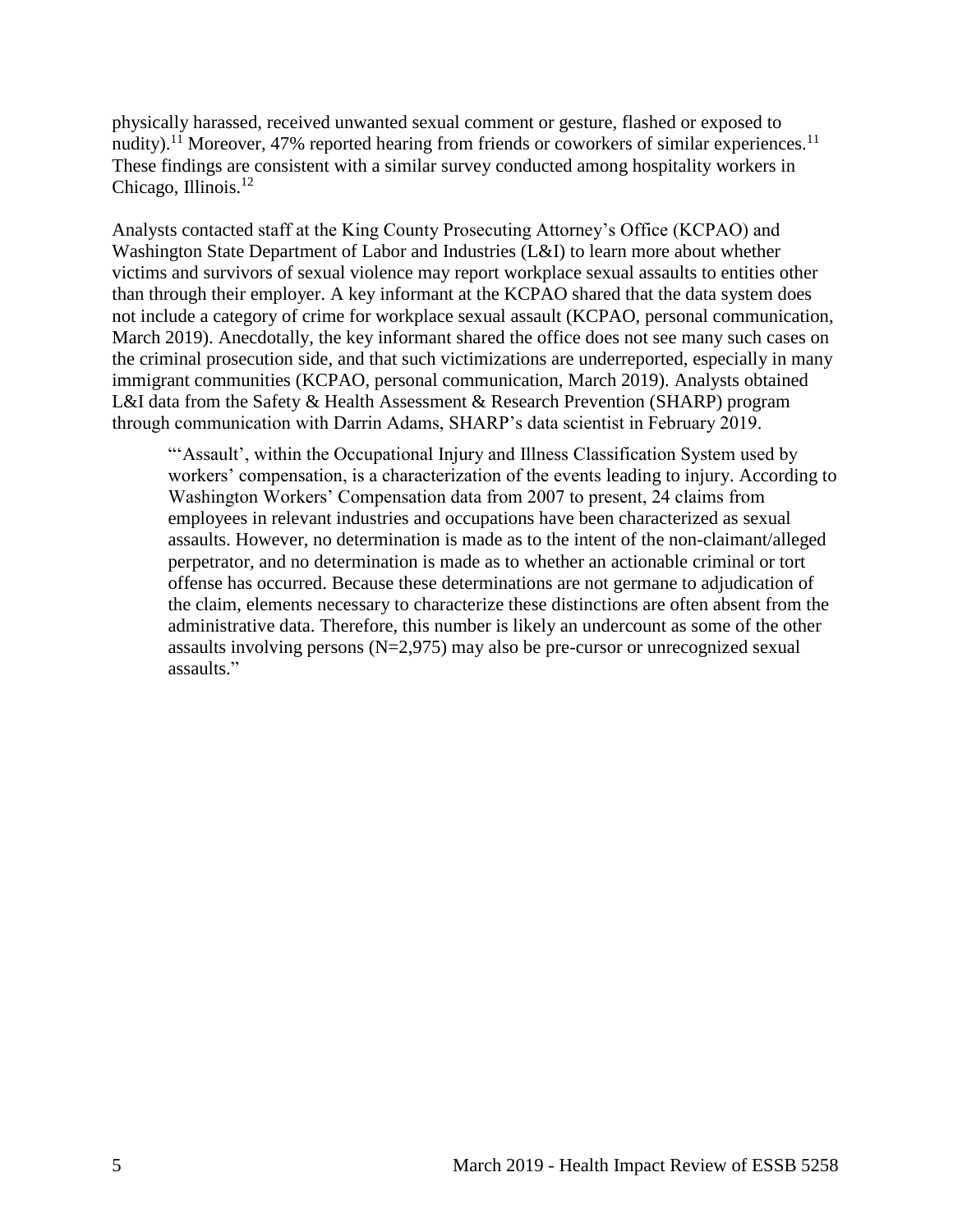physically harassed, received unwanted sexual comment or gesture, flashed or exposed to nudity).<sup>11</sup> Moreover, 47% reported hearing from friends or coworkers of similar experiences.<sup>11</sup> These findings are consistent with a similar survey conducted among hospitality workers in Chicago, Illinois.<sup>12</sup>

Analysts contacted staff at the King County Prosecuting Attorney's Office (KCPAO) and Washington State Department of Labor and Industries (L&I) to learn more about whether victims and survivors of sexual violence may report workplace sexual assaults to entities other than through their employer. A key informant at the KCPAO shared that the data system does not include a category of crime for workplace sexual assault (KCPAO, personal communication, March 2019). Anecdotally, the key informant shared the office does not see many such cases on the criminal prosecution side, and that such victimizations are underreported, especially in many immigrant communities (KCPAO, personal communication, March 2019). Analysts obtained L&I data from the Safety & Health Assessment & Research Prevention (SHARP) program through communication with Darrin Adams, SHARP's data scientist in February 2019.

"'Assault', within the Occupational Injury and Illness Classification System used by workers' compensation, is a characterization of the events leading to injury. According to Washington Workers' Compensation data from 2007 to present, 24 claims from employees in relevant industries and occupations have been characterized as sexual assaults. However, no determination is made as to the intent of the non-claimant/alleged perpetrator, and no determination is made as to whether an actionable criminal or tort offense has occurred. Because these determinations are not germane to adjudication of the claim, elements necessary to characterize these distinctions are often absent from the administrative data. Therefore, this number is likely an undercount as some of the other assaults involving persons  $(N=2,975)$  may also be pre-cursor or unrecognized sexual assaults."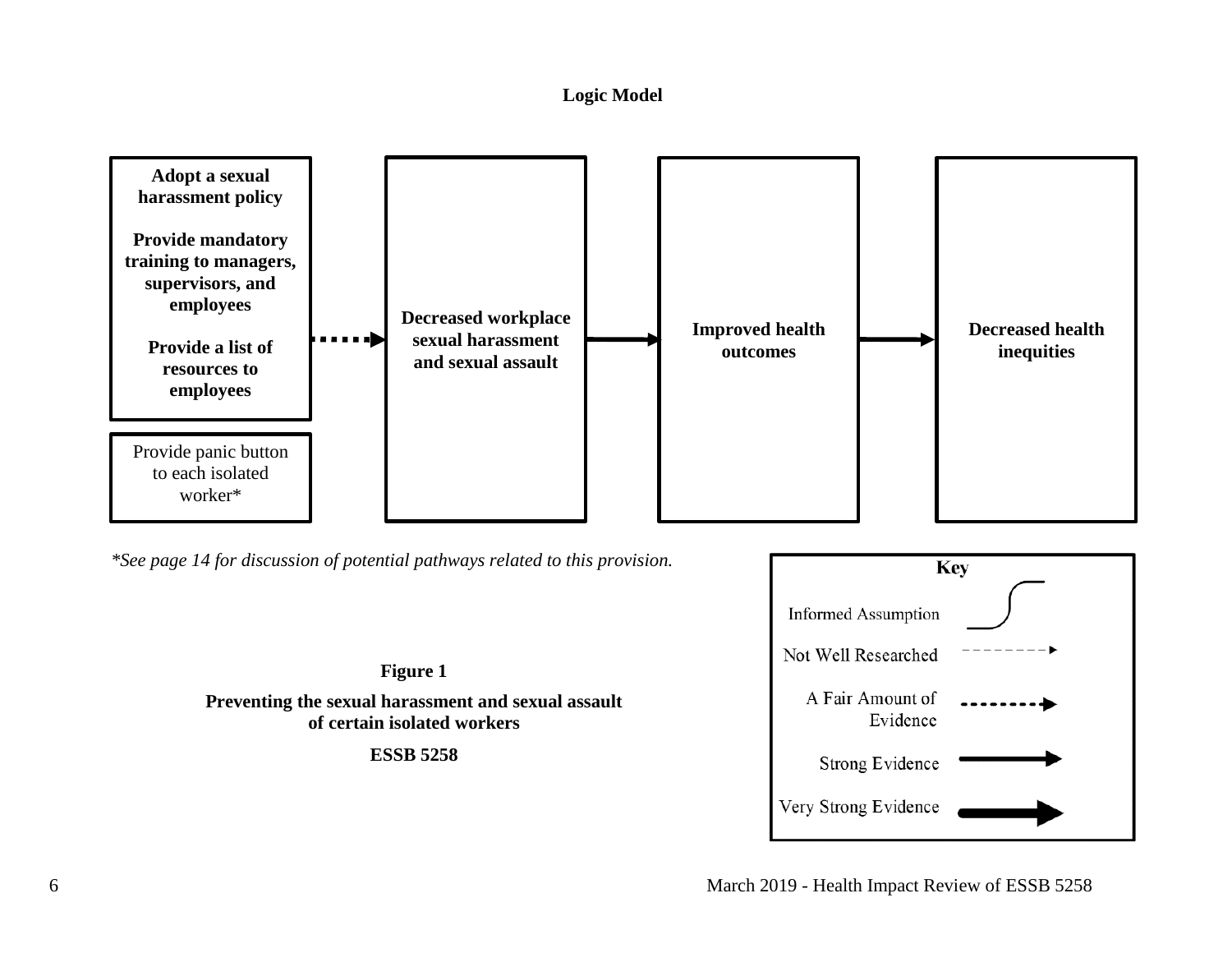#### **Logic Model**

<span id="page-8-0"></span>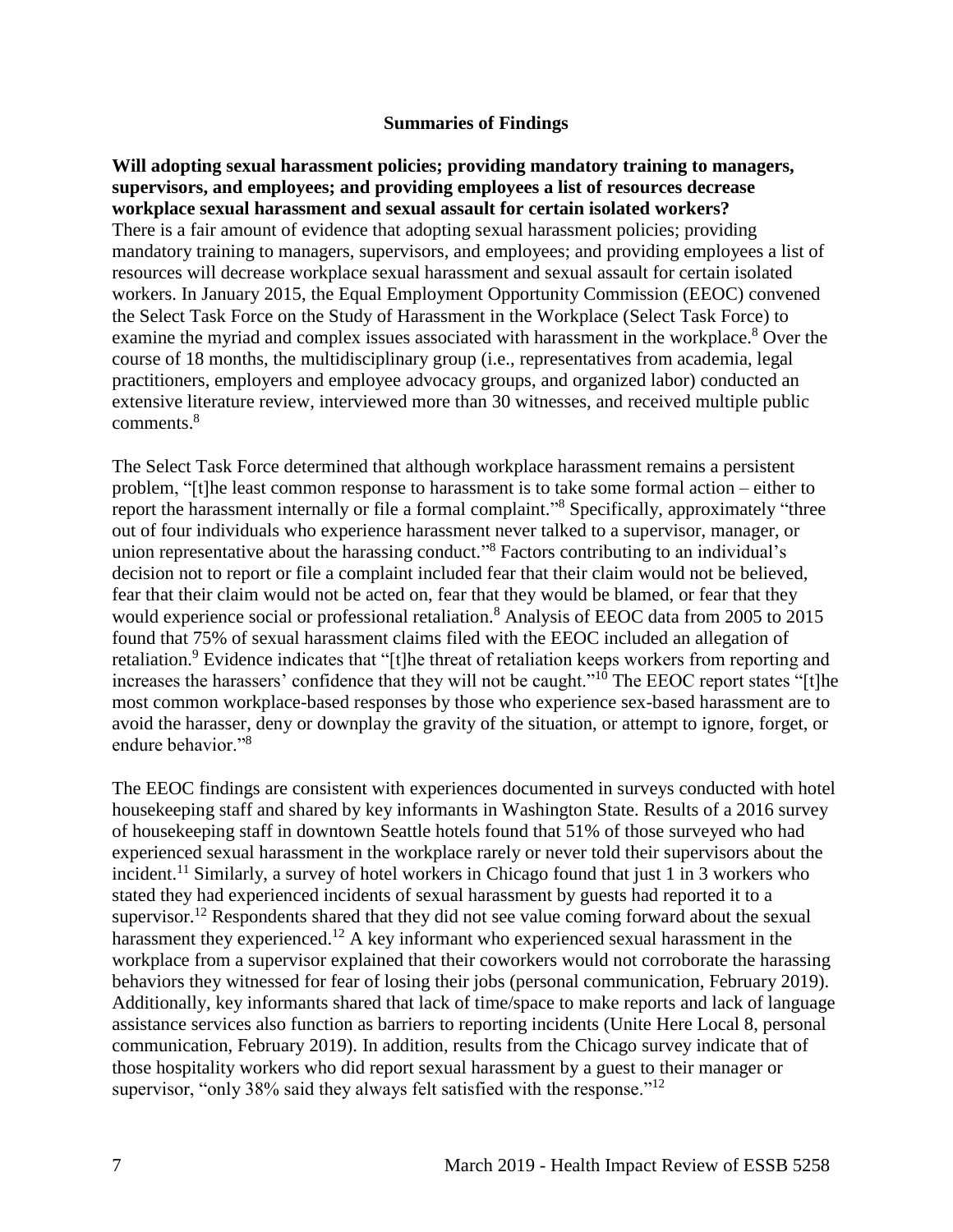#### **Summaries of Findings**

<span id="page-9-0"></span>**Will adopting sexual harassment policies; providing mandatory training to managers, supervisors, and employees; and providing employees a list of resources decrease workplace sexual harassment and sexual assault for certain isolated workers?**  There is a fair amount of evidence that adopting sexual harassment policies; providing mandatory training to managers, supervisors, and employees; and providing employees a list of resources will decrease workplace sexual harassment and sexual assault for certain isolated workers. In January 2015, the Equal Employment Opportunity Commission (EEOC) convened the Select Task Force on the Study of Harassment in the Workplace (Select Task Force) to examine the myriad and complex issues associated with harassment in the workplace.<sup>8</sup> Over the course of 18 months, the multidisciplinary group (i.e., representatives from academia, legal practitioners, employers and employee advocacy groups, and organized labor) conducted an extensive literature review, interviewed more than 30 witnesses, and received multiple public comments. 8

The Select Task Force determined that although workplace harassment remains a persistent problem, "[t]he least common response to harassment is to take some formal action – either to report the harassment internally or file a formal complaint."<sup>8</sup> Specifically, approximately "three out of four individuals who experience harassment never talked to a supervisor, manager, or union representative about the harassing conduct." <sup>8</sup> Factors contributing to an individual's decision not to report or file a complaint included fear that their claim would not be believed, fear that their claim would not be acted on, fear that they would be blamed, or fear that they would experience social or professional retaliation.<sup>8</sup> Analysis of EEOC data from 2005 to 2015 found that 75% of sexual harassment claims filed with the EEOC included an allegation of retaliation.<sup>9</sup> Evidence indicates that "[t]he threat of retaliation keeps workers from reporting and increases the harassers' confidence that they will not be caught."<sup>10</sup> The EEOC report states "[t]he most common workplace-based responses by those who experience sex-based harassment are to avoid the harasser, deny or downplay the gravity of the situation, or attempt to ignore, forget, or endure behavior."<sup>8</sup>

The EEOC findings are consistent with experiences documented in surveys conducted with hotel housekeeping staff and shared by key informants in Washington State. Results of a 2016 survey of housekeeping staff in downtown Seattle hotels found that 51% of those surveyed who had experienced sexual harassment in the workplace rarely or never told their supervisors about the incident.<sup>11</sup> Similarly, a survey of hotel workers in Chicago found that just 1 in 3 workers who stated they had experienced incidents of sexual harassment by guests had reported it to a supervisor.<sup>12</sup> Respondents shared that they did not see value coming forward about the sexual harassment they experienced.<sup>12</sup> A key informant who experienced sexual harassment in the workplace from a supervisor explained that their coworkers would not corroborate the harassing behaviors they witnessed for fear of losing their jobs (personal communication, February 2019). Additionally, key informants shared that lack of time/space to make reports and lack of language assistance services also function as barriers to reporting incidents (Unite Here Local 8, personal communication, February 2019). In addition, results from the Chicago survey indicate that of those hospitality workers who did report sexual harassment by a guest to their manager or supervisor, "only 38% said they always felt satisfied with the response."<sup>12</sup>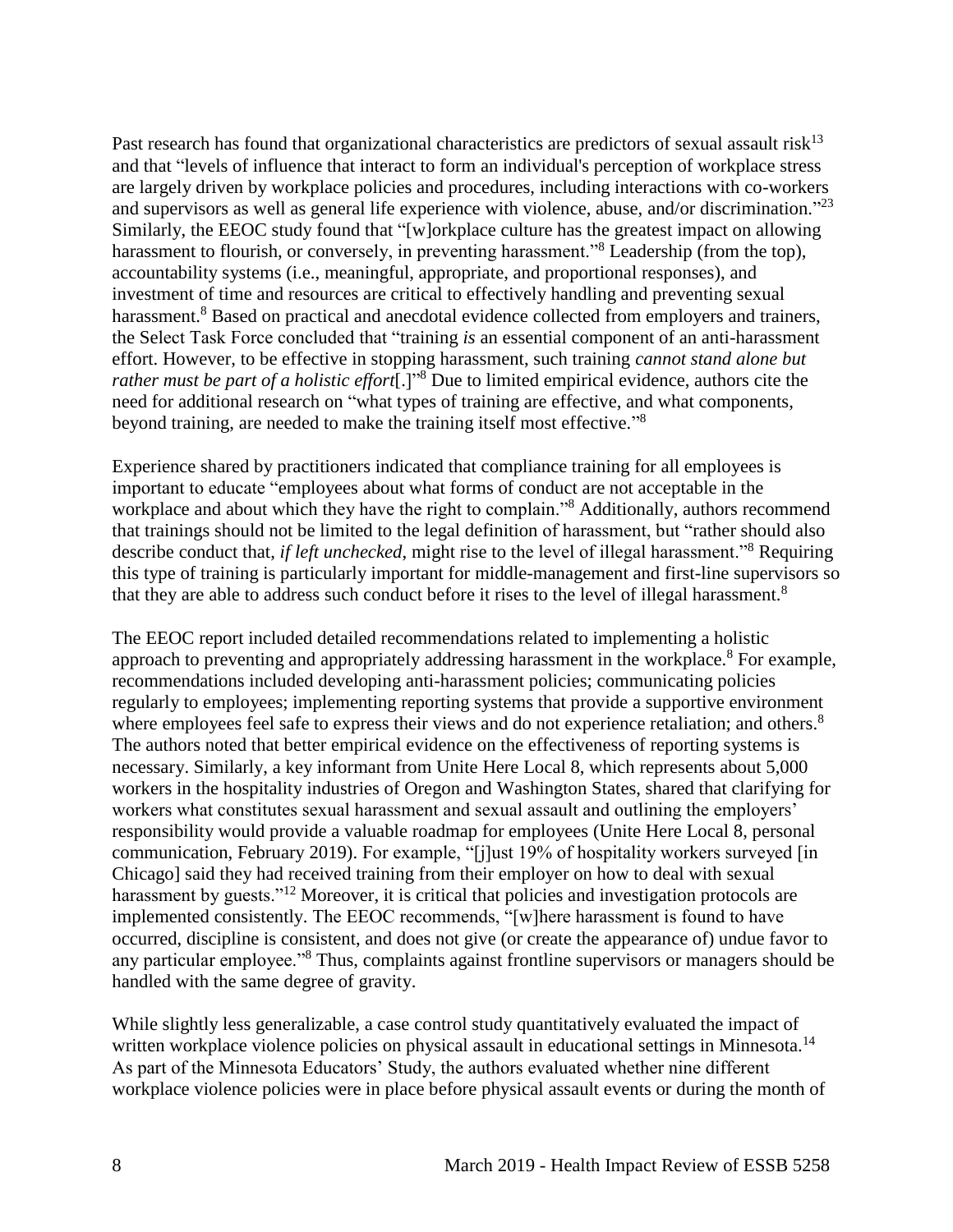Past research has found that organizational characteristics are predictors of sexual assault risk<sup>13</sup> and that "levels of influence that interact to form an individual's perception of workplace stress are largely driven by workplace policies and procedures, including interactions with co-workers and supervisors as well as general life experience with violence, abuse, and/or discrimination."<sup>23</sup> Similarly, the EEOC study found that "[w]orkplace culture has the greatest impact on allowing harassment to flourish, or conversely, in preventing harassment.<sup>38</sup> Leadership (from the top), accountability systems (i.e., meaningful, appropriate, and proportional responses), and investment of time and resources are critical to effectively handling and preventing sexual harassment.<sup>8</sup> Based on practical and anecdotal evidence collected from employers and trainers, the Select Task Force concluded that "training *is* an essential component of an anti-harassment effort. However, to be effective in stopping harassment, such training *cannot stand alone but rather must be part of a holistic effort*[.]"<sup>8</sup> Due to limited empirical evidence, authors cite the need for additional research on "what types of training are effective, and what components, beyond training, are needed to make the training itself most effective."<sup>8</sup>

Experience shared by practitioners indicated that compliance training for all employees is important to educate "employees about what forms of conduct are not acceptable in the workplace and about which they have the right to complain."<sup>8</sup> Additionally, authors recommend that trainings should not be limited to the legal definition of harassment, but "rather should also describe conduct that, *if left unchecked*, might rise to the level of illegal harassment."<sup>8</sup> Requiring this type of training is particularly important for middle-management and first-line supervisors so that they are able to address such conduct before it rises to the level of illegal harassment.<sup>8</sup>

The EEOC report included detailed recommendations related to implementing a holistic approach to preventing and appropriately addressing harassment in the workplace.<sup>8</sup> For example, recommendations included developing anti-harassment policies; communicating policies regularly to employees; implementing reporting systems that provide a supportive environment where employees feel safe to express their views and do not experience retaliation; and others.<sup>8</sup> The authors noted that better empirical evidence on the effectiveness of reporting systems is necessary. Similarly, a key informant from Unite Here Local 8, which represents about 5,000 workers in the hospitality industries of Oregon and Washington States, shared that clarifying for workers what constitutes sexual harassment and sexual assault and outlining the employers' responsibility would provide a valuable roadmap for employees (Unite Here Local 8, personal communication, February 2019). For example, "[j]ust 19% of hospitality workers surveyed [in Chicago] said they had received training from their employer on how to deal with sexual harassment by guests."<sup>12</sup> Moreover, it is critical that policies and investigation protocols are implemented consistently. The EEOC recommends, "[w]here harassment is found to have occurred, discipline is consistent, and does not give (or create the appearance of) undue favor to any particular employee."<sup>8</sup> Thus, complaints against frontline supervisors or managers should be handled with the same degree of gravity.

While slightly less generalizable, a case control study quantitatively evaluated the impact of written workplace violence policies on physical assault in educational settings in Minnesota.<sup>14</sup> As part of the Minnesota Educators' Study, the authors evaluated whether nine different workplace violence policies were in place before physical assault events or during the month of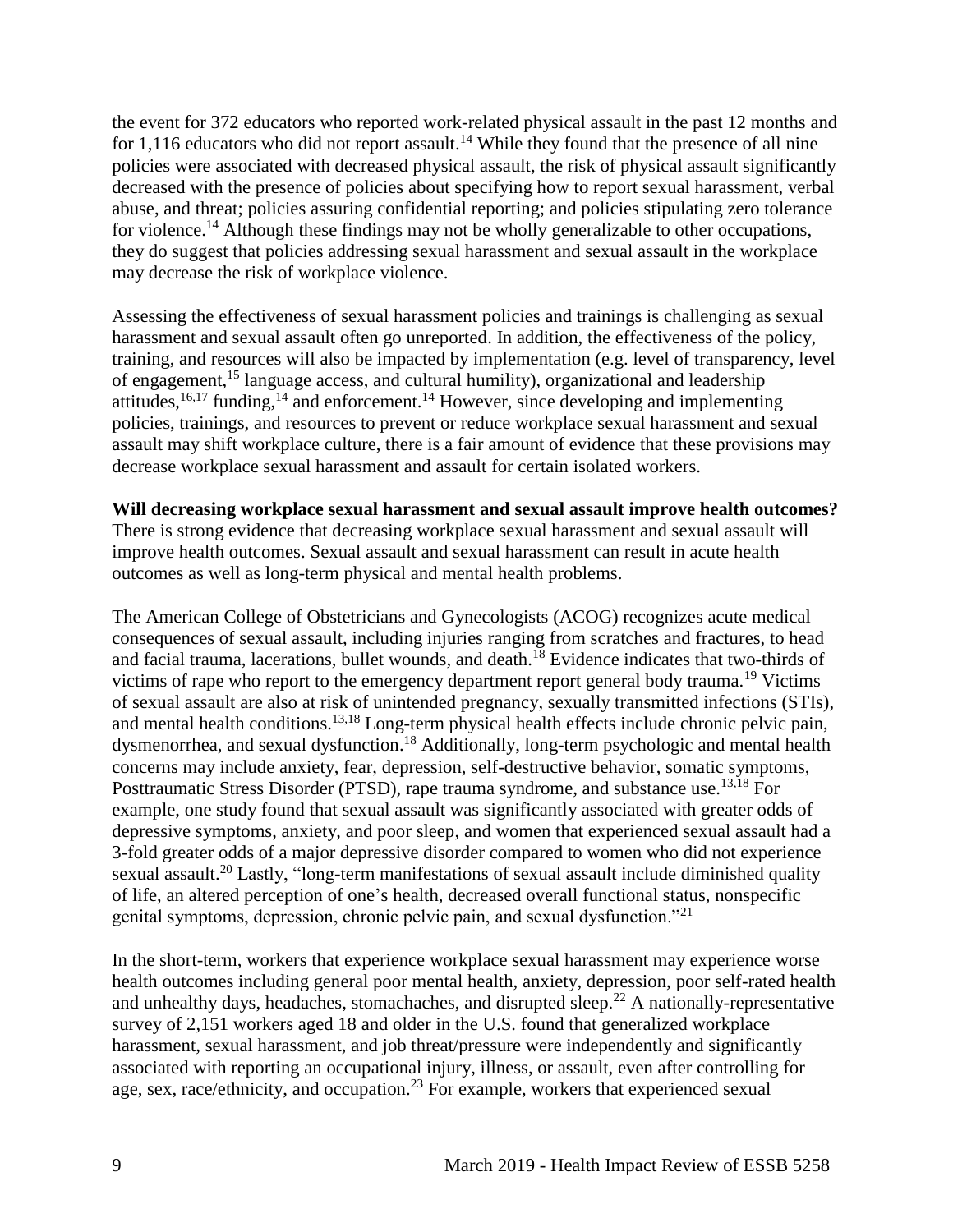the event for 372 educators who reported work-related physical assault in the past 12 months and for 1,116 educators who did not report assault.<sup>14</sup> While they found that the presence of all nine policies were associated with decreased physical assault, the risk of physical assault significantly decreased with the presence of policies about specifying how to report sexual harassment, verbal abuse, and threat; policies assuring confidential reporting; and policies stipulating zero tolerance for violence.<sup>14</sup> Although these findings may not be wholly generalizable to other occupations, they do suggest that policies addressing sexual harassment and sexual assault in the workplace may decrease the risk of workplace violence.

Assessing the effectiveness of sexual harassment policies and trainings is challenging as sexual harassment and sexual assault often go unreported. In addition, the effectiveness of the policy, training, and resources will also be impacted by implementation (e.g. level of transparency, level of engagement,<sup>15</sup> language access, and cultural humility), organizational and leadership attitudes,  $16,17$  $16,17$  funding,  $14$  and enforcement.  $14$  However, since developing and implementing policies, trainings, and resources to prevent or reduce workplace sexual harassment and sexual assault may shift workplace culture, there is a fair amount of evidence that these provisions may decrease workplace sexual harassment and assault for certain isolated workers.

#### **Will decreasing workplace sexual harassment and sexual assault improve health outcomes?**

There is strong evidence that decreasing workplace sexual harassment and sexual assault will improve health outcomes. Sexual assault and sexual harassment can result in acute health outcomes as well as long-term physical and mental health problems.

The American College of Obstetricians and Gynecologists (ACOG) recognizes acute medical consequences of sexual assault, including injuries ranging from scratches and fractures, to head and facial trauma, lacerations, bullet wounds, and death.<sup>18</sup> Evidence indicates that two-thirds of victims of rape who report to the emergency department report general body trauma.<sup>19</sup> Victims of sexual assault are also at risk of unintended pregnancy, sexually transmitted infections (STIs), and mental health conditions.<sup>[13,](#page-21-0)[18](#page-24-0)</sup> Long-term physical health effects include chronic pelvic pain, dysmenorrhea, and sexual dysfunction.<sup>18</sup> Additionally, long-term psychologic and mental health concerns may include anxiety, fear, depression, self-destructive behavior, somatic symptoms, Posttraumatic Stress Disorder (PTSD), rape trauma syndrome, and substance use.<sup>[13,](#page-21-0)[18](#page-24-0)</sup> For example, one study found that sexual assault was significantly associated with greater odds of depressive symptoms, anxiety, and poor sleep, and women that experienced sexual assault had a 3-fold greater odds of a major depressive disorder compared to women who did not experience sexual assault.<sup>20</sup> Lastly, "long-term manifestations of sexual assault include diminished quality of life, an altered perception of one's health, decreased overall functional status, nonspecific genital symptoms, depression, chronic pelvic pain, and sexual dysfunction."<sup>21</sup>

In the short-term, workers that experience workplace sexual harassment may experience worse health outcomes including general poor mental health, anxiety, depression, poor self-rated health and unhealthy days, headaches, stomachaches, and disrupted sleep.<sup>22</sup> A nationally-representative survey of 2,151 workers aged 18 and older in the U.S. found that generalized workplace harassment, sexual harassment, and job threat/pressure were independently and significantly associated with reporting an occupational injury, illness, or assault, even after controlling for age, sex, race/ethnicity, and occupation.<sup>23</sup> For example, workers that experienced sexual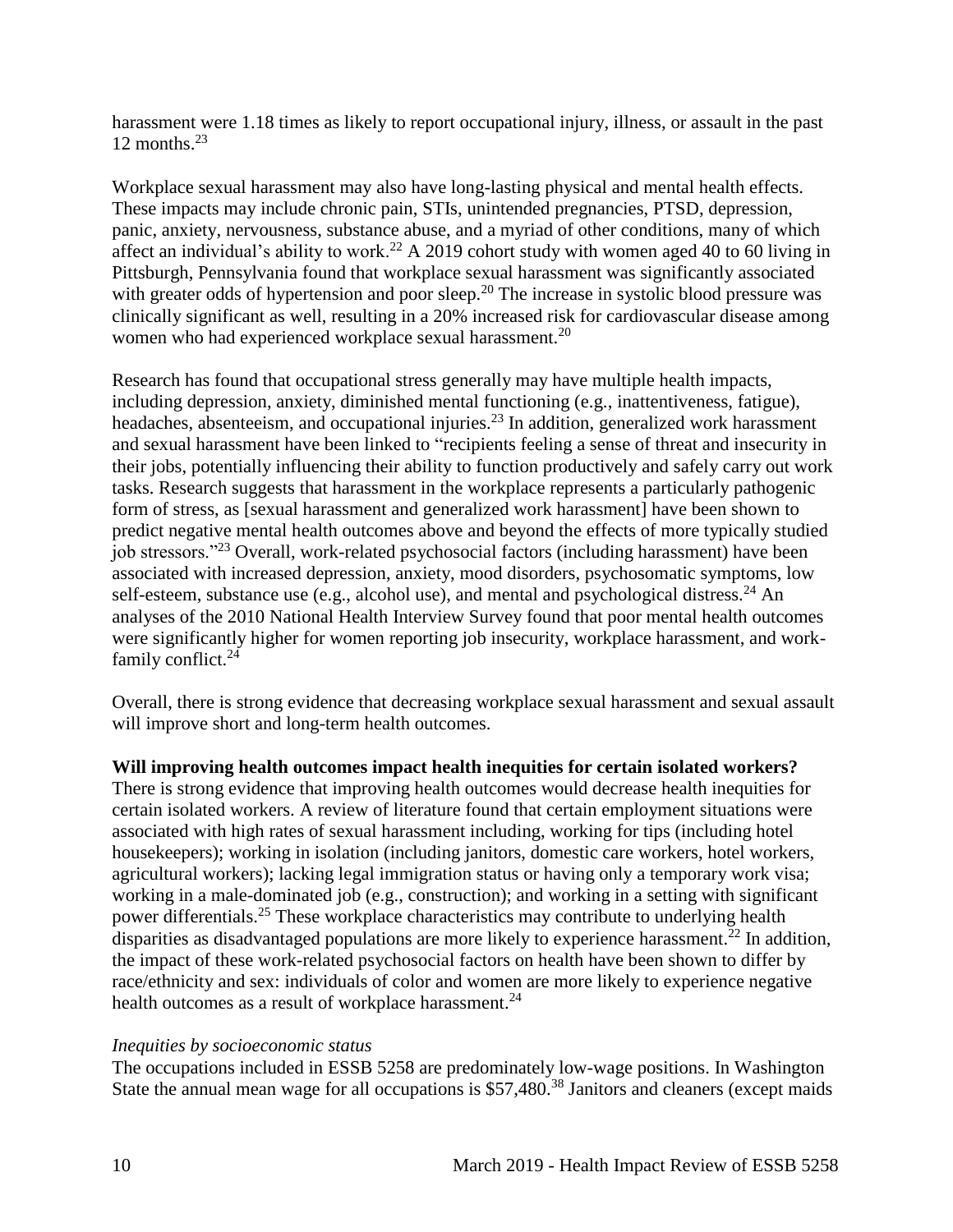harassment were 1.18 times as likely to report occupational injury, illness, or assault in the past 12 months. $^{23}$ 

Workplace sexual harassment may also have long-lasting physical and mental health effects. These impacts may include chronic pain, STIs, unintended pregnancies, PTSD, depression, panic, anxiety, nervousness, substance abuse, and a myriad of other conditions, many of which affect an individual's ability to work.<sup>22</sup> A 2019 cohort study with women aged 40 to 60 living in Pittsburgh, Pennsylvania found that workplace sexual harassment was significantly associated with greater odds of hypertension and poor sleep.<sup>20</sup> The increase in systolic blood pressure was clinically significant as well, resulting in a 20% increased risk for cardiovascular disease among women who had experienced workplace sexual harassment.<sup>20</sup>

Research has found that occupational stress generally may have multiple health impacts, including depression, anxiety, diminished mental functioning (e.g., inattentiveness, fatigue), headaches, absenteeism, and occupational injuries.<sup>23</sup> In addition, generalized work harassment and sexual harassment have been linked to "recipients feeling a sense of threat and insecurity in their jobs, potentially influencing their ability to function productively and safely carry out work tasks. Research suggests that harassment in the workplace represents a particularly pathogenic form of stress, as [sexual harassment and generalized work harassment] have been shown to predict negative mental health outcomes above and beyond the effects of more typically studied job stressors."<sup>23</sup> Overall, work-related psychosocial factors (including harassment) have been associated with increased depression, anxiety, mood disorders, psychosomatic symptoms, low self-esteem, substance use (e.g., alcohol use), and mental and psychological distress.<sup>24</sup> An analyses of the 2010 National Health Interview Survey found that poor mental health outcomes were significantly higher for women reporting job insecurity, workplace harassment, and workfamily conflict.<sup>24</sup>

Overall, there is strong evidence that decreasing workplace sexual harassment and sexual assault will improve short and long-term health outcomes.

**Will improving health outcomes impact health inequities for certain isolated workers?**

There is strong evidence that improving health outcomes would decrease health inequities for certain isolated workers. A review of literature found that certain employment situations were associated with high rates of sexual harassment including, working for tips (including hotel housekeepers); working in isolation (including janitors, domestic care workers, hotel workers, agricultural workers); lacking legal immigration status or having only a temporary work visa; working in a male-dominated job (e.g., construction); and working in a setting with significant power differentials.<sup>25</sup> These workplace characteristics may contribute to underlying health disparities as disadvantaged populations are more likely to experience harassment.<sup>22</sup> In addition, the impact of these work-related psychosocial factors on health have been shown to differ by race/ethnicity and sex: individuals of color and women are more likely to experience negative health outcomes as a result of workplace harassment.<sup>24</sup>

## *Inequities by socioeconomic status*

The occupations included in ESSB 5258 are predominately low-wage positions. In Washington State the annual mean wage for all occupations is \$57,480.<sup>38</sup> Janitors and cleaners (except maids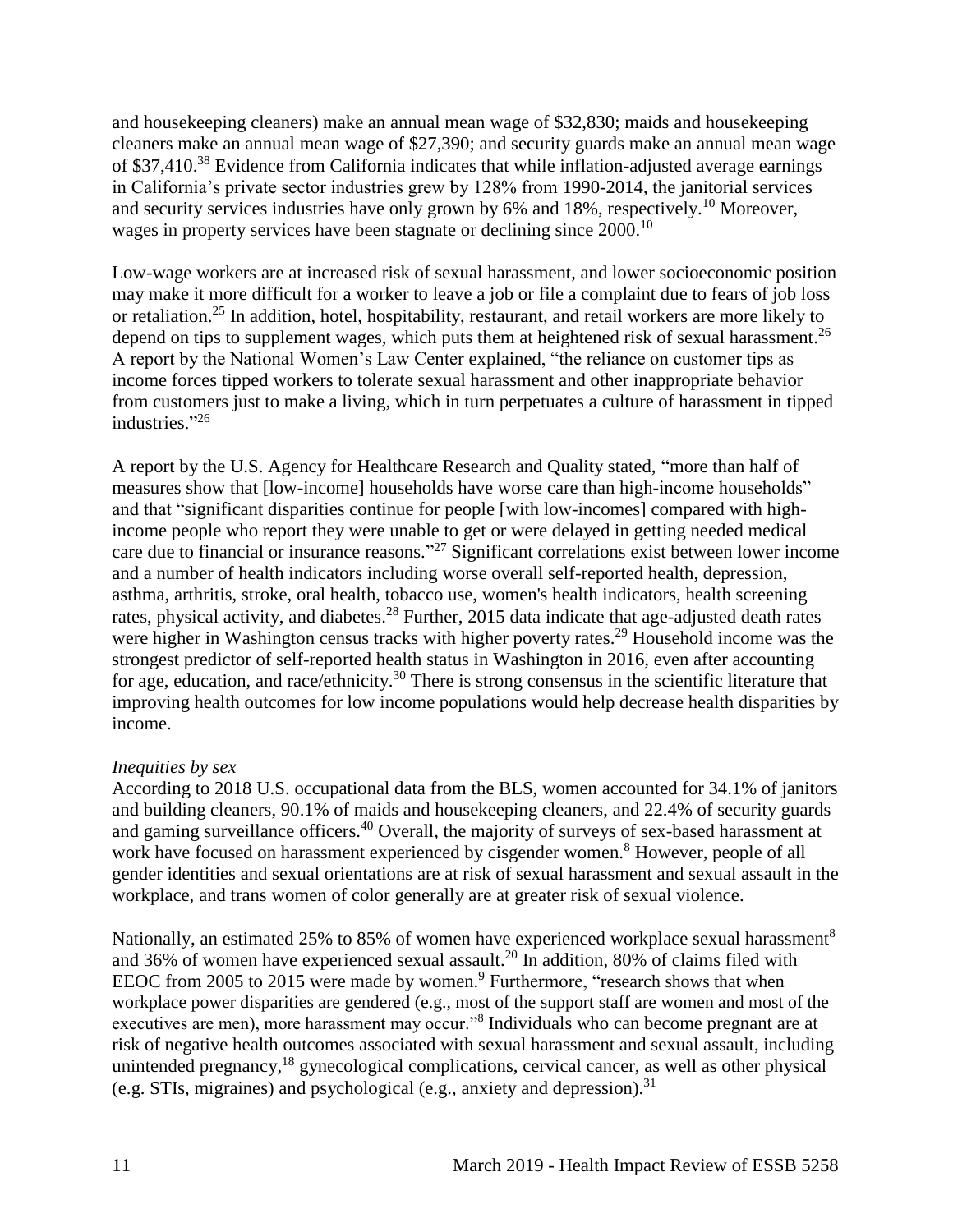and housekeeping cleaners) make an annual mean wage of \$32,830; maids and housekeeping cleaners make an annual mean wage of \$27,390; and security guards make an annual mean wage of \$37,410.<sup>38</sup> Evidence from California indicates that while inflation-adjusted average earnings in California's private sector industries grew by 128% from 1990-2014, the janitorial services and security services industries have only grown by 6% and 18%, respectively.<sup>10</sup> Moreover, wages in property services have been stagnate or declining since 2000.<sup>10</sup>

Low-wage workers are at increased risk of sexual harassment, and lower socioeconomic position may make it more difficult for a worker to leave a job or file a complaint due to fears of job loss or retaliation. <sup>25</sup> In addition, hotel, hospitability, restaurant, and retail workers are more likely to depend on tips to supplement wages, which puts them at heightened risk of sexual harassment.<sup>26</sup> A report by the National Women's Law Center explained, "the reliance on customer tips as income forces tipped workers to tolerate sexual harassment and other inappropriate behavior from customers just to make a living, which in turn perpetuates a culture of harassment in tipped industries."<sup>26</sup>

A report by the U.S. Agency for Healthcare Research and Quality stated, "more than half of measures show that [low-income] households have worse care than high-income households" and that "significant disparities continue for people [with low-incomes] compared with highincome people who report they were unable to get or were delayed in getting needed medical care due to financial or insurance reasons."<sup>27</sup> Significant correlations exist between lower income and a number of health indicators including worse overall self-reported health, depression, asthma, arthritis, stroke, oral health, tobacco use, women's health indicators, health screening rates, physical activity, and diabetes.<sup>28</sup> Further, 2015 data indicate that age-adjusted death rates were higher in Washington census tracks with higher poverty rates.<sup>29</sup> Household income was the strongest predictor of self-reported health status in Washington in 2016, even after accounting for age, education, and race/ethnicity.<sup>30</sup> There is strong consensus in the scientific literature that improving health outcomes for low income populations would help decrease health disparities by income.

#### *Inequities by sex*

According to 2018 U.S. occupational data from the BLS, women accounted for 34.1% of janitors and building cleaners, 90.1% of maids and housekeeping cleaners, and 22.4% of security guards and gaming surveillance officers.<sup>40</sup> Overall, the majority of surveys of sex-based harassment at work have focused on harassment experienced by cisgender women.<sup>8</sup> However, people of all gender identities and sexual orientations are at risk of sexual harassment and sexual assault in the workplace, and trans women of color generally are at greater risk of sexual violence.

Nationally, an estimated 25% to 85% of women have experienced workplace sexual harassment<sup>8</sup> and 36% of women have experienced sexual assault.<sup>20</sup> In addition, 80% of claims filed with EEOC from 2005 to 2015 were made by women.<sup>9</sup> Furthermore, "research shows that when workplace power disparities are gendered (e.g., most of the support staff are women and most of the executives are men), more harassment may occur."<sup>8</sup> Individuals who can become pregnant are at risk of negative health outcomes associated with sexual harassment and sexual assault, including unintended pregnancy,<sup>18</sup> gynecological complications, cervical cancer, as well as other physical (e.g. STIs, migraines) and psychological (e.g., anxiety and depression).<sup>31</sup>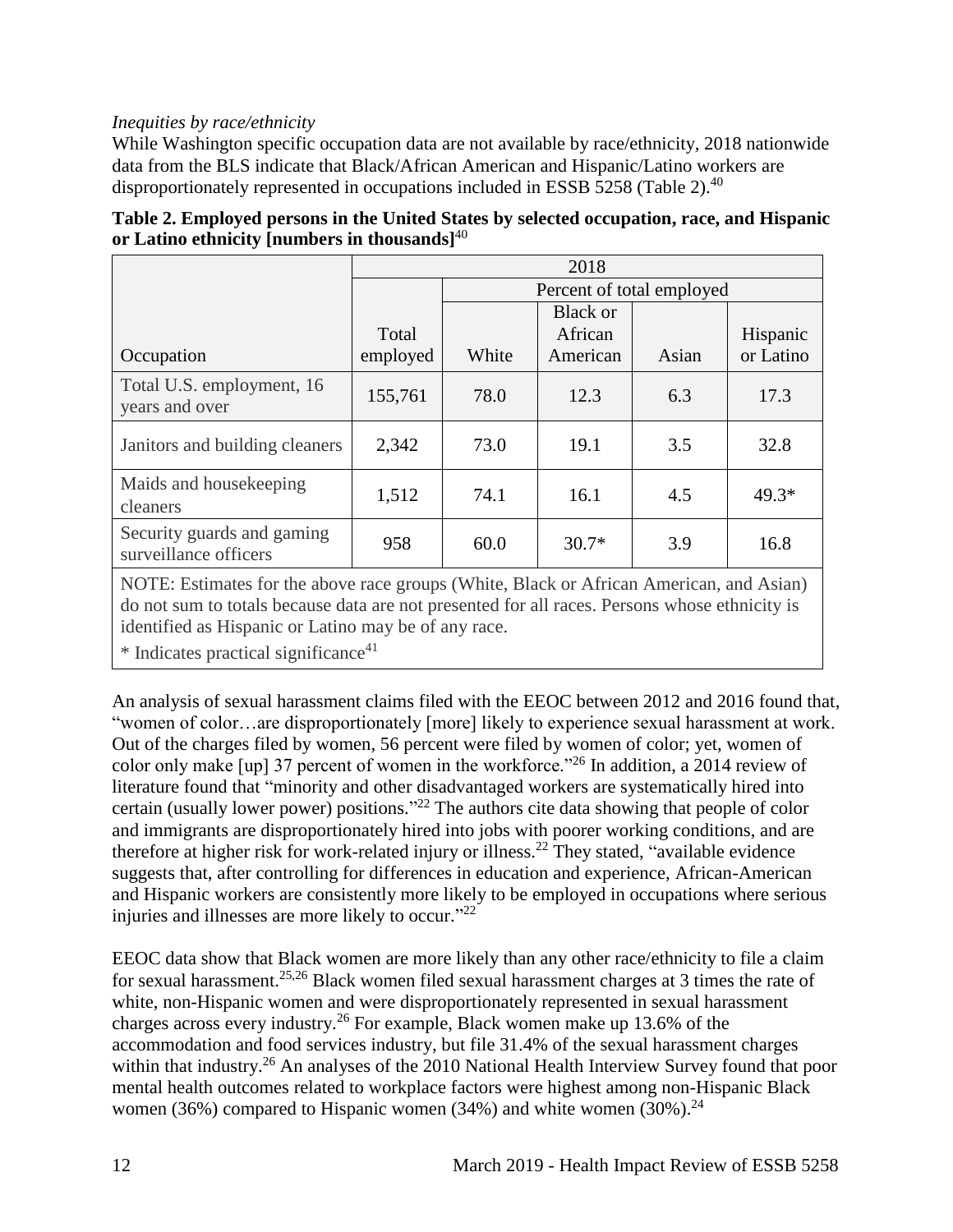## *Inequities by race/ethnicity*

While Washington specific occupation data are not available by race/ethnicity, 2018 nationwide data from the BLS indicate that Black/African American and Hispanic/Latino workers are disproportionately represented in occupations included in ESSB 5258 (Table 2).<sup>40</sup>

|                                                     | 2018     |                           |                 |       |           |  |
|-----------------------------------------------------|----------|---------------------------|-----------------|-------|-----------|--|
|                                                     |          | Percent of total employed |                 |       |           |  |
|                                                     |          |                           | <b>Black or</b> |       |           |  |
|                                                     | Total    |                           | African         |       | Hispanic  |  |
| Occupation                                          | employed | White                     | American        | Asian | or Latino |  |
| Total U.S. employment, 16<br>years and over         | 155,761  | 78.0                      | 12.3            | 6.3   | 17.3      |  |
| Janitors and building cleaners                      | 2,342    | 73.0                      | 19.1            | 3.5   | 32.8      |  |
| Maids and house keeping<br>cleaners                 | 1,512    | 74.1                      | 16.1            | 4.5   | $49.3*$   |  |
| Security guards and gaming<br>surveillance officers | 958      | 60.0                      | $30.7*$         | 3.9   | 16.8      |  |

| Table 2. Employed persons in the United States by selected occupation, race, and Hispanic |
|-------------------------------------------------------------------------------------------|
| or Latino ethnicity [numbers in thousands] $40$                                           |

NOTE: Estimates for the above race groups (White, Black or African American, and Asian) do not sum to totals because data are not presented for all races. Persons whose ethnicity is identified as Hispanic or Latino may be of any race.

 $*$  Indicates practical significance<sup>41</sup>

An analysis of sexual harassment claims filed with the EEOC between 2012 and 2016 found that, "women of color…are disproportionately [more] likely to experience sexual harassment at work. Out of the charges filed by women, 56 percent were filed by women of color; yet, women of color only make [up] 37 percent of women in the workforce."<sup>26</sup> In addition, a 2014 review of literature found that "minority and other disadvantaged workers are systematically hired into certain (usually lower power) positions."<sup>22</sup> The authors cite data showing that people of color and immigrants are disproportionately hired into jobs with poorer working conditions, and are therefore at higher risk for work-related injury or illness.<sup>22</sup> They stated, "available evidence" suggests that, after controlling for differences in education and experience, African-American and Hispanic workers are consistently more likely to be employed in occupations where serious injuries and illnesses are more likely to occur." 22

EEOC data show that Black women are more likely than any other race/ethnicity to file a claim for sexual harassment.[25,](#page-29-0)[26](#page-30-0) Black women filed sexual harassment charges at 3 times the rate of white, non-Hispanic women and were disproportionately represented in sexual harassment charges across every industry.<sup>26</sup> For example, Black women make up 13.6% of the accommodation and food services industry, but file 31.4% of the sexual harassment charges within that industry.<sup>26</sup> An analyses of the 2010 National Health Interview Survey found that poor mental health outcomes related to workplace factors were highest among non-Hispanic Black women (36%) compared to Hispanic women (34%) and white women (30%).<sup>24</sup>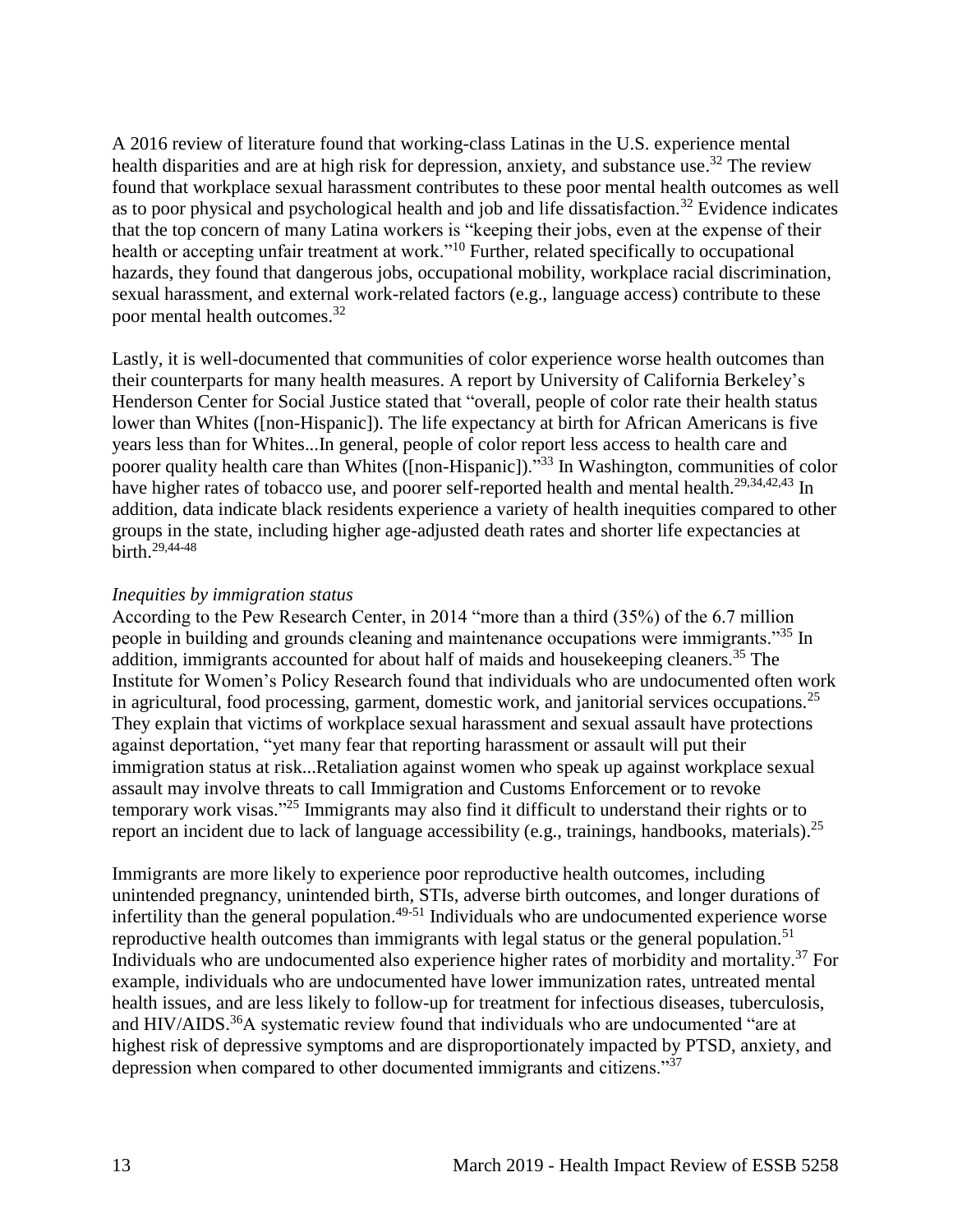A 2016 review of literature found that working-class Latinas in the U.S. experience mental health disparities and are at high risk for depression, anxiety, and substance use.<sup>32</sup> The review found that workplace sexual harassment contributes to these poor mental health outcomes as well as to poor physical and psychological health and job and life dissatisfaction.<sup>32</sup> Evidence indicates that the top concern of many Latina workers is "keeping their jobs, even at the expense of their health or accepting unfair treatment at work."<sup>10</sup> Further, related specifically to occupational hazards, they found that dangerous jobs, occupational mobility, workplace racial discrimination, sexual harassment, and external work-related factors (e.g., language access) contribute to these poor mental health outcomes.<sup>32</sup>

Lastly, it is well-documented that communities of color experience worse health outcomes than their counterparts for many health measures. A report by University of California Berkeley's Henderson Center for Social Justice stated that "overall, people of color rate their health status lower than Whites ([non-Hispanic]). The life expectancy at birth for African Americans is five years less than for Whites...In general, people of color report less access to health care and poorer quality health care than Whites ([non-Hispanic])."<sup>33</sup> In Washington, communities of color have higher rates of tobacco use, and poorer self-reported health and mental health.<sup>[29](#page-31-1)[,34](#page-32-1)[,42](#page-35-0)[,43](#page-36-0)</sup> In addition, data indicate black residents experience a variety of health inequities compared to other groups in the state, including higher age-adjusted death rates and shorter life expectancies at birth.[29,](#page-31-1)[44-48](#page-36-1)

#### *Inequities by immigration status*

According to the Pew Research Center, in 2014 "more than a third (35%) of the 6.7 million people in building and grounds cleaning and maintenance occupations were immigrants."<sup>35</sup> In addition, immigrants accounted for about half of maids and housekeeping cleaners.<sup>35</sup> The Institute for Women's Policy Research found that individuals who are undocumented often work in agricultural, food processing, garment, domestic work, and janitorial services occupations.<sup>25</sup> They explain that victims of workplace sexual harassment and sexual assault have protections against deportation, "yet many fear that reporting harassment or assault will put their immigration status at risk...Retaliation against women who speak up against workplace sexual assault may involve threats to call Immigration and Customs Enforcement or to revoke temporary work visas."<sup>25</sup> Immigrants may also find it difficult to understand their rights or to report an incident due to lack of language accessibility (e.g., trainings, handbooks, materials).<sup>25</sup>

Immigrants are more likely to experience poor reproductive health outcomes, including unintended pregnancy, unintended birth, STIs, adverse birth outcomes, and longer durations of infertility than the general population.<sup> $49-51$ </sup> Individuals who are undocumented experience worse reproductive health outcomes than immigrants with legal status or the general population.<sup>51</sup> Individuals who are undocumented also experience higher rates of morbidity and mortality.<sup>37</sup> For example, individuals who are undocumented have lower immunization rates, untreated mental health issues, and are less likely to follow-up for treatment for infectious diseases, tuberculosis, and HIV/AIDS.<sup>36</sup>A systematic review found that individuals who are undocumented "are at highest risk of depressive symptoms and are disproportionately impacted by PTSD, anxiety, and depression when compared to other documented immigrants and citizens."<sup>37</sup>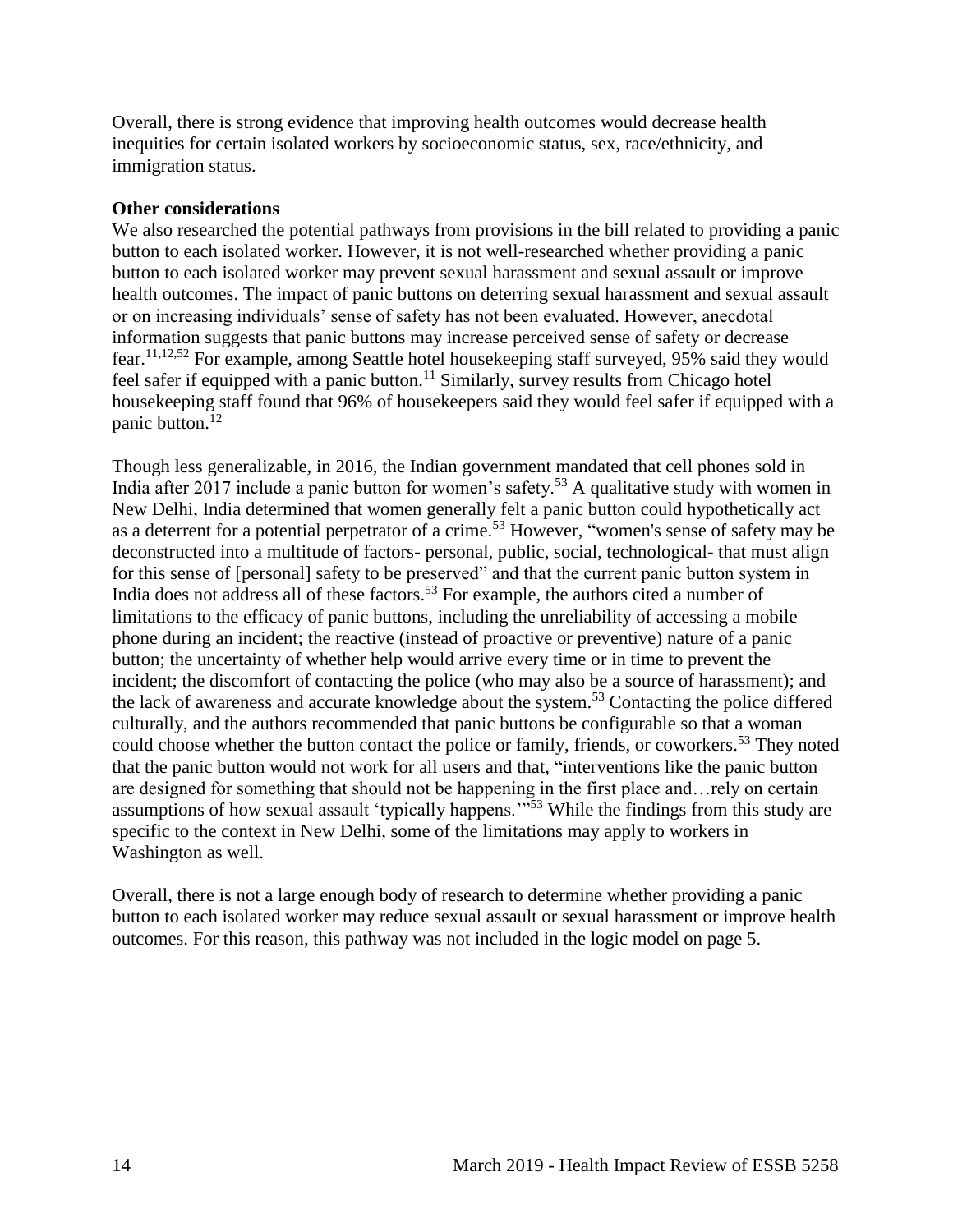Overall, there is strong evidence that improving health outcomes would decrease health inequities for certain isolated workers by socioeconomic status, sex, race/ethnicity, and immigration status.

#### **Other considerations**

<span id="page-16-0"></span>We also researched the potential pathways from provisions in the bill related to providing a panic button to each isolated worker. However, it is not well-researched whether providing a panic button to each isolated worker may prevent sexual harassment and sexual assault or improve health outcomes. The impact of panic buttons on deterring sexual harassment and sexual assault or on increasing individuals' sense of safety has not been evaluated. However, anecdotal information suggests that panic buttons may increase perceived sense of safety or decrease fear.[11,](#page-20-1)[12,](#page-20-2)[52](#page-39-0) For example, among Seattle hotel housekeeping staff surveyed, 95% said they would feel safer if equipped with a panic button.<sup>11</sup> Similarly, survey results from Chicago hotel housekeeping staff found that 96% of housekeepers said they would feel safer if equipped with a panic button.<sup>12</sup>

Though less generalizable, in 2016, the Indian government mandated that cell phones sold in India after 2017 include a panic button for women's safety.<sup>53</sup> A qualitative study with women in New Delhi, India determined that women generally felt a panic button could hypothetically act as a deterrent for a potential perpetrator of a crime.<sup>53</sup> However, "women's sense of safety may be deconstructed into a multitude of factors- personal, public, social, technological- that must align for this sense of [personal] safety to be preserved" and that the current panic button system in India does not address all of these factors.<sup>53</sup> For example, the authors cited a number of limitations to the efficacy of panic buttons, including the unreliability of accessing a mobile phone during an incident; the reactive (instead of proactive or preventive) nature of a panic button; the uncertainty of whether help would arrive every time or in time to prevent the incident; the discomfort of contacting the police (who may also be a source of harassment); and the lack of awareness and accurate knowledge about the system.<sup>53</sup> Contacting the police differed culturally, and the authors recommended that panic buttons be configurable so that a woman could choose whether the button contact the police or family, friends, or coworkers.<sup>53</sup> They noted that the panic button would not work for all users and that, "interventions like the panic button are designed for something that should not be happening in the first place and…rely on certain assumptions of how sexual assault 'typically happens.'"<sup>53</sup> While the findings from this study are specific to the context in New Delhi, some of the limitations may apply to workers in Washington as well.

Overall, there is not a large enough body of research to determine whether providing a panic button to each isolated worker may reduce sexual assault or sexual harassment or improve health outcomes. For this reason, this pathway was not included in the logic model on page 5.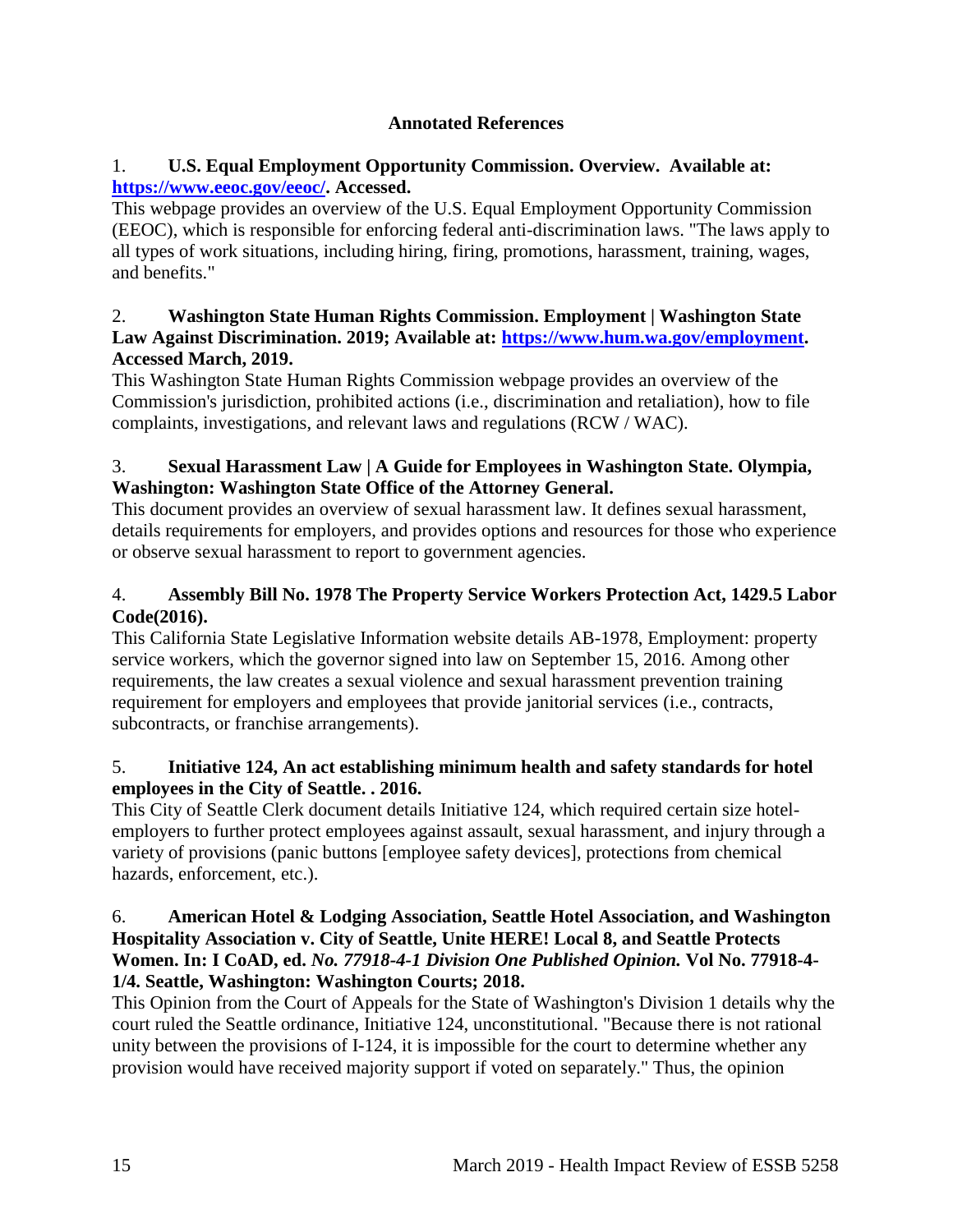## **Annotated References**

## 1. **U.S. Equal Employment Opportunity Commission. Overview. Available at: [https://www.eeoc.gov/eeoc/.](https://www.eeoc.gov/eeoc/) Accessed.**

This webpage provides an overview of the U.S. Equal Employment Opportunity Commission (EEOC), which is responsible for enforcing federal anti-discrimination laws. "The laws apply to all types of work situations, including hiring, firing, promotions, harassment, training, wages, and benefits."

## 2. **Washington State Human Rights Commission. Employment | Washington State Law Against Discrimination. 2019; Available at: [https://www.hum.wa.gov/employment.](https://www.hum.wa.gov/employment) Accessed March, 2019.**

This Washington State Human Rights Commission webpage provides an overview of the Commission's jurisdiction, prohibited actions (i.e., discrimination and retaliation), how to file complaints, investigations, and relevant laws and regulations (RCW / WAC).

# 3. **Sexual Harassment Law | A Guide for Employees in Washington State. Olympia, Washington: Washington State Office of the Attorney General.**

This document provides an overview of sexual harassment law. It defines sexual harassment, details requirements for employers, and provides options and resources for those who experience or observe sexual harassment to report to government agencies.

# 4. **Assembly Bill No. 1978 The Property Service Workers Protection Act, 1429.5 Labor Code(2016).**

This California State Legislative Information website details AB-1978, Employment: property service workers, which the governor signed into law on September 15, 2016. Among other requirements, the law creates a sexual violence and sexual harassment prevention training requirement for employers and employees that provide janitorial services (i.e., contracts, subcontracts, or franchise arrangements).

# 5. **Initiative 124, An act establishing minimum health and safety standards for hotel employees in the City of Seattle. . 2016.**

This City of Seattle Clerk document details Initiative 124, which required certain size hotelemployers to further protect employees against assault, sexual harassment, and injury through a variety of provisions (panic buttons [employee safety devices], protections from chemical hazards, enforcement, etc.).

## 6. **American Hotel & Lodging Association, Seattle Hotel Association, and Washington Hospitality Association v. City of Seattle, Unite HERE! Local 8, and Seattle Protects Women. In: I CoAD, ed.** *No. 77918-4-1 Division One Published Opinion.* **Vol No. 77918-4- 1/4. Seattle, Washington: Washington Courts; 2018.**

This Opinion from the Court of Appeals for the State of Washington's Division 1 details why the court ruled the Seattle ordinance, Initiative 124, unconstitutional. "Because there is not rational unity between the provisions of I-124, it is impossible for the court to determine whether any provision would have received majority support if voted on separately." Thus, the opinion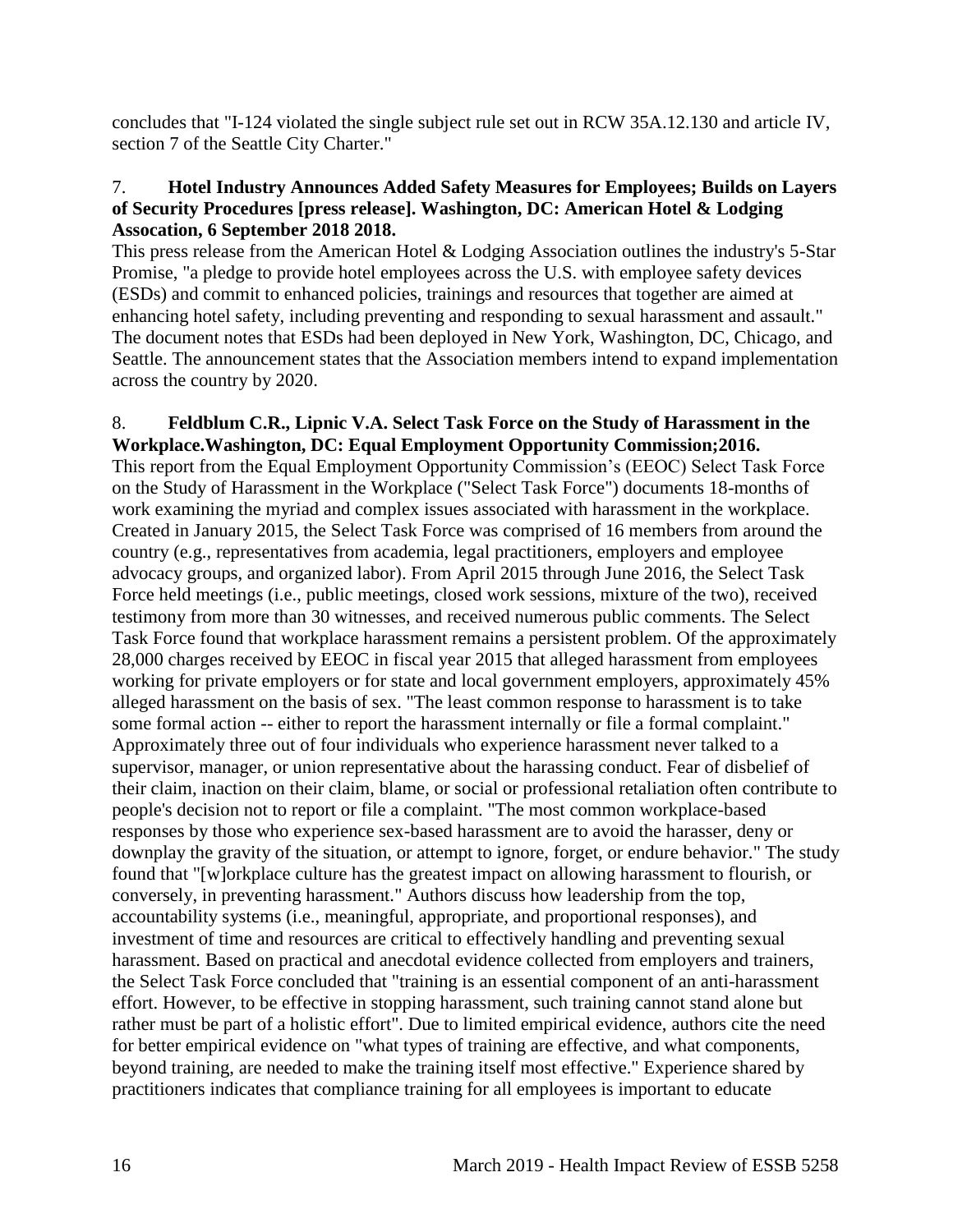concludes that "I-124 violated the single subject rule set out in RCW 35A.12.130 and article IV, section 7 of the Seattle City Charter."

#### 7. **Hotel Industry Announces Added Safety Measures for Employees; Builds on Layers of Security Procedures [press release]. Washington, DC: American Hotel & Lodging Assocation, 6 September 2018 2018.**

This press release from the American Hotel & Lodging Association outlines the industry's 5-Star Promise, "a pledge to provide hotel employees across the U.S. with employee safety devices (ESDs) and commit to enhanced policies, trainings and resources that together are aimed at enhancing hotel safety, including preventing and responding to sexual harassment and assault." The document notes that ESDs had been deployed in New York, Washington, DC, Chicago, and Seattle. The announcement states that the Association members intend to expand implementation across the country by 2020.

#### <span id="page-18-0"></span>8. **Feldblum C.R., Lipnic V.A. Select Task Force on the Study of Harassment in the Workplace.Washington, DC: Equal Employment Opportunity Commission;2016.**

This report from the Equal Employment Opportunity Commission's (EEOC) Select Task Force on the Study of Harassment in the Workplace ("Select Task Force") documents 18-months of work examining the myriad and complex issues associated with harassment in the workplace. Created in January 2015, the Select Task Force was comprised of 16 members from around the country (e.g., representatives from academia, legal practitioners, employers and employee advocacy groups, and organized labor). From April 2015 through June 2016, the Select Task Force held meetings (i.e., public meetings, closed work sessions, mixture of the two), received testimony from more than 30 witnesses, and received numerous public comments. The Select Task Force found that workplace harassment remains a persistent problem. Of the approximately 28,000 charges received by EEOC in fiscal year 2015 that alleged harassment from employees working for private employers or for state and local government employers, approximately 45% alleged harassment on the basis of sex. "The least common response to harassment is to take some formal action -- either to report the harassment internally or file a formal complaint." Approximately three out of four individuals who experience harassment never talked to a supervisor, manager, or union representative about the harassing conduct. Fear of disbelief of their claim, inaction on their claim, blame, or social or professional retaliation often contribute to people's decision not to report or file a complaint. "The most common workplace-based responses by those who experience sex-based harassment are to avoid the harasser, deny or downplay the gravity of the situation, or attempt to ignore, forget, or endure behavior." The study found that "[w]orkplace culture has the greatest impact on allowing harassment to flourish, or conversely, in preventing harassment." Authors discuss how leadership from the top, accountability systems (i.e., meaningful, appropriate, and proportional responses), and investment of time and resources are critical to effectively handling and preventing sexual harassment. Based on practical and anecdotal evidence collected from employers and trainers, the Select Task Force concluded that "training is an essential component of an anti-harassment effort. However, to be effective in stopping harassment, such training cannot stand alone but rather must be part of a holistic effort". Due to limited empirical evidence, authors cite the need for better empirical evidence on "what types of training are effective, and what components, beyond training, are needed to make the training itself most effective." Experience shared by practitioners indicates that compliance training for all employees is important to educate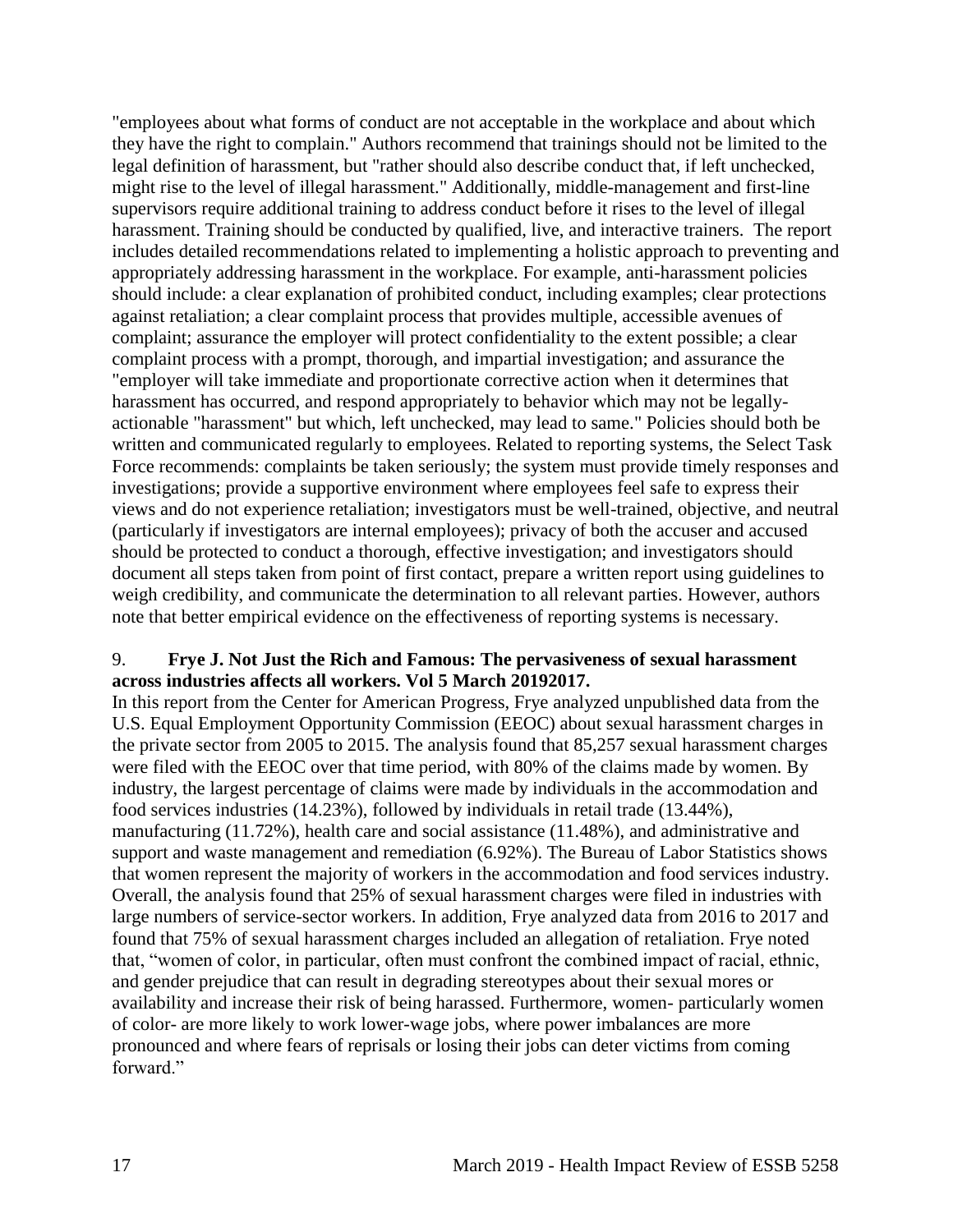"employees about what forms of conduct are not acceptable in the workplace and about which they have the right to complain." Authors recommend that trainings should not be limited to the legal definition of harassment, but "rather should also describe conduct that, if left unchecked, might rise to the level of illegal harassment." Additionally, middle-management and first-line supervisors require additional training to address conduct before it rises to the level of illegal harassment. Training should be conducted by qualified, live, and interactive trainers. The report includes detailed recommendations related to implementing a holistic approach to preventing and appropriately addressing harassment in the workplace. For example, anti-harassment policies should include: a clear explanation of prohibited conduct, including examples; clear protections against retaliation; a clear complaint process that provides multiple, accessible avenues of complaint; assurance the employer will protect confidentiality to the extent possible; a clear complaint process with a prompt, thorough, and impartial investigation; and assurance the "employer will take immediate and proportionate corrective action when it determines that harassment has occurred, and respond appropriately to behavior which may not be legallyactionable "harassment" but which, left unchecked, may lead to same." Policies should both be written and communicated regularly to employees. Related to reporting systems, the Select Task Force recommends: complaints be taken seriously; the system must provide timely responses and investigations; provide a supportive environment where employees feel safe to express their views and do not experience retaliation; investigators must be well-trained, objective, and neutral (particularly if investigators are internal employees); privacy of both the accuser and accused should be protected to conduct a thorough, effective investigation; and investigators should document all steps taken from point of first contact, prepare a written report using guidelines to weigh credibility, and communicate the determination to all relevant parties. However, authors note that better empirical evidence on the effectiveness of reporting systems is necessary.

## 9. **Frye J. Not Just the Rich and Famous: The pervasiveness of sexual harassment across industries affects all workers. Vol 5 March 20192017.**

In this report from the Center for American Progress, Frye analyzed unpublished data from the U.S. Equal Employment Opportunity Commission (EEOC) about sexual harassment charges in the private sector from 2005 to 2015. The analysis found that 85,257 sexual harassment charges were filed with the EEOC over that time period, with 80% of the claims made by women. By industry, the largest percentage of claims were made by individuals in the accommodation and food services industries (14.23%), followed by individuals in retail trade (13.44%), manufacturing (11.72%), health care and social assistance (11.48%), and administrative and support and waste management and remediation (6.92%). The Bureau of Labor Statistics shows that women represent the majority of workers in the accommodation and food services industry. Overall, the analysis found that 25% of sexual harassment charges were filed in industries with large numbers of service-sector workers. In addition, Frye analyzed data from 2016 to 2017 and found that 75% of sexual harassment charges included an allegation of retaliation. Frye noted that, "women of color, in particular, often must confront the combined impact of racial, ethnic, and gender prejudice that can result in degrading stereotypes about their sexual mores or availability and increase their risk of being harassed. Furthermore, women- particularly women of color- are more likely to work lower-wage jobs, where power imbalances are more pronounced and where fears of reprisals or losing their jobs can deter victims from coming forward."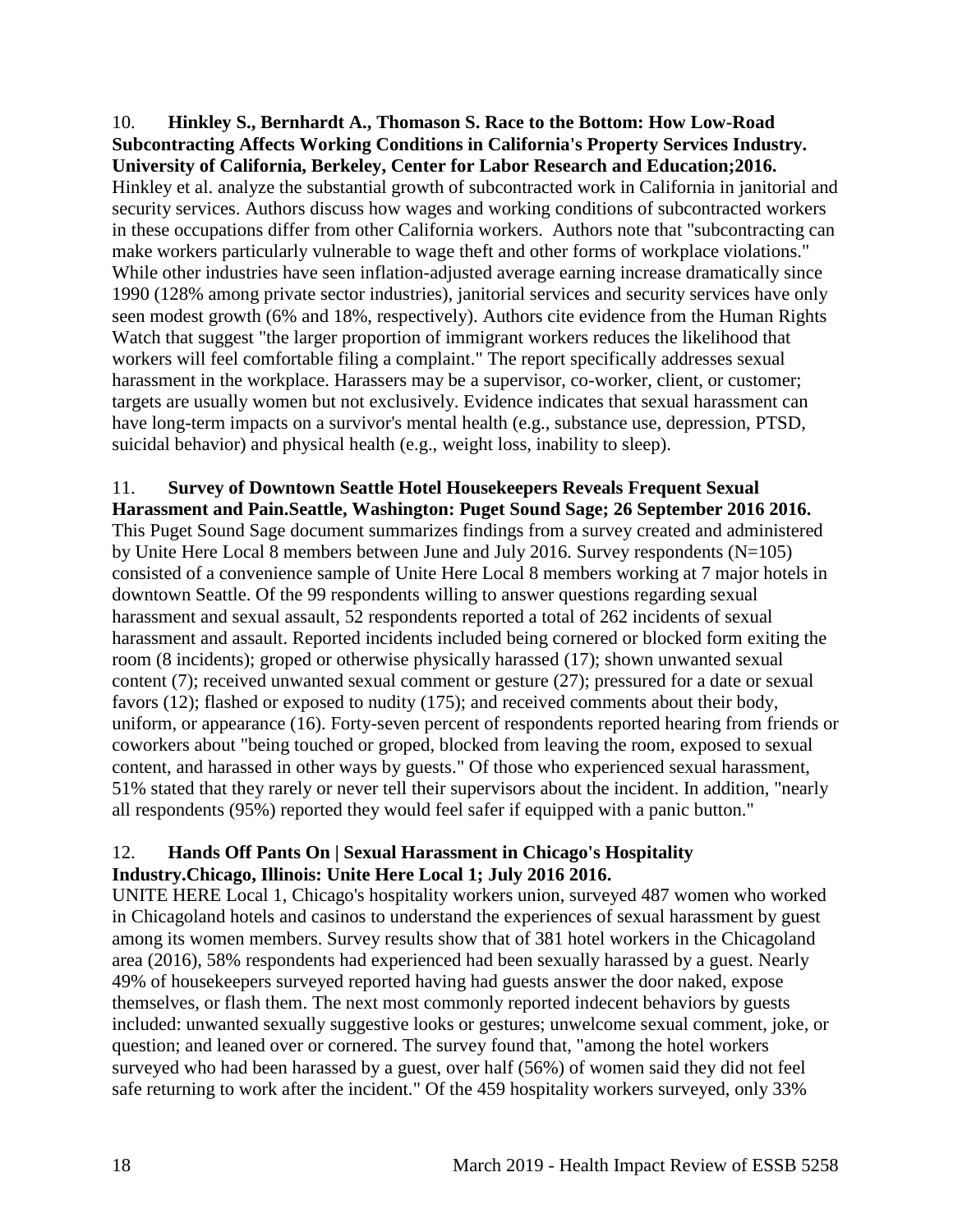<span id="page-20-0"></span>10. **Hinkley S., Bernhardt A., Thomason S. Race to the Bottom: How Low-Road Subcontracting Affects Working Conditions in California's Property Services Industry. University of California, Berkeley, Center for Labor Research and Education;2016.** Hinkley et al. analyze the substantial growth of subcontracted work in California in janitorial and security services. Authors discuss how wages and working conditions of subcontracted workers in these occupations differ from other California workers. Authors note that "subcontracting can make workers particularly vulnerable to wage theft and other forms of workplace violations." While other industries have seen inflation-adjusted average earning increase dramatically since 1990 (128% among private sector industries), janitorial services and security services have only seen modest growth (6% and 18%, respectively). Authors cite evidence from the Human Rights Watch that suggest "the larger proportion of immigrant workers reduces the likelihood that workers will feel comfortable filing a complaint." The report specifically addresses sexual harassment in the workplace. Harassers may be a supervisor, co-worker, client, or customer; targets are usually women but not exclusively. Evidence indicates that sexual harassment can have long-term impacts on a survivor's mental health (e.g., substance use, depression, PTSD, suicidal behavior) and physical health (e.g., weight loss, inability to sleep).

## <span id="page-20-1"></span>11. **Survey of Downtown Seattle Hotel Housekeepers Reveals Frequent Sexual**

**Harassment and Pain.Seattle, Washington: Puget Sound Sage; 26 September 2016 2016.** This Puget Sound Sage document summarizes findings from a survey created and administered by Unite Here Local 8 members between June and July 2016. Survey respondents (N=105) consisted of a convenience sample of Unite Here Local 8 members working at 7 major hotels in downtown Seattle. Of the 99 respondents willing to answer questions regarding sexual harassment and sexual assault, 52 respondents reported a total of 262 incidents of sexual harassment and assault. Reported incidents included being cornered or blocked form exiting the room (8 incidents); groped or otherwise physically harassed (17); shown unwanted sexual content (7); received unwanted sexual comment or gesture (27); pressured for a date or sexual favors (12); flashed or exposed to nudity (175); and received comments about their body, uniform, or appearance (16). Forty-seven percent of respondents reported hearing from friends or coworkers about "being touched or groped, blocked from leaving the room, exposed to sexual content, and harassed in other ways by guests." Of those who experienced sexual harassment, 51% stated that they rarely or never tell their supervisors about the incident. In addition, "nearly all respondents (95%) reported they would feel safer if equipped with a panic button."

## <span id="page-20-2"></span>12. **Hands Off Pants On | Sexual Harassment in Chicago's Hospitality Industry.Chicago, Illinois: Unite Here Local 1; July 2016 2016.**

UNITE HERE Local 1, Chicago's hospitality workers union, surveyed 487 women who worked in Chicagoland hotels and casinos to understand the experiences of sexual harassment by guest among its women members. Survey results show that of 381 hotel workers in the Chicagoland area (2016), 58% respondents had experienced had been sexually harassed by a guest. Nearly 49% of housekeepers surveyed reported having had guests answer the door naked, expose themselves, or flash them. The next most commonly reported indecent behaviors by guests included: unwanted sexually suggestive looks or gestures; unwelcome sexual comment, joke, or question; and leaned over or cornered. The survey found that, "among the hotel workers surveyed who had been harassed by a guest, over half (56%) of women said they did not feel safe returning to work after the incident." Of the 459 hospitality workers surveyed, only 33%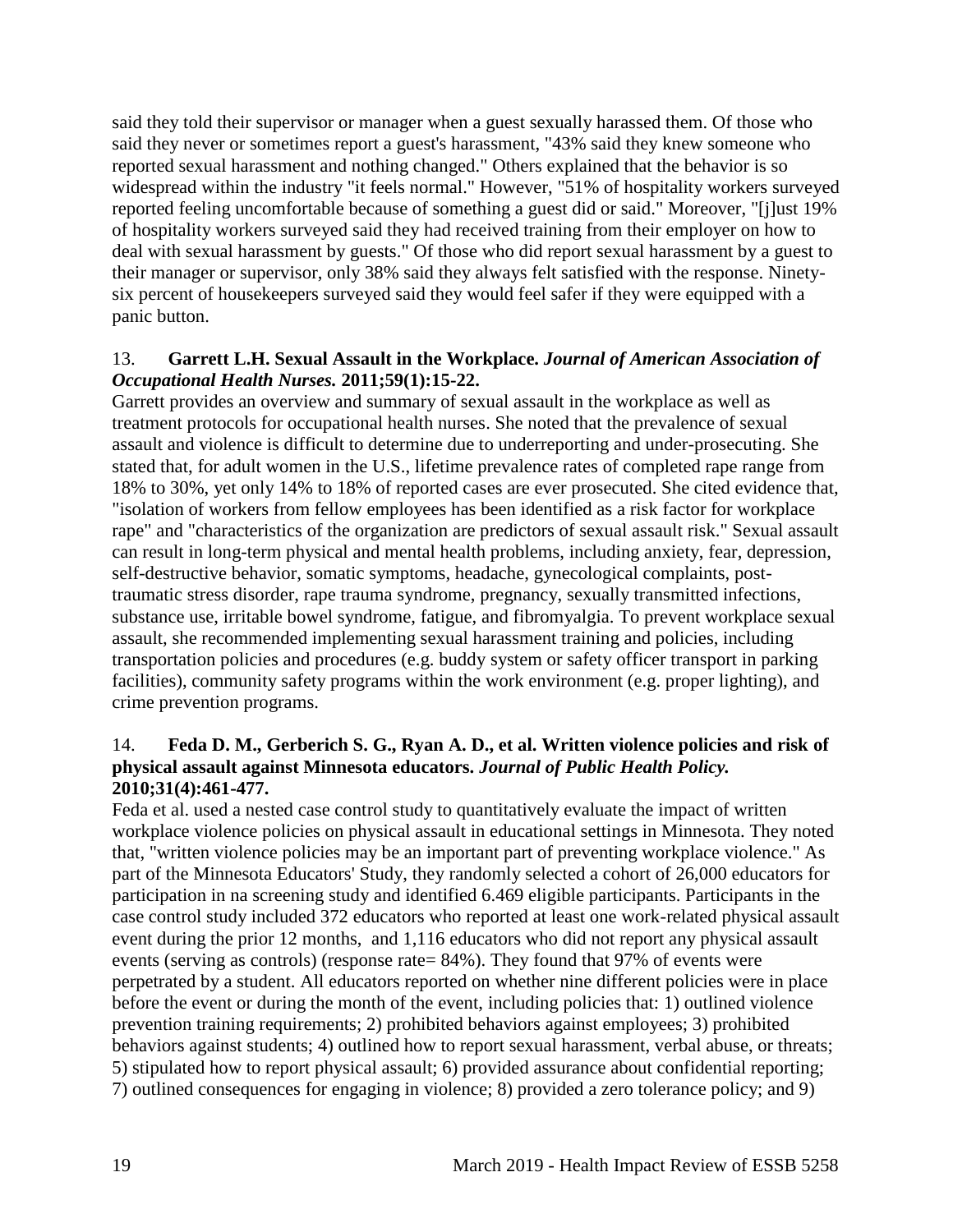said they told their supervisor or manager when a guest sexually harassed them. Of those who said they never or sometimes report a guest's harassment, "43% said they knew someone who reported sexual harassment and nothing changed." Others explained that the behavior is so widespread within the industry "it feels normal." However, "51% of hospitality workers surveyed reported feeling uncomfortable because of something a guest did or said." Moreover, "[j]ust 19% of hospitality workers surveyed said they had received training from their employer on how to deal with sexual harassment by guests." Of those who did report sexual harassment by a guest to their manager or supervisor, only 38% said they always felt satisfied with the response. Ninetysix percent of housekeepers surveyed said they would feel safer if they were equipped with a panic button.

## <span id="page-21-0"></span>13. **Garrett L.H. Sexual Assault in the Workplace.** *Journal of American Association of Occupational Health Nurses.* **2011;59(1):15-22.**

Garrett provides an overview and summary of sexual assault in the workplace as well as treatment protocols for occupational health nurses. She noted that the prevalence of sexual assault and violence is difficult to determine due to underreporting and under-prosecuting. She stated that, for adult women in the U.S., lifetime prevalence rates of completed rape range from 18% to 30%, yet only 14% to 18% of reported cases are ever prosecuted. She cited evidence that, "isolation of workers from fellow employees has been identified as a risk factor for workplace rape" and "characteristics of the organization are predictors of sexual assault risk." Sexual assault can result in long-term physical and mental health problems, including anxiety, fear, depression, self-destructive behavior, somatic symptoms, headache, gynecological complaints, posttraumatic stress disorder, rape trauma syndrome, pregnancy, sexually transmitted infections, substance use, irritable bowel syndrome, fatigue, and fibromyalgia. To prevent workplace sexual assault, she recommended implementing sexual harassment training and policies, including transportation policies and procedures (e.g. buddy system or safety officer transport in parking facilities), community safety programs within the work environment (e.g. proper lighting), and crime prevention programs.

#### 14. **Feda D. M., Gerberich S. G., Ryan A. D., et al. Written violence policies and risk of physical assault against Minnesota educators.** *Journal of Public Health Policy.*  **2010;31(4):461-477.**

Feda et al. used a nested case control study to quantitatively evaluate the impact of written workplace violence policies on physical assault in educational settings in Minnesota. They noted that, "written violence policies may be an important part of preventing workplace violence." As part of the Minnesota Educators' Study, they randomly selected a cohort of 26,000 educators for participation in na screening study and identified 6.469 eligible participants. Participants in the case control study included 372 educators who reported at least one work-related physical assault event during the prior 12 months, and 1,116 educators who did not report any physical assault events (serving as controls) (response rate= 84%). They found that 97% of events were perpetrated by a student. All educators reported on whether nine different policies were in place before the event or during the month of the event, including policies that: 1) outlined violence prevention training requirements; 2) prohibited behaviors against employees; 3) prohibited behaviors against students; 4) outlined how to report sexual harassment, verbal abuse, or threats; 5) stipulated how to report physical assault; 6) provided assurance about confidential reporting; 7) outlined consequences for engaging in violence; 8) provided a zero tolerance policy; and 9)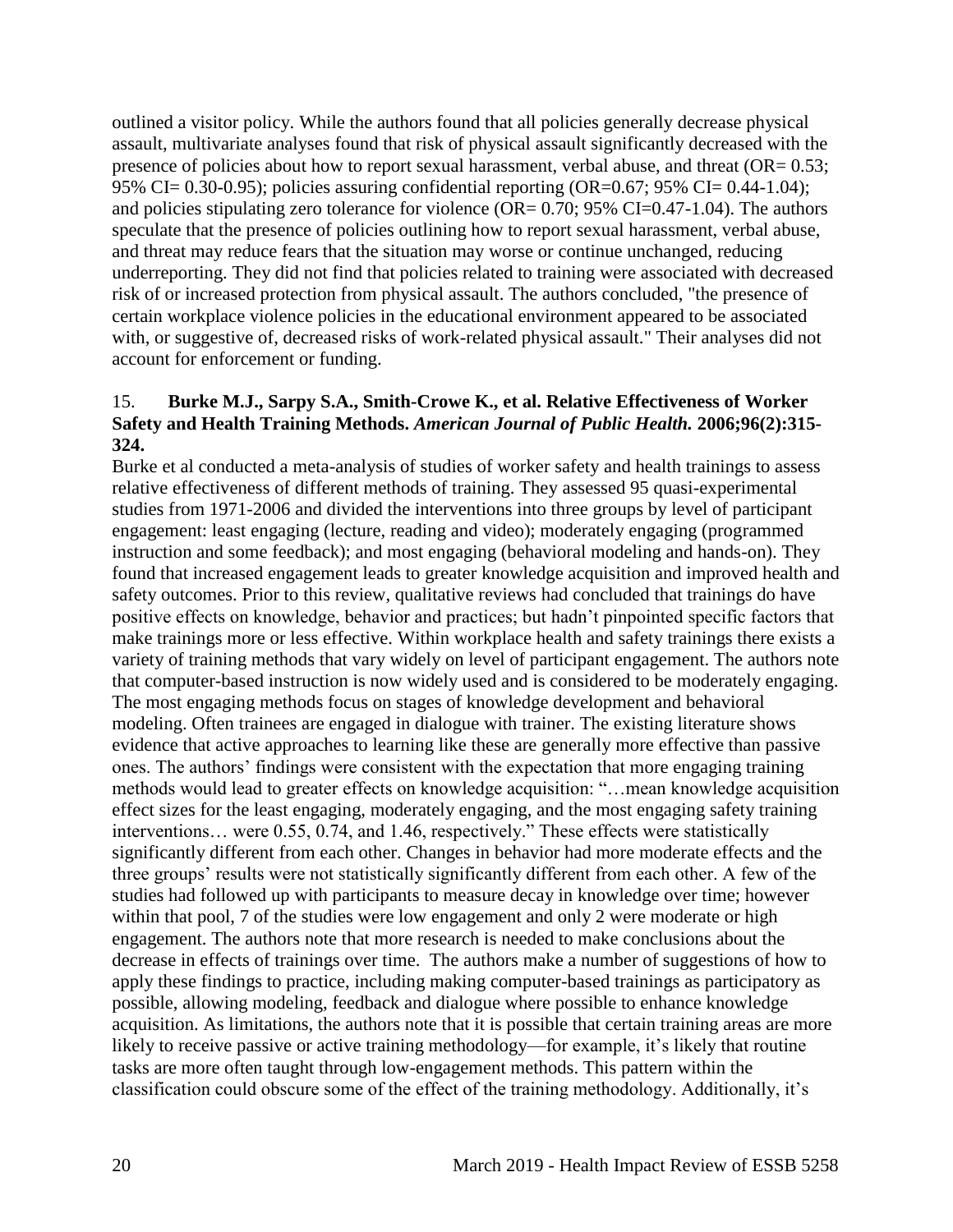outlined a visitor policy. While the authors found that all policies generally decrease physical assault, multivariate analyses found that risk of physical assault significantly decreased with the presence of policies about how to report sexual harassment, verbal abuse, and threat  $OR = 0.53$ ; 95% CI= 0.30-0.95); policies assuring confidential reporting (OR=0.67; 95% CI= 0.44-1.04); and policies stipulating zero tolerance for violence  $OR = 0.70$ ; 95% CI=0.47-1.04). The authors speculate that the presence of policies outlining how to report sexual harassment, verbal abuse, and threat may reduce fears that the situation may worse or continue unchanged, reducing underreporting. They did not find that policies related to training were associated with decreased risk of or increased protection from physical assault. The authors concluded, "the presence of certain workplace violence policies in the educational environment appeared to be associated with, or suggestive of, decreased risks of work-related physical assault." Their analyses did not account for enforcement or funding.

## 15. **Burke M.J., Sarpy S.A., Smith-Crowe K., et al. Relative Effectiveness of Worker Safety and Health Training Methods.** *American Journal of Public Health.* **2006;96(2):315- 324.**

Burke et al conducted a meta-analysis of studies of worker safety and health trainings to assess relative effectiveness of different methods of training. They assessed 95 quasi-experimental studies from 1971-2006 and divided the interventions into three groups by level of participant engagement: least engaging (lecture, reading and video); moderately engaging (programmed instruction and some feedback); and most engaging (behavioral modeling and hands-on). They found that increased engagement leads to greater knowledge acquisition and improved health and safety outcomes. Prior to this review, qualitative reviews had concluded that trainings do have positive effects on knowledge, behavior and practices; but hadn't pinpointed specific factors that make trainings more or less effective. Within workplace health and safety trainings there exists a variety of training methods that vary widely on level of participant engagement. The authors note that computer-based instruction is now widely used and is considered to be moderately engaging. The most engaging methods focus on stages of knowledge development and behavioral modeling. Often trainees are engaged in dialogue with trainer. The existing literature shows evidence that active approaches to learning like these are generally more effective than passive ones. The authors' findings were consistent with the expectation that more engaging training methods would lead to greater effects on knowledge acquisition: "…mean knowledge acquisition effect sizes for the least engaging, moderately engaging, and the most engaging safety training interventions… were 0.55, 0.74, and 1.46, respectively." These effects were statistically significantly different from each other. Changes in behavior had more moderate effects and the three groups' results were not statistically significantly different from each other. A few of the studies had followed up with participants to measure decay in knowledge over time; however within that pool, 7 of the studies were low engagement and only 2 were moderate or high engagement. The authors note that more research is needed to make conclusions about the decrease in effects of trainings over time. The authors make a number of suggestions of how to apply these findings to practice, including making computer-based trainings as participatory as possible, allowing modeling, feedback and dialogue where possible to enhance knowledge acquisition. As limitations, the authors note that it is possible that certain training areas are more likely to receive passive or active training methodology—for example, it's likely that routine tasks are more often taught through low-engagement methods. This pattern within the classification could obscure some of the effect of the training methodology. Additionally, it's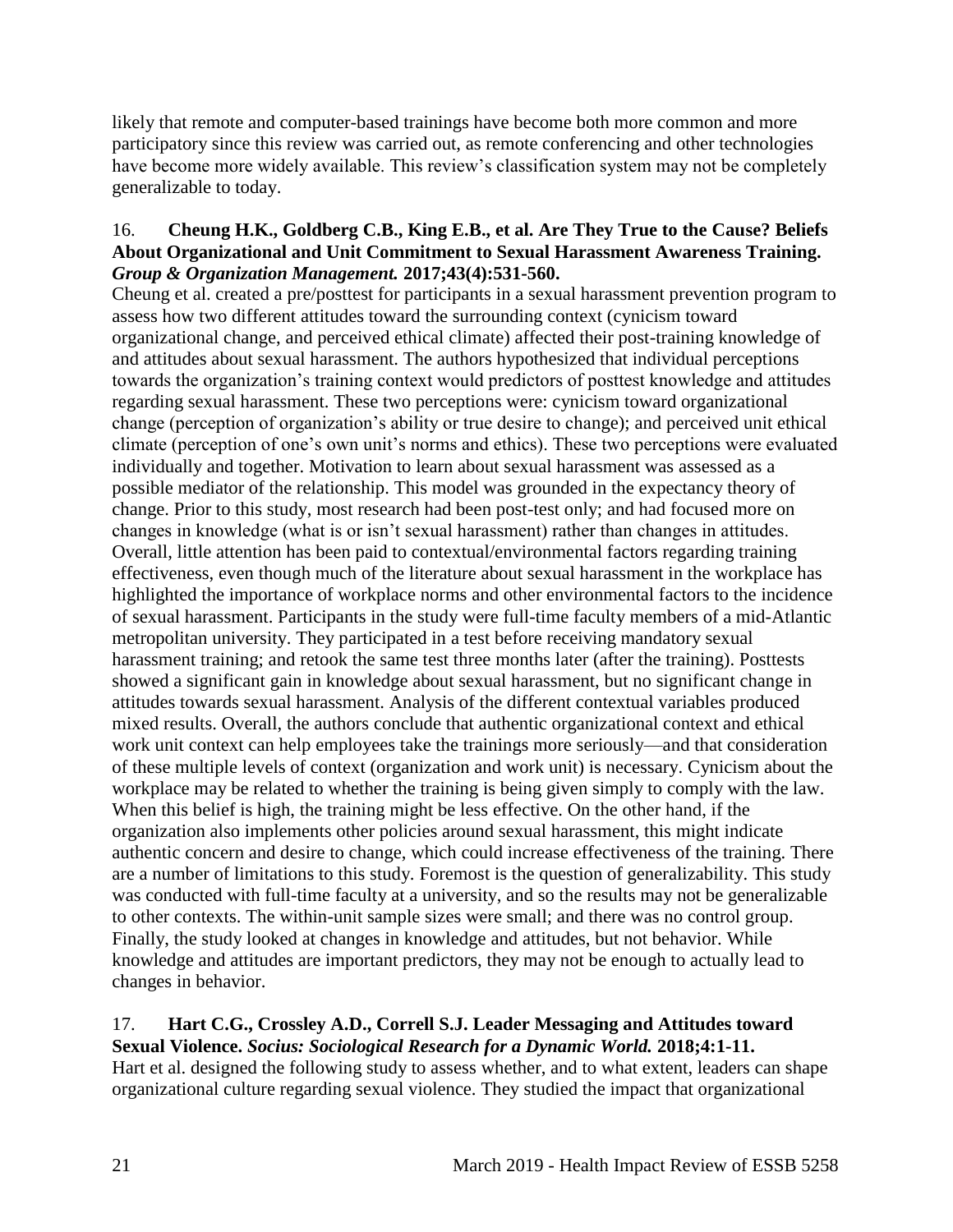likely that remote and computer-based trainings have become both more common and more participatory since this review was carried out, as remote conferencing and other technologies have become more widely available. This review's classification system may not be completely generalizable to today.

## <span id="page-23-0"></span>16. **Cheung H.K., Goldberg C.B., King E.B., et al. Are They True to the Cause? Beliefs About Organizational and Unit Commitment to Sexual Harassment Awareness Training.**  *Group & Organization Management.* **2017;43(4):531-560.**

Cheung et al. created a pre/posttest for participants in a sexual harassment prevention program to assess how two different attitudes toward the surrounding context (cynicism toward organizational change, and perceived ethical climate) affected their post-training knowledge of and attitudes about sexual harassment. The authors hypothesized that individual perceptions towards the organization's training context would predictors of posttest knowledge and attitudes regarding sexual harassment. These two perceptions were: cynicism toward organizational change (perception of organization's ability or true desire to change); and perceived unit ethical climate (perception of one's own unit's norms and ethics). These two perceptions were evaluated individually and together. Motivation to learn about sexual harassment was assessed as a possible mediator of the relationship. This model was grounded in the expectancy theory of change. Prior to this study, most research had been post-test only; and had focused more on changes in knowledge (what is or isn't sexual harassment) rather than changes in attitudes. Overall, little attention has been paid to contextual/environmental factors regarding training effectiveness, even though much of the literature about sexual harassment in the workplace has highlighted the importance of workplace norms and other environmental factors to the incidence of sexual harassment. Participants in the study were full-time faculty members of a mid-Atlantic metropolitan university. They participated in a test before receiving mandatory sexual harassment training; and retook the same test three months later (after the training). Posttests showed a significant gain in knowledge about sexual harassment, but no significant change in attitudes towards sexual harassment. Analysis of the different contextual variables produced mixed results. Overall, the authors conclude that authentic organizational context and ethical work unit context can help employees take the trainings more seriously—and that consideration of these multiple levels of context (organization and work unit) is necessary. Cynicism about the workplace may be related to whether the training is being given simply to comply with the law. When this belief is high, the training might be less effective. On the other hand, if the organization also implements other policies around sexual harassment, this might indicate authentic concern and desire to change, which could increase effectiveness of the training. There are a number of limitations to this study. Foremost is the question of generalizability. This study was conducted with full-time faculty at a university, and so the results may not be generalizable to other contexts. The within-unit sample sizes were small; and there was no control group. Finally, the study looked at changes in knowledge and attitudes, but not behavior. While knowledge and attitudes are important predictors, they may not be enough to actually lead to changes in behavior.

# <span id="page-23-1"></span>17. **Hart C.G., Crossley A.D., Correll S.J. Leader Messaging and Attitudes toward**

**Sexual Violence.** *Socius: Sociological Research for a Dynamic World.* **2018;4:1-11.** Hart et al. designed the following study to assess whether, and to what extent, leaders can shape organizational culture regarding sexual violence. They studied the impact that organizational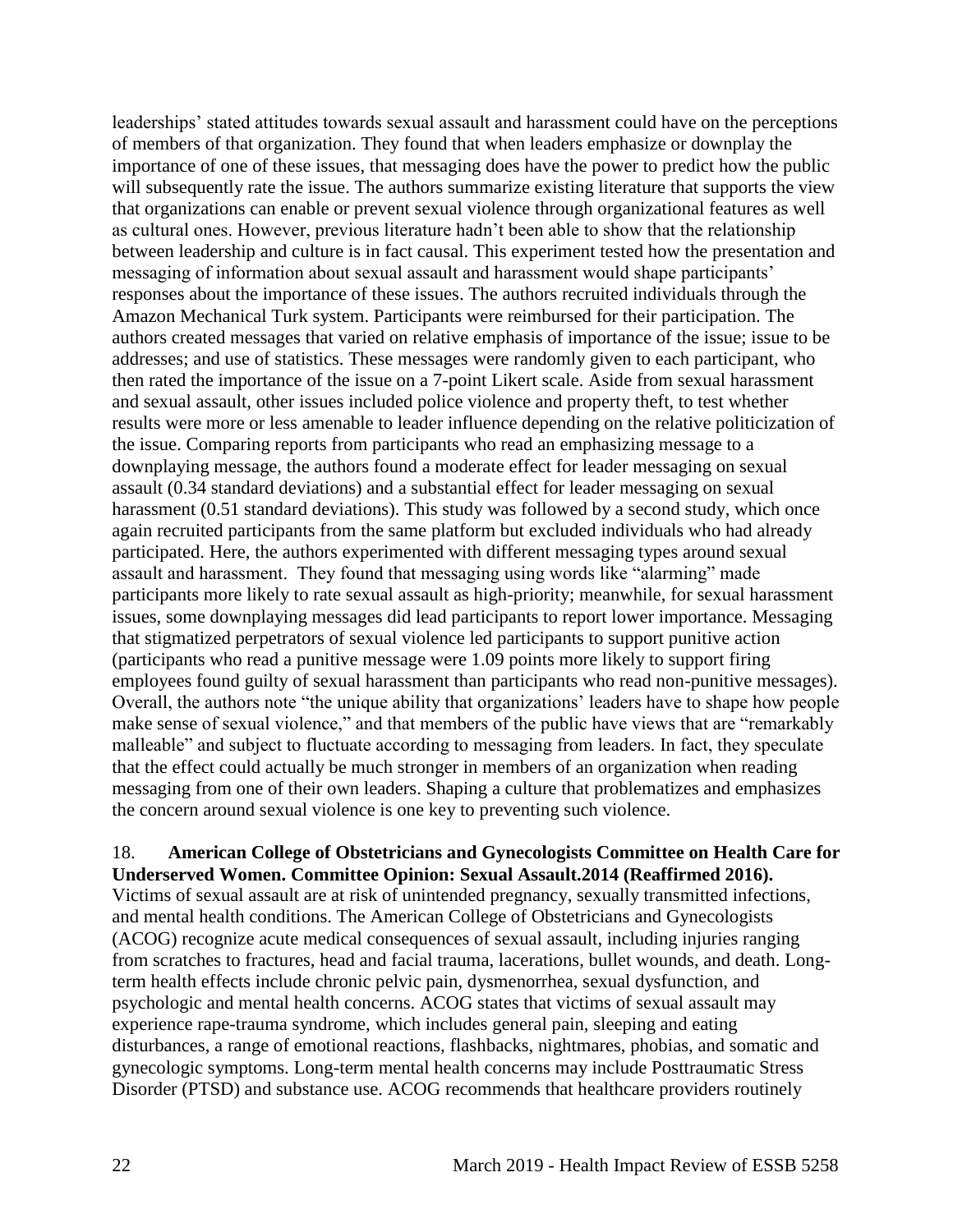leaderships' stated attitudes towards sexual assault and harassment could have on the perceptions of members of that organization. They found that when leaders emphasize or downplay the importance of one of these issues, that messaging does have the power to predict how the public will subsequently rate the issue. The authors summarize existing literature that supports the view that organizations can enable or prevent sexual violence through organizational features as well as cultural ones. However, previous literature hadn't been able to show that the relationship between leadership and culture is in fact causal. This experiment tested how the presentation and messaging of information about sexual assault and harassment would shape participants' responses about the importance of these issues. The authors recruited individuals through the Amazon Mechanical Turk system. Participants were reimbursed for their participation. The authors created messages that varied on relative emphasis of importance of the issue; issue to be addresses; and use of statistics. These messages were randomly given to each participant, who then rated the importance of the issue on a 7-point Likert scale. Aside from sexual harassment and sexual assault, other issues included police violence and property theft, to test whether results were more or less amenable to leader influence depending on the relative politicization of the issue. Comparing reports from participants who read an emphasizing message to a downplaying message, the authors found a moderate effect for leader messaging on sexual assault (0.34 standard deviations) and a substantial effect for leader messaging on sexual harassment (0.51 standard deviations). This study was followed by a second study, which once again recruited participants from the same platform but excluded individuals who had already participated. Here, the authors experimented with different messaging types around sexual assault and harassment. They found that messaging using words like "alarming" made participants more likely to rate sexual assault as high-priority; meanwhile, for sexual harassment issues, some downplaying messages did lead participants to report lower importance. Messaging that stigmatized perpetrators of sexual violence led participants to support punitive action (participants who read a punitive message were 1.09 points more likely to support firing employees found guilty of sexual harassment than participants who read non-punitive messages). Overall, the authors note "the unique ability that organizations' leaders have to shape how people make sense of sexual violence," and that members of the public have views that are "remarkably malleable" and subject to fluctuate according to messaging from leaders. In fact, they speculate that the effect could actually be much stronger in members of an organization when reading messaging from one of their own leaders. Shaping a culture that problematizes and emphasizes the concern around sexual violence is one key to preventing such violence.

## <span id="page-24-0"></span>18. **American College of Obstetricians and Gynecologists Committee on Health Care for Underserved Women. Committee Opinion: Sexual Assault.2014 (Reaffirmed 2016).**

Victims of sexual assault are at risk of unintended pregnancy, sexually transmitted infections, and mental health conditions. The American College of Obstetricians and Gynecologists (ACOG) recognize acute medical consequences of sexual assault, including injuries ranging from scratches to fractures, head and facial trauma, lacerations, bullet wounds, and death. Longterm health effects include chronic pelvic pain, dysmenorrhea, sexual dysfunction, and psychologic and mental health concerns. ACOG states that victims of sexual assault may experience rape-trauma syndrome, which includes general pain, sleeping and eating disturbances, a range of emotional reactions, flashbacks, nightmares, phobias, and somatic and gynecologic symptoms. Long-term mental health concerns may include Posttraumatic Stress Disorder (PTSD) and substance use. ACOG recommends that healthcare providers routinely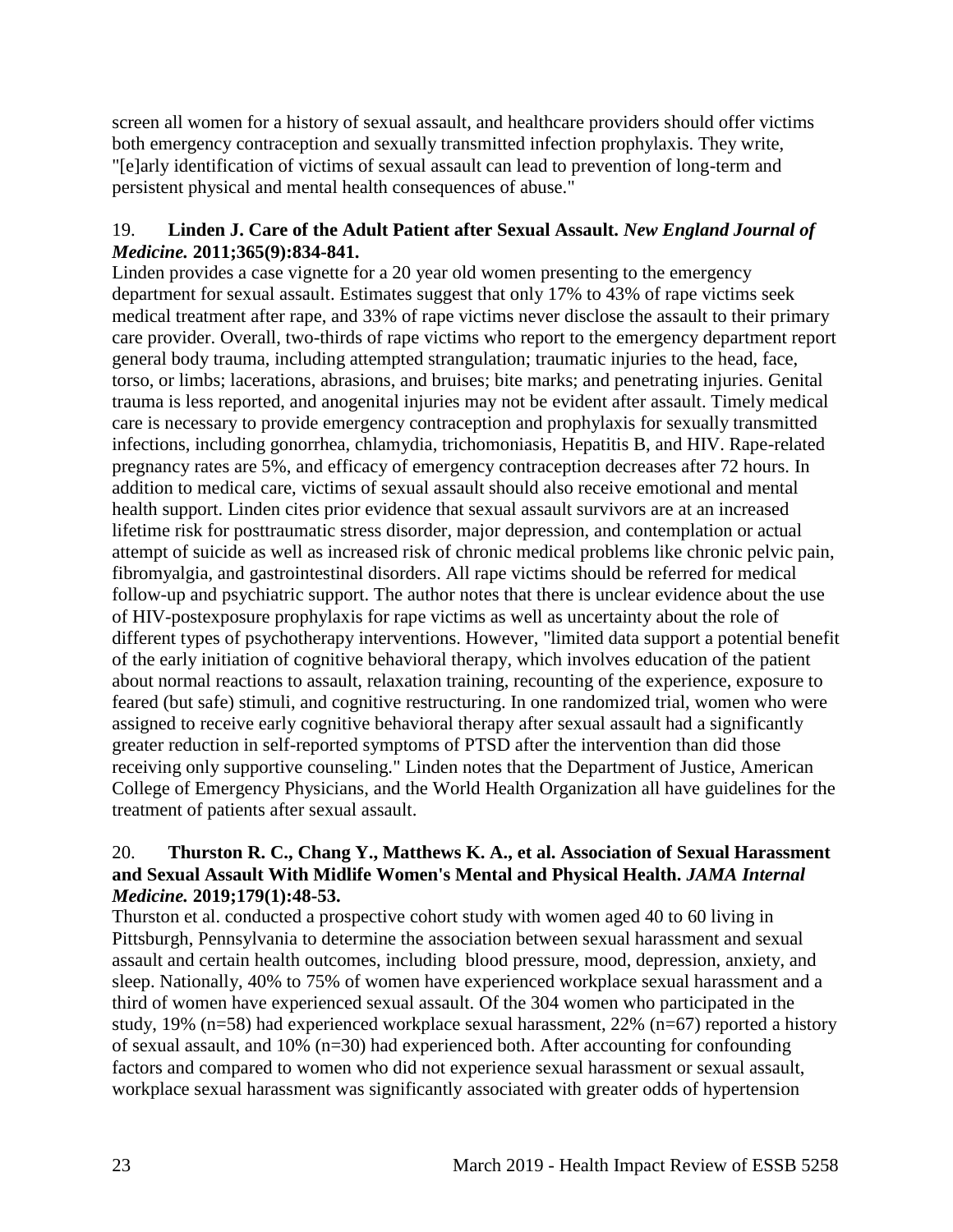screen all women for a history of sexual assault, and healthcare providers should offer victims both emergency contraception and sexually transmitted infection prophylaxis. They write, "[e]arly identification of victims of sexual assault can lead to prevention of long-term and persistent physical and mental health consequences of abuse."

## 19. **Linden J. Care of the Adult Patient after Sexual Assault.** *New England Journal of Medicine.* **2011;365(9):834-841.**

Linden provides a case vignette for a 20 year old women presenting to the emergency department for sexual assault. Estimates suggest that only 17% to 43% of rape victims seek medical treatment after rape, and 33% of rape victims never disclose the assault to their primary care provider. Overall, two-thirds of rape victims who report to the emergency department report general body trauma, including attempted strangulation; traumatic injuries to the head, face, torso, or limbs; lacerations, abrasions, and bruises; bite marks; and penetrating injuries. Genital trauma is less reported, and anogenital injuries may not be evident after assault. Timely medical care is necessary to provide emergency contraception and prophylaxis for sexually transmitted infections, including gonorrhea, chlamydia, trichomoniasis, Hepatitis B, and HIV. Rape-related pregnancy rates are 5%, and efficacy of emergency contraception decreases after 72 hours. In addition to medical care, victims of sexual assault should also receive emotional and mental health support. Linden cites prior evidence that sexual assault survivors are at an increased lifetime risk for posttraumatic stress disorder, major depression, and contemplation or actual attempt of suicide as well as increased risk of chronic medical problems like chronic pelvic pain, fibromyalgia, and gastrointestinal disorders. All rape victims should be referred for medical follow-up and psychiatric support. The author notes that there is unclear evidence about the use of HIV-postexposure prophylaxis for rape victims as well as uncertainty about the role of different types of psychotherapy interventions. However, "limited data support a potential benefit of the early initiation of cognitive behavioral therapy, which involves education of the patient about normal reactions to assault, relaxation training, recounting of the experience, exposure to feared (but safe) stimuli, and cognitive restructuring. In one randomized trial, women who were assigned to receive early cognitive behavioral therapy after sexual assault had a significantly greater reduction in self-reported symptoms of PTSD after the intervention than did those receiving only supportive counseling." Linden notes that the Department of Justice, American College of Emergency Physicians, and the World Health Organization all have guidelines for the treatment of patients after sexual assault.

## 20. **Thurston R. C., Chang Y., Matthews K. A., et al. Association of Sexual Harassment and Sexual Assault With Midlife Women's Mental and Physical Health.** *JAMA Internal Medicine.* **2019;179(1):48-53.**

Thurston et al. conducted a prospective cohort study with women aged 40 to 60 living in Pittsburgh, Pennsylvania to determine the association between sexual harassment and sexual assault and certain health outcomes, including blood pressure, mood, depression, anxiety, and sleep. Nationally, 40% to 75% of women have experienced workplace sexual harassment and a third of women have experienced sexual assault. Of the 304 women who participated in the study, 19% (n=58) had experienced workplace sexual harassment, 22% (n=67) reported a history of sexual assault, and 10% (n=30) had experienced both. After accounting for confounding factors and compared to women who did not experience sexual harassment or sexual assault, workplace sexual harassment was significantly associated with greater odds of hypertension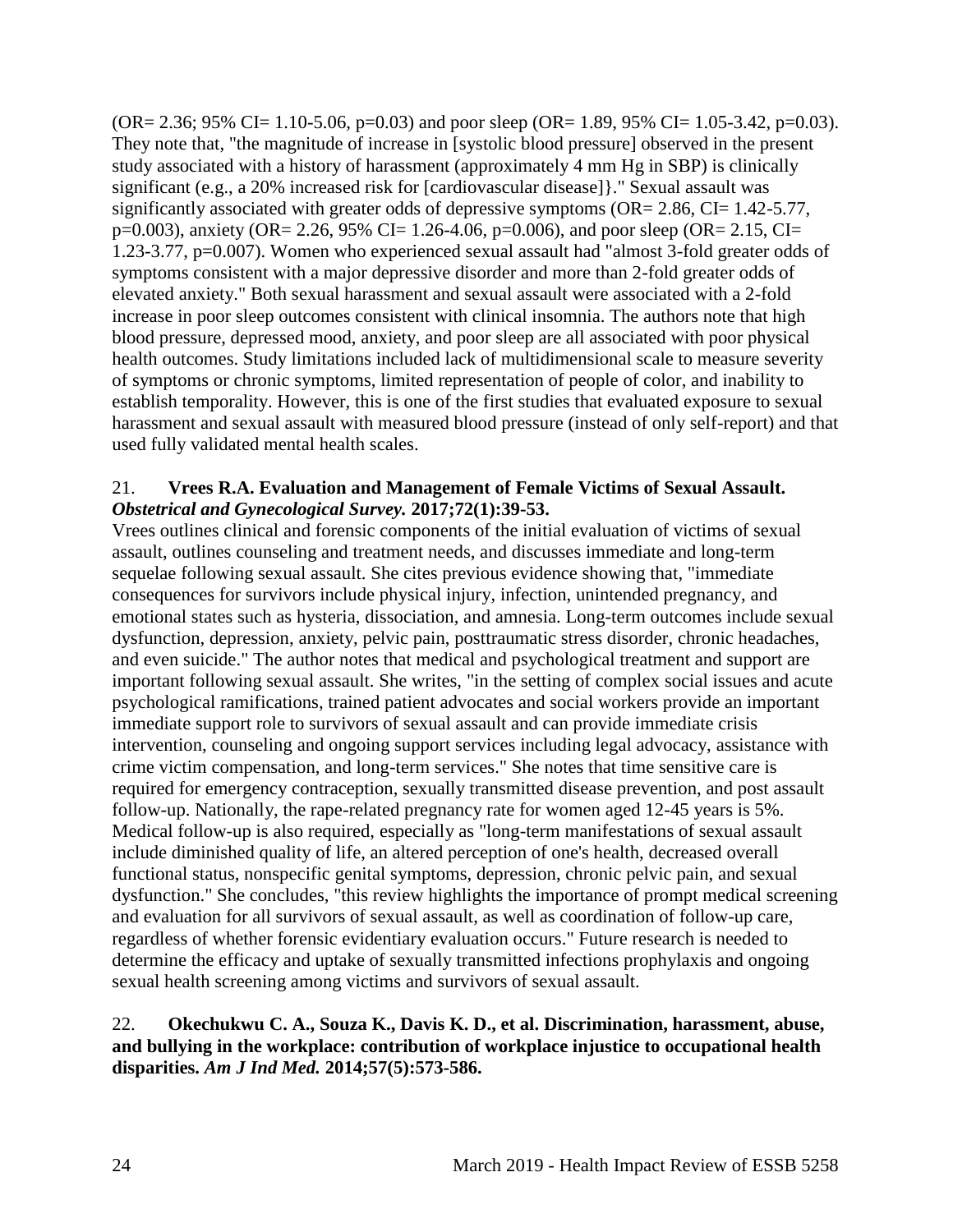$(OR = 2.36; 95\% CI = 1.10-5.06, p=0.03)$  and poor sleep  $(OR = 1.89, 95\% CI = 1.05-3.42, p=0.03)$ . They note that, "the magnitude of increase in [systolic blood pressure] observed in the present study associated with a history of harassment (approximately 4 mm Hg in SBP) is clinically significant (e.g., a 20% increased risk for [cardiovascular disease]}." Sexual assault was significantly associated with greater odds of depressive symptoms (OR= 2.86, CI= 1.42-5.77, p=0.003), anxiety (OR= 2.26, 95% CI= 1.26-4.06, p=0.006), and poor sleep (OR= 2.15, CI= 1.23-3.77, p=0.007). Women who experienced sexual assault had "almost 3-fold greater odds of symptoms consistent with a major depressive disorder and more than 2-fold greater odds of elevated anxiety." Both sexual harassment and sexual assault were associated with a 2-fold increase in poor sleep outcomes consistent with clinical insomnia. The authors note that high blood pressure, depressed mood, anxiety, and poor sleep are all associated with poor physical health outcomes. Study limitations included lack of multidimensional scale to measure severity of symptoms or chronic symptoms, limited representation of people of color, and inability to establish temporality. However, this is one of the first studies that evaluated exposure to sexual harassment and sexual assault with measured blood pressure (instead of only self-report) and that used fully validated mental health scales.

## 21. **Vrees R.A. Evaluation and Management of Female Victims of Sexual Assault.**  *Obstetrical and Gynecological Survey.* **2017;72(1):39-53.**

Vrees outlines clinical and forensic components of the initial evaluation of victims of sexual assault, outlines counseling and treatment needs, and discusses immediate and long-term sequelae following sexual assault. She cites previous evidence showing that, "immediate consequences for survivors include physical injury, infection, unintended pregnancy, and emotional states such as hysteria, dissociation, and amnesia. Long-term outcomes include sexual dysfunction, depression, anxiety, pelvic pain, posttraumatic stress disorder, chronic headaches, and even suicide." The author notes that medical and psychological treatment and support are important following sexual assault. She writes, "in the setting of complex social issues and acute psychological ramifications, trained patient advocates and social workers provide an important immediate support role to survivors of sexual assault and can provide immediate crisis intervention, counseling and ongoing support services including legal advocacy, assistance with crime victim compensation, and long-term services." She notes that time sensitive care is required for emergency contraception, sexually transmitted disease prevention, and post assault follow-up. Nationally, the rape-related pregnancy rate for women aged 12-45 years is 5%. Medical follow-up is also required, especially as "long-term manifestations of sexual assault include diminished quality of life, an altered perception of one's health, decreased overall functional status, nonspecific genital symptoms, depression, chronic pelvic pain, and sexual dysfunction." She concludes, "this review highlights the importance of prompt medical screening and evaluation for all survivors of sexual assault, as well as coordination of follow-up care, regardless of whether forensic evidentiary evaluation occurs." Future research is needed to determine the efficacy and uptake of sexually transmitted infections prophylaxis and ongoing sexual health screening among victims and survivors of sexual assault.

## <span id="page-26-0"></span>22. **Okechukwu C. A., Souza K., Davis K. D., et al. Discrimination, harassment, abuse, and bullying in the workplace: contribution of workplace injustice to occupational health disparities.** *Am J Ind Med.* **2014;57(5):573-586.**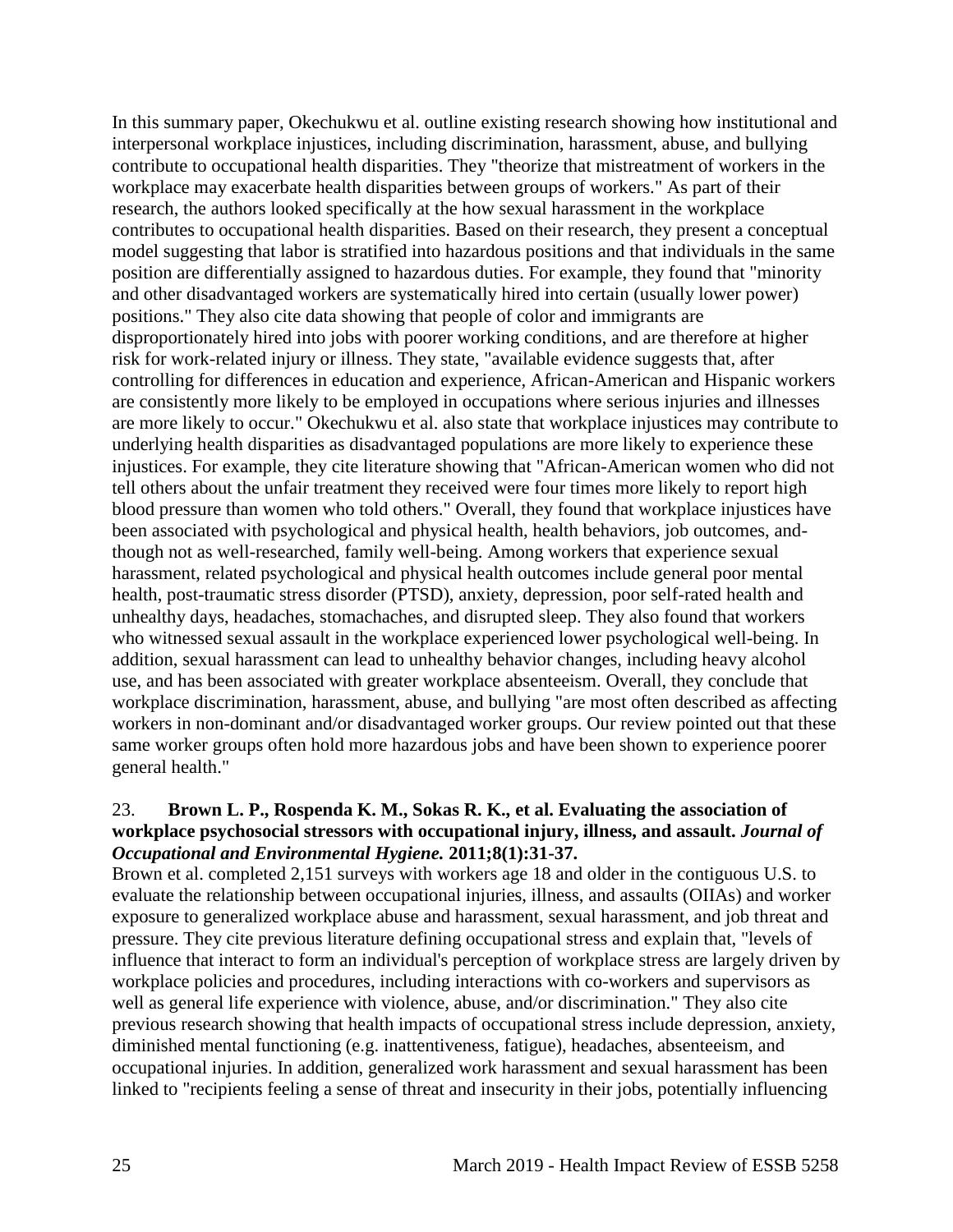In this summary paper, Okechukwu et al. outline existing research showing how institutional and interpersonal workplace injustices, including discrimination, harassment, abuse, and bullying contribute to occupational health disparities. They "theorize that mistreatment of workers in the workplace may exacerbate health disparities between groups of workers." As part of their research, the authors looked specifically at the how sexual harassment in the workplace contributes to occupational health disparities. Based on their research, they present a conceptual model suggesting that labor is stratified into hazardous positions and that individuals in the same position are differentially assigned to hazardous duties. For example, they found that "minority and other disadvantaged workers are systematically hired into certain (usually lower power) positions." They also cite data showing that people of color and immigrants are disproportionately hired into jobs with poorer working conditions, and are therefore at higher risk for work-related injury or illness. They state, "available evidence suggests that, after controlling for differences in education and experience, African-American and Hispanic workers are consistently more likely to be employed in occupations where serious injuries and illnesses are more likely to occur." Okechukwu et al. also state that workplace injustices may contribute to underlying health disparities as disadvantaged populations are more likely to experience these injustices. For example, they cite literature showing that "African-American women who did not tell others about the unfair treatment they received were four times more likely to report high blood pressure than women who told others." Overall, they found that workplace injustices have been associated with psychological and physical health, health behaviors, job outcomes, andthough not as well-researched, family well-being. Among workers that experience sexual harassment, related psychological and physical health outcomes include general poor mental health, post-traumatic stress disorder (PTSD), anxiety, depression, poor self-rated health and unhealthy days, headaches, stomachaches, and disrupted sleep. They also found that workers who witnessed sexual assault in the workplace experienced lower psychological well-being. In addition, sexual harassment can lead to unhealthy behavior changes, including heavy alcohol use, and has been associated with greater workplace absenteeism. Overall, they conclude that workplace discrimination, harassment, abuse, and bullying "are most often described as affecting workers in non-dominant and/or disadvantaged worker groups. Our review pointed out that these same worker groups often hold more hazardous jobs and have been shown to experience poorer general health."

#### 23. **Brown L. P., Rospenda K. M., Sokas R. K., et al. Evaluating the association of workplace psychosocial stressors with occupational injury, illness, and assault.** *Journal of Occupational and Environmental Hygiene.* **2011;8(1):31-37.**

Brown et al. completed 2,151 surveys with workers age 18 and older in the contiguous U.S. to evaluate the relationship between occupational injuries, illness, and assaults (OIIAs) and worker exposure to generalized workplace abuse and harassment, sexual harassment, and job threat and pressure. They cite previous literature defining occupational stress and explain that, "levels of influence that interact to form an individual's perception of workplace stress are largely driven by workplace policies and procedures, including interactions with co-workers and supervisors as well as general life experience with violence, abuse, and/or discrimination." They also cite previous research showing that health impacts of occupational stress include depression, anxiety, diminished mental functioning (e.g. inattentiveness, fatigue), headaches, absenteeism, and occupational injuries. In addition, generalized work harassment and sexual harassment has been linked to "recipients feeling a sense of threat and insecurity in their jobs, potentially influencing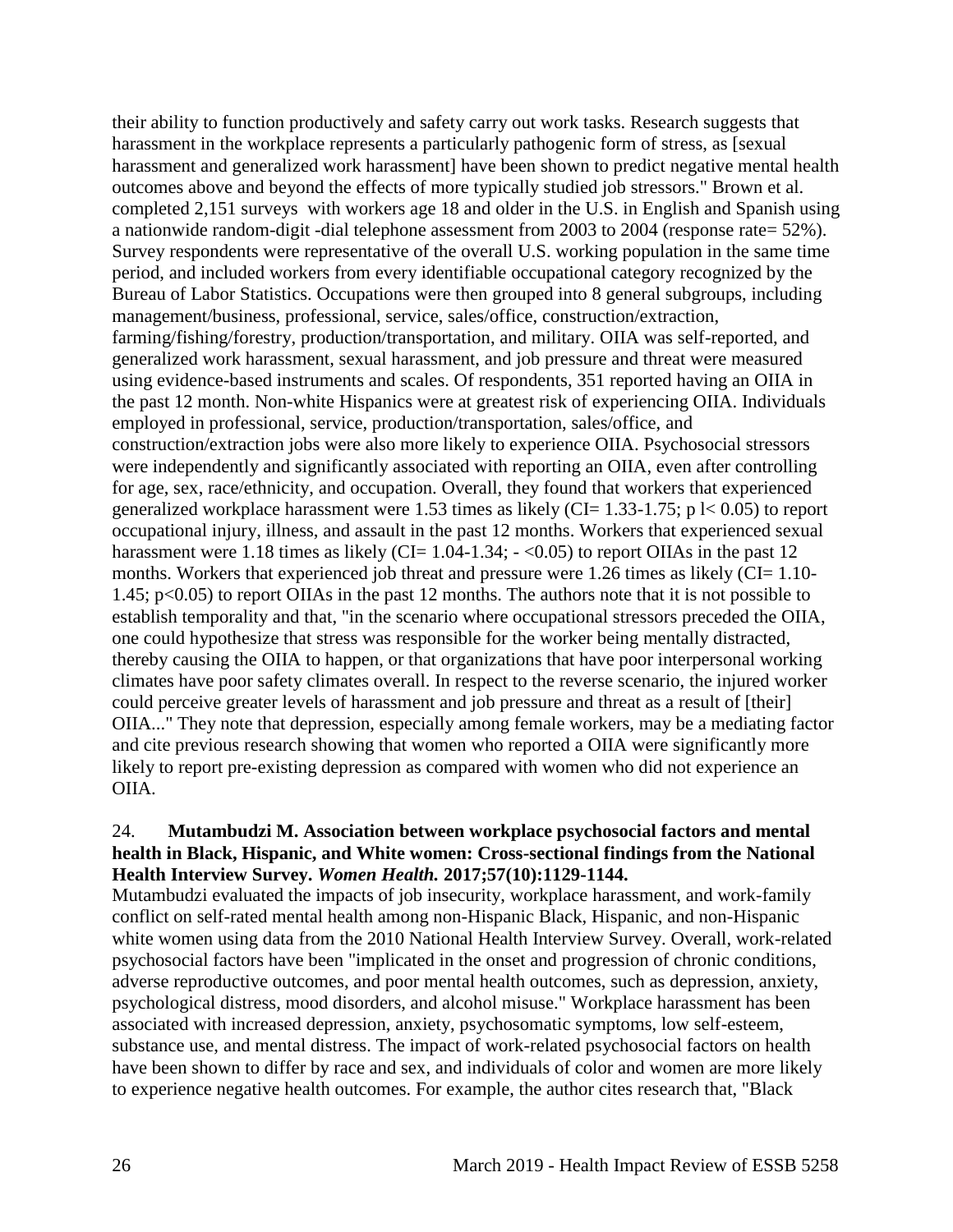their ability to function productively and safety carry out work tasks. Research suggests that harassment in the workplace represents a particularly pathogenic form of stress, as [sexual harassment and generalized work harassment] have been shown to predict negative mental health outcomes above and beyond the effects of more typically studied job stressors." Brown et al. completed 2,151 surveys with workers age 18 and older in the U.S. in English and Spanish using a nationwide random-digit -dial telephone assessment from 2003 to 2004 (response rate= 52%). Survey respondents were representative of the overall U.S. working population in the same time period, and included workers from every identifiable occupational category recognized by the Bureau of Labor Statistics. Occupations were then grouped into 8 general subgroups, including management/business, professional, service, sales/office, construction/extraction, farming/fishing/forestry, production/transportation, and military. OIIA was self-reported, and generalized work harassment, sexual harassment, and job pressure and threat were measured using evidence-based instruments and scales. Of respondents, 351 reported having an OIIA in the past 12 month. Non-white Hispanics were at greatest risk of experiencing OIIA. Individuals employed in professional, service, production/transportation, sales/office, and construction/extraction jobs were also more likely to experience OIIA. Psychosocial stressors were independently and significantly associated with reporting an OIIA, even after controlling for age, sex, race/ethnicity, and occupation. Overall, they found that workers that experienced generalized workplace harassment were 1.53 times as likely (CI= 1.33-1.75; p  $\vert$  < 0.05) to report occupational injury, illness, and assault in the past 12 months. Workers that experienced sexual harassment were 1.18 times as likely (CI=  $1.04$ -1.34;  $-$  <0.05) to report OIIAs in the past 12 months. Workers that experienced job threat and pressure were 1.26 times as likely (CI= 1.10-1.45; p<0.05) to report OIIAs in the past 12 months. The authors note that it is not possible to establish temporality and that, "in the scenario where occupational stressors preceded the OIIA, one could hypothesize that stress was responsible for the worker being mentally distracted, thereby causing the OIIA to happen, or that organizations that have poor interpersonal working climates have poor safety climates overall. In respect to the reverse scenario, the injured worker could perceive greater levels of harassment and job pressure and threat as a result of [their] OIIA..." They note that depression, especially among female workers, may be a mediating factor and cite previous research showing that women who reported a OIIA were significantly more likely to report pre-existing depression as compared with women who did not experience an OIIA.

## <span id="page-28-0"></span>24. **Mutambudzi M. Association between workplace psychosocial factors and mental health in Black, Hispanic, and White women: Cross-sectional findings from the National Health Interview Survey.** *Women Health.* **2017;57(10):1129-1144.**

Mutambudzi evaluated the impacts of job insecurity, workplace harassment, and work-family conflict on self-rated mental health among non-Hispanic Black, Hispanic, and non-Hispanic white women using data from the 2010 National Health Interview Survey. Overall, work-related psychosocial factors have been "implicated in the onset and progression of chronic conditions, adverse reproductive outcomes, and poor mental health outcomes, such as depression, anxiety, psychological distress, mood disorders, and alcohol misuse." Workplace harassment has been associated with increased depression, anxiety, psychosomatic symptoms, low self-esteem, substance use, and mental distress. The impact of work-related psychosocial factors on health have been shown to differ by race and sex, and individuals of color and women are more likely to experience negative health outcomes. For example, the author cites research that, "Black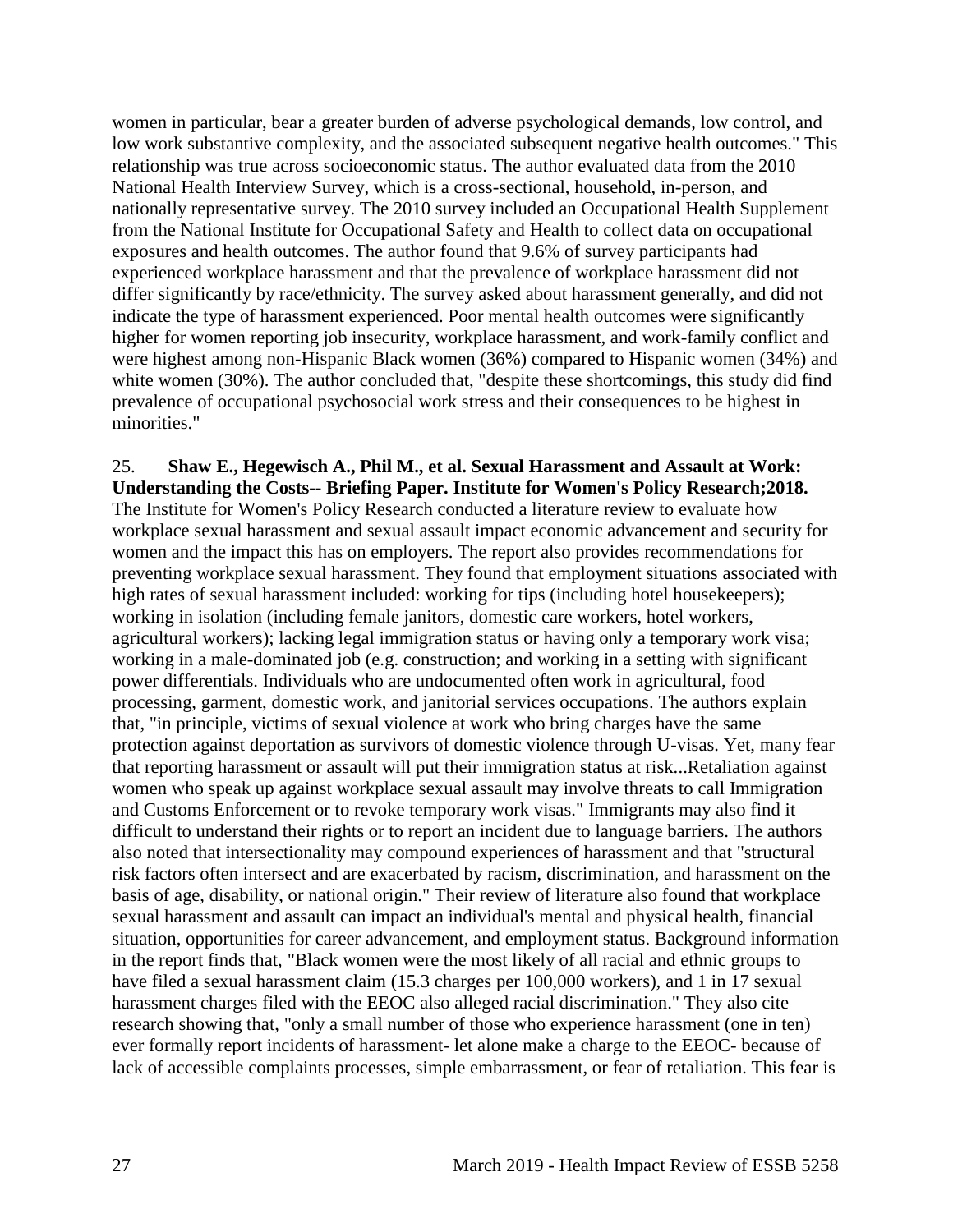women in particular, bear a greater burden of adverse psychological demands, low control, and low work substantive complexity, and the associated subsequent negative health outcomes." This relationship was true across socioeconomic status. The author evaluated data from the 2010 National Health Interview Survey, which is a cross-sectional, household, in-person, and nationally representative survey. The 2010 survey included an Occupational Health Supplement from the National Institute for Occupational Safety and Health to collect data on occupational exposures and health outcomes. The author found that 9.6% of survey participants had experienced workplace harassment and that the prevalence of workplace harassment did not differ significantly by race/ethnicity. The survey asked about harassment generally, and did not indicate the type of harassment experienced. Poor mental health outcomes were significantly higher for women reporting job insecurity, workplace harassment, and work-family conflict and were highest among non-Hispanic Black women (36%) compared to Hispanic women (34%) and white women (30%). The author concluded that, "despite these shortcomings, this study did find prevalence of occupational psychosocial work stress and their consequences to be highest in minorities."

<span id="page-29-0"></span>25. **Shaw E., Hegewisch A., Phil M., et al. Sexual Harassment and Assault at Work: Understanding the Costs-- Briefing Paper. Institute for Women's Policy Research;2018.** The Institute for Women's Policy Research conducted a literature review to evaluate how workplace sexual harassment and sexual assault impact economic advancement and security for women and the impact this has on employers. The report also provides recommendations for preventing workplace sexual harassment. They found that employment situations associated with high rates of sexual harassment included: working for tips (including hotel housekeepers); working in isolation (including female janitors, domestic care workers, hotel workers, agricultural workers); lacking legal immigration status or having only a temporary work visa; working in a male-dominated job (e.g. construction; and working in a setting with significant power differentials. Individuals who are undocumented often work in agricultural, food processing, garment, domestic work, and janitorial services occupations. The authors explain that, "in principle, victims of sexual violence at work who bring charges have the same protection against deportation as survivors of domestic violence through U-visas. Yet, many fear that reporting harassment or assault will put their immigration status at risk...Retaliation against women who speak up against workplace sexual assault may involve threats to call Immigration and Customs Enforcement or to revoke temporary work visas." Immigrants may also find it difficult to understand their rights or to report an incident due to language barriers. The authors also noted that intersectionality may compound experiences of harassment and that "structural risk factors often intersect and are exacerbated by racism, discrimination, and harassment on the basis of age, disability, or national origin." Their review of literature also found that workplace sexual harassment and assault can impact an individual's mental and physical health, financial situation, opportunities for career advancement, and employment status. Background information in the report finds that, "Black women were the most likely of all racial and ethnic groups to have filed a sexual harassment claim (15.3 charges per 100,000 workers), and 1 in 17 sexual harassment charges filed with the EEOC also alleged racial discrimination." They also cite research showing that, "only a small number of those who experience harassment (one in ten) ever formally report incidents of harassment- let alone make a charge to the EEOC- because of lack of accessible complaints processes, simple embarrassment, or fear of retaliation. This fear is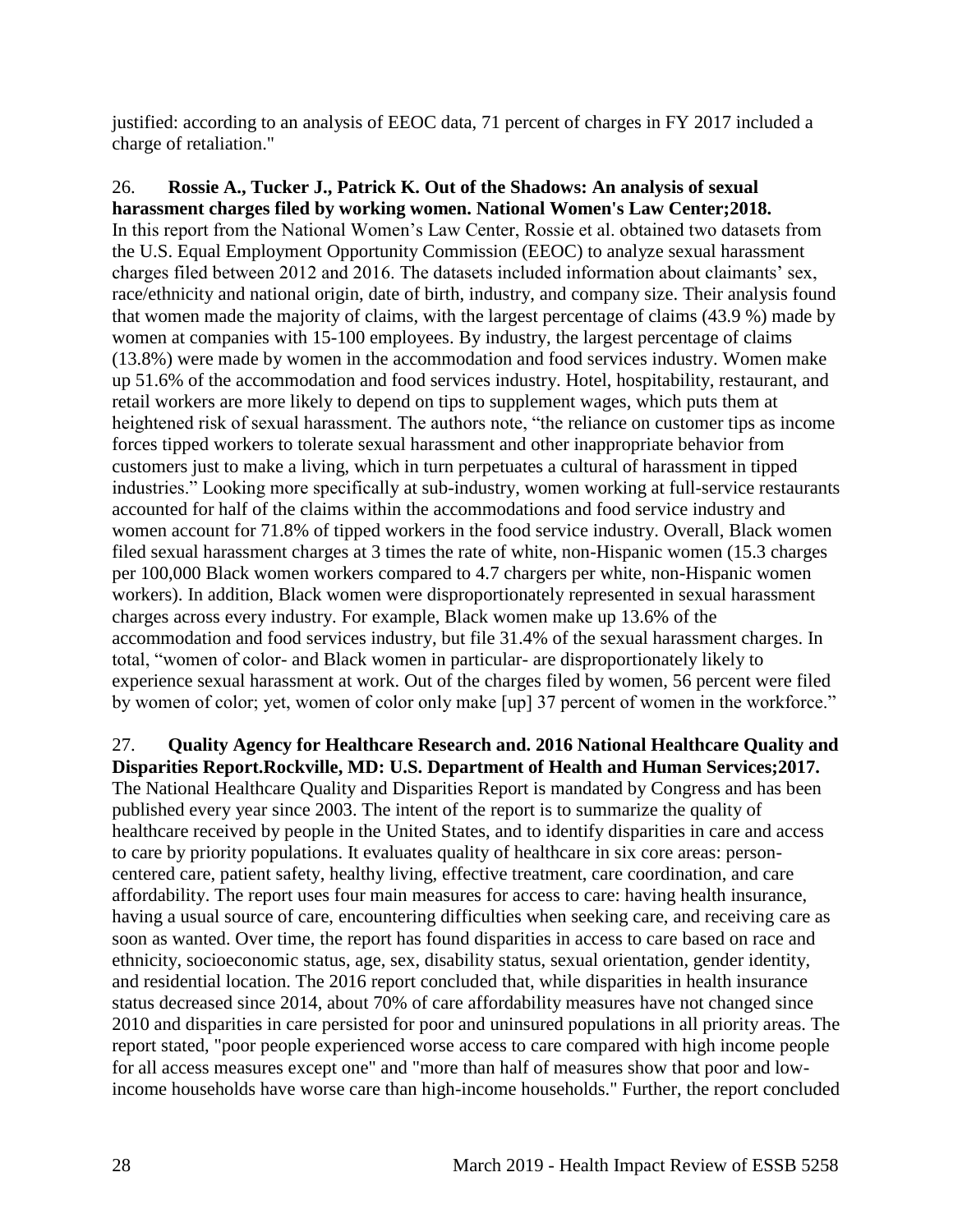justified: according to an analysis of EEOC data, 71 percent of charges in FY 2017 included a charge of retaliation."

<span id="page-30-0"></span>26. **Rossie A., Tucker J., Patrick K. Out of the Shadows: An analysis of sexual harassment charges filed by working women. National Women's Law Center;2018.** In this report from the National Women's Law Center, Rossie et al. obtained two datasets from the U.S. Equal Employment Opportunity Commission (EEOC) to analyze sexual harassment charges filed between 2012 and 2016. The datasets included information about claimants' sex, race/ethnicity and national origin, date of birth, industry, and company size. Their analysis found that women made the majority of claims, with the largest percentage of claims (43.9 %) made by women at companies with 15-100 employees. By industry, the largest percentage of claims (13.8%) were made by women in the accommodation and food services industry. Women make up 51.6% of the accommodation and food services industry. Hotel, hospitability, restaurant, and retail workers are more likely to depend on tips to supplement wages, which puts them at heightened risk of sexual harassment. The authors note, "the reliance on customer tips as income forces tipped workers to tolerate sexual harassment and other inappropriate behavior from customers just to make a living, which in turn perpetuates a cultural of harassment in tipped industries." Looking more specifically at sub-industry, women working at full-service restaurants accounted for half of the claims within the accommodations and food service industry and women account for 71.8% of tipped workers in the food service industry. Overall, Black women filed sexual harassment charges at 3 times the rate of white, non-Hispanic women (15.3 charges per 100,000 Black women workers compared to 4.7 chargers per white, non-Hispanic women workers). In addition, Black women were disproportionately represented in sexual harassment charges across every industry. For example, Black women make up 13.6% of the accommodation and food services industry, but file 31.4% of the sexual harassment charges. In total, "women of color- and Black women in particular- are disproportionately likely to experience sexual harassment at work. Out of the charges filed by women, 56 percent were filed by women of color; yet, women of color only make [up] 37 percent of women in the workforce."

27. **Quality Agency for Healthcare Research and. 2016 National Healthcare Quality and Disparities Report.Rockville, MD: U.S. Department of Health and Human Services;2017.** The National Healthcare Quality and Disparities Report is mandated by Congress and has been published every year since 2003. The intent of the report is to summarize the quality of healthcare received by people in the United States, and to identify disparities in care and access to care by priority populations. It evaluates quality of healthcare in six core areas: personcentered care, patient safety, healthy living, effective treatment, care coordination, and care affordability. The report uses four main measures for access to care: having health insurance, having a usual source of care, encountering difficulties when seeking care, and receiving care as soon as wanted. Over time, the report has found disparities in access to care based on race and ethnicity, socioeconomic status, age, sex, disability status, sexual orientation, gender identity, and residential location. The 2016 report concluded that, while disparities in health insurance status decreased since 2014, about 70% of care affordability measures have not changed since 2010 and disparities in care persisted for poor and uninsured populations in all priority areas. The report stated, "poor people experienced worse access to care compared with high income people for all access measures except one" and "more than half of measures show that poor and lowincome households have worse care than high-income households." Further, the report concluded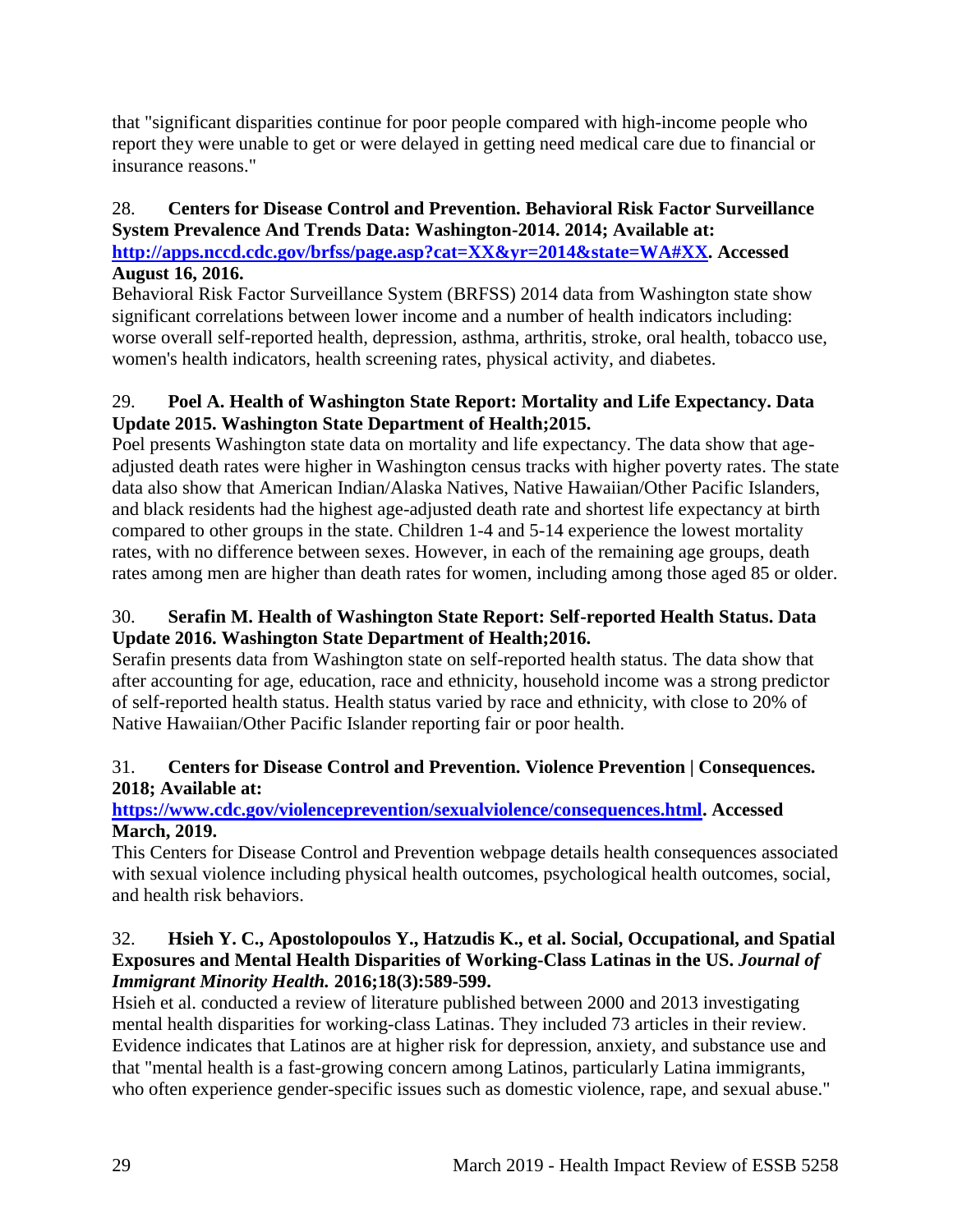that "significant disparities continue for poor people compared with high-income people who report they were unable to get or were delayed in getting need medical care due to financial or insurance reasons."

# 28. **Centers for Disease Control and Prevention. Behavioral Risk Factor Surveillance System Prevalence And Trends Data: Washington-2014. 2014; Available at:**

**[http://apps.nccd.cdc.gov/brfss/page.asp?cat=XX&yr=2014&state=WA#XX.](http://apps.nccd.cdc.gov/brfss/page.asp?cat=XX&yr=2014&state=WA#XX) Accessed August 16, 2016.**

Behavioral Risk Factor Surveillance System (BRFSS) 2014 data from Washington state show significant correlations between lower income and a number of health indicators including: worse overall self-reported health, depression, asthma, arthritis, stroke, oral health, tobacco use, women's health indicators, health screening rates, physical activity, and diabetes.

# <span id="page-31-1"></span>29. **Poel A. Health of Washington State Report: Mortality and Life Expectancy. Data Update 2015. Washington State Department of Health;2015.**

Poel presents Washington state data on mortality and life expectancy. The data show that ageadjusted death rates were higher in Washington census tracks with higher poverty rates. The state data also show that American Indian/Alaska Natives, Native Hawaiian/Other Pacific Islanders, and black residents had the highest age-adjusted death rate and shortest life expectancy at birth compared to other groups in the state. Children 1-4 and 5-14 experience the lowest mortality rates, with no difference between sexes. However, in each of the remaining age groups, death rates among men are higher than death rates for women, including among those aged 85 or older.

# 30. **Serafin M. Health of Washington State Report: Self-reported Health Status. Data Update 2016. Washington State Department of Health;2016.**

Serafin presents data from Washington state on self-reported health status. The data show that after accounting for age, education, race and ethnicity, household income was a strong predictor of self-reported health status. Health status varied by race and ethnicity, with close to 20% of Native Hawaiian/Other Pacific Islander reporting fair or poor health.

# <span id="page-31-0"></span>31. **Centers for Disease Control and Prevention. Violence Prevention | Consequences. 2018; Available at:**

# **[https://www.cdc.gov/violenceprevention/sexualviolence/consequences.html.](https://www.cdc.gov/violenceprevention/sexualviolence/consequences.html) Accessed March, 2019.**

This Centers for Disease Control and Prevention webpage details health consequences associated with sexual violence including physical health outcomes, psychological health outcomes, social, and health risk behaviors.

## <span id="page-31-2"></span>32. **Hsieh Y. C., Apostolopoulos Y., Hatzudis K., et al. Social, Occupational, and Spatial Exposures and Mental Health Disparities of Working-Class Latinas in the US.** *Journal of Immigrant Minority Health.* **2016;18(3):589-599.**

Hsieh et al. conducted a review of literature published between 2000 and 2013 investigating mental health disparities for working-class Latinas. They included 73 articles in their review. Evidence indicates that Latinos are at higher risk for depression, anxiety, and substance use and that "mental health is a fast-growing concern among Latinos, particularly Latina immigrants, who often experience gender-specific issues such as domestic violence, rape, and sexual abuse."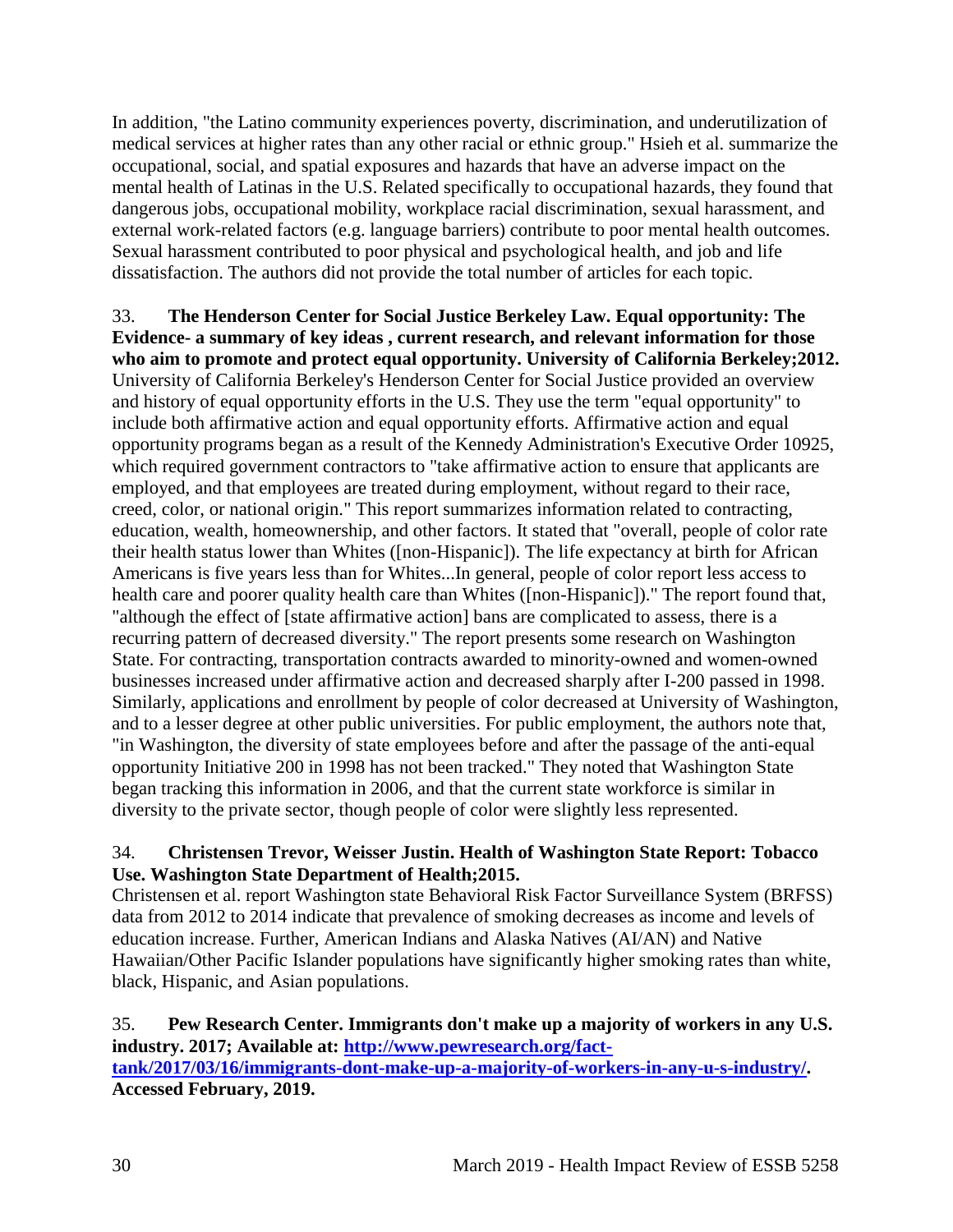In addition, "the Latino community experiences poverty, discrimination, and underutilization of medical services at higher rates than any other racial or ethnic group." Hsieh et al. summarize the occupational, social, and spatial exposures and hazards that have an adverse impact on the mental health of Latinas in the U.S. Related specifically to occupational hazards, they found that dangerous jobs, occupational mobility, workplace racial discrimination, sexual harassment, and external work-related factors (e.g. language barriers) contribute to poor mental health outcomes. Sexual harassment contributed to poor physical and psychological health, and job and life dissatisfaction. The authors did not provide the total number of articles for each topic.

33. **The Henderson Center for Social Justice Berkeley Law. Equal opportunity: The Evidence- a summary of key ideas , current research, and relevant information for those who aim to promote and protect equal opportunity. University of California Berkeley;2012.** University of California Berkeley's Henderson Center for Social Justice provided an overview and history of equal opportunity efforts in the U.S. They use the term "equal opportunity" to include both affirmative action and equal opportunity efforts. Affirmative action and equal opportunity programs began as a result of the Kennedy Administration's Executive Order 10925, which required government contractors to "take affirmative action to ensure that applicants are employed, and that employees are treated during employment, without regard to their race, creed, color, or national origin." This report summarizes information related to contracting, education, wealth, homeownership, and other factors. It stated that "overall, people of color rate their health status lower than Whites ([non-Hispanic]). The life expectancy at birth for African Americans is five years less than for Whites...In general, people of color report less access to health care and poorer quality health care than Whites ([non-Hispanic])." The report found that, "although the effect of [state affirmative action] bans are complicated to assess, there is a recurring pattern of decreased diversity." The report presents some research on Washington State. For contracting, transportation contracts awarded to minority-owned and women-owned businesses increased under affirmative action and decreased sharply after I-200 passed in 1998. Similarly, applications and enrollment by people of color decreased at University of Washington, and to a lesser degree at other public universities. For public employment, the authors note that, "in Washington, the diversity of state employees before and after the passage of the anti-equal opportunity Initiative 200 in 1998 has not been tracked." They noted that Washington State began tracking this information in 2006, and that the current state workforce is similar in diversity to the private sector, though people of color were slightly less represented.

## <span id="page-32-1"></span>34. **Christensen Trevor, Weisser Justin. Health of Washington State Report: Tobacco Use. Washington State Department of Health;2015.**

Christensen et al. report Washington state Behavioral Risk Factor Surveillance System (BRFSS) data from 2012 to 2014 indicate that prevalence of smoking decreases as income and levels of education increase. Further, American Indians and Alaska Natives (AI/AN) and Native Hawaiian/Other Pacific Islander populations have significantly higher smoking rates than white, black, Hispanic, and Asian populations.

#### <span id="page-32-0"></span>35. **Pew Research Center. Immigrants don't make up a majority of workers in any U.S. industry. 2017; Available at: [http://www.pewresearch.org/fact](http://www.pewresearch.org/fact-tank/2017/03/16/immigrants-dont-make-up-a-majority-of-workers-in-any-u-s-industry/)[tank/2017/03/16/immigrants-dont-make-up-a-majority-of-workers-in-any-u-s-industry/.](http://www.pewresearch.org/fact-tank/2017/03/16/immigrants-dont-make-up-a-majority-of-workers-in-any-u-s-industry/) Accessed February, 2019.**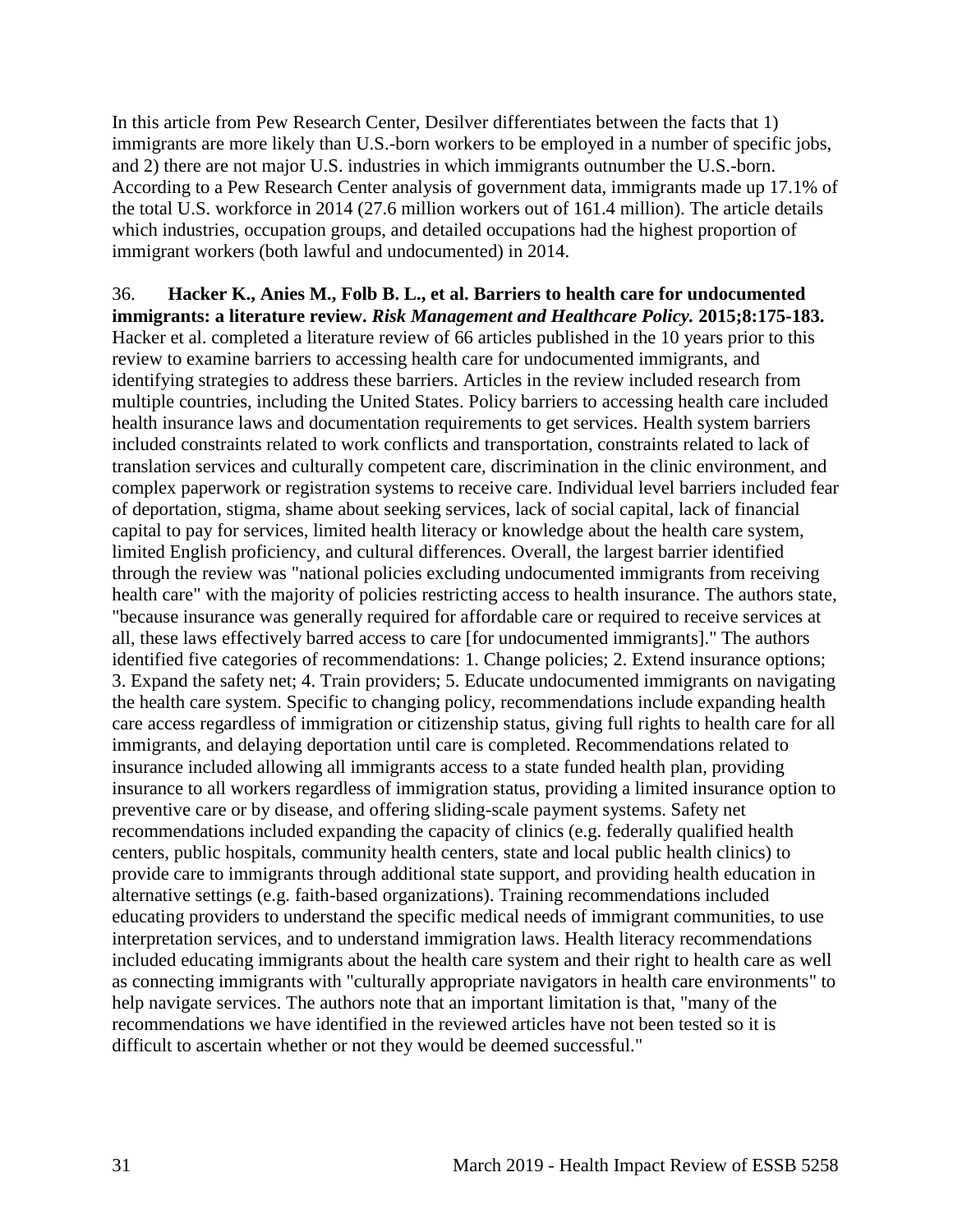In this article from Pew Research Center, Desilver differentiates between the facts that 1) immigrants are more likely than U.S.-born workers to be employed in a number of specific jobs, and 2) there are not major U.S. industries in which immigrants outnumber the U.S.-born. According to a Pew Research Center analysis of government data, immigrants made up 17.1% of the total U.S. workforce in 2014 (27.6 million workers out of 161.4 million). The article details which industries, occupation groups, and detailed occupations had the highest proportion of immigrant workers (both lawful and undocumented) in 2014.

36. **Hacker K., Anies M., Folb B. L., et al. Barriers to health care for undocumented immigrants: a literature review.** *Risk Management and Healthcare Policy.* **2015;8:175-183.** Hacker et al. completed a literature review of 66 articles published in the 10 years prior to this review to examine barriers to accessing health care for undocumented immigrants, and identifying strategies to address these barriers. Articles in the review included research from multiple countries, including the United States. Policy barriers to accessing health care included health insurance laws and documentation requirements to get services. Health system barriers included constraints related to work conflicts and transportation, constraints related to lack of translation services and culturally competent care, discrimination in the clinic environment, and complex paperwork or registration systems to receive care. Individual level barriers included fear of deportation, stigma, shame about seeking services, lack of social capital, lack of financial capital to pay for services, limited health literacy or knowledge about the health care system, limited English proficiency, and cultural differences. Overall, the largest barrier identified through the review was "national policies excluding undocumented immigrants from receiving health care" with the majority of policies restricting access to health insurance. The authors state, "because insurance was generally required for affordable care or required to receive services at all, these laws effectively barred access to care [for undocumented immigrants]." The authors identified five categories of recommendations: 1. Change policies; 2. Extend insurance options; 3. Expand the safety net; 4. Train providers; 5. Educate undocumented immigrants on navigating the health care system. Specific to changing policy, recommendations include expanding health care access regardless of immigration or citizenship status, giving full rights to health care for all immigrants, and delaying deportation until care is completed. Recommendations related to insurance included allowing all immigrants access to a state funded health plan, providing insurance to all workers regardless of immigration status, providing a limited insurance option to preventive care or by disease, and offering sliding-scale payment systems. Safety net recommendations included expanding the capacity of clinics (e.g. federally qualified health centers, public hospitals, community health centers, state and local public health clinics) to provide care to immigrants through additional state support, and providing health education in alternative settings (e.g. faith-based organizations). Training recommendations included educating providers to understand the specific medical needs of immigrant communities, to use interpretation services, and to understand immigration laws. Health literacy recommendations included educating immigrants about the health care system and their right to health care as well as connecting immigrants with "culturally appropriate navigators in health care environments" to help navigate services. The authors note that an important limitation is that, "many of the recommendations we have identified in the reviewed articles have not been tested so it is difficult to ascertain whether or not they would be deemed successful."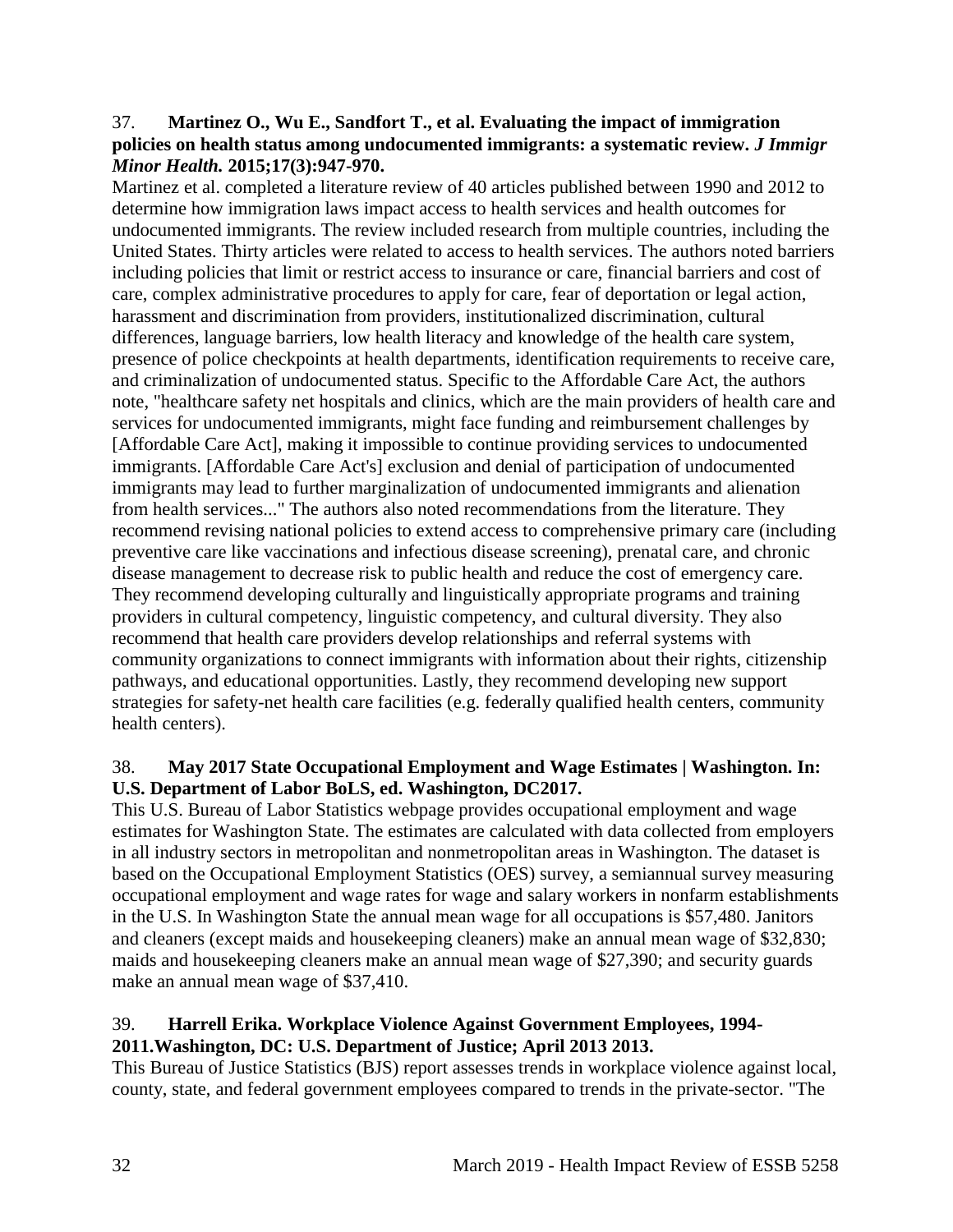#### 37. **Martinez O., Wu E., Sandfort T., et al. Evaluating the impact of immigration policies on health status among undocumented immigrants: a systematic review.** *J Immigr Minor Health.* **2015;17(3):947-970.**

Martinez et al. completed a literature review of 40 articles published between 1990 and 2012 to determine how immigration laws impact access to health services and health outcomes for undocumented immigrants. The review included research from multiple countries, including the United States. Thirty articles were related to access to health services. The authors noted barriers including policies that limit or restrict access to insurance or care, financial barriers and cost of care, complex administrative procedures to apply for care, fear of deportation or legal action, harassment and discrimination from providers, institutionalized discrimination, cultural differences, language barriers, low health literacy and knowledge of the health care system, presence of police checkpoints at health departments, identification requirements to receive care, and criminalization of undocumented status. Specific to the Affordable Care Act, the authors note, "healthcare safety net hospitals and clinics, which are the main providers of health care and services for undocumented immigrants, might face funding and reimbursement challenges by [Affordable Care Act], making it impossible to continue providing services to undocumented immigrants. [Affordable Care Act's] exclusion and denial of participation of undocumented immigrants may lead to further marginalization of undocumented immigrants and alienation from health services..." The authors also noted recommendations from the literature. They recommend revising national policies to extend access to comprehensive primary care (including preventive care like vaccinations and infectious disease screening), prenatal care, and chronic disease management to decrease risk to public health and reduce the cost of emergency care. They recommend developing culturally and linguistically appropriate programs and training providers in cultural competency, linguistic competency, and cultural diversity. They also recommend that health care providers develop relationships and referral systems with community organizations to connect immigrants with information about their rights, citizenship pathways, and educational opportunities. Lastly, they recommend developing new support strategies for safety-net health care facilities (e.g. federally qualified health centers, community health centers).

## 38. **May 2017 State Occupational Employment and Wage Estimates | Washington. In: U.S. Department of Labor BoLS, ed. Washington, DC2017.**

This U.S. Bureau of Labor Statistics webpage provides occupational employment and wage estimates for Washington State. The estimates are calculated with data collected from employers in all industry sectors in metropolitan and nonmetropolitan areas in Washington. The dataset is based on the Occupational Employment Statistics (OES) survey, a semiannual survey measuring occupational employment and wage rates for wage and salary workers in nonfarm establishments in the U.S. In Washington State the annual mean wage for all occupations is \$57,480. Janitors and cleaners (except maids and housekeeping cleaners) make an annual mean wage of \$32,830; maids and housekeeping cleaners make an annual mean wage of \$27,390; and security guards make an annual mean wage of \$37,410.

# 39. **Harrell Erika. Workplace Violence Against Government Employees, 1994-**

# **2011.Washington, DC: U.S. Department of Justice; April 2013 2013.**

This Bureau of Justice Statistics (BJS) report assesses trends in workplace violence against local, county, state, and federal government employees compared to trends in the private-sector. "The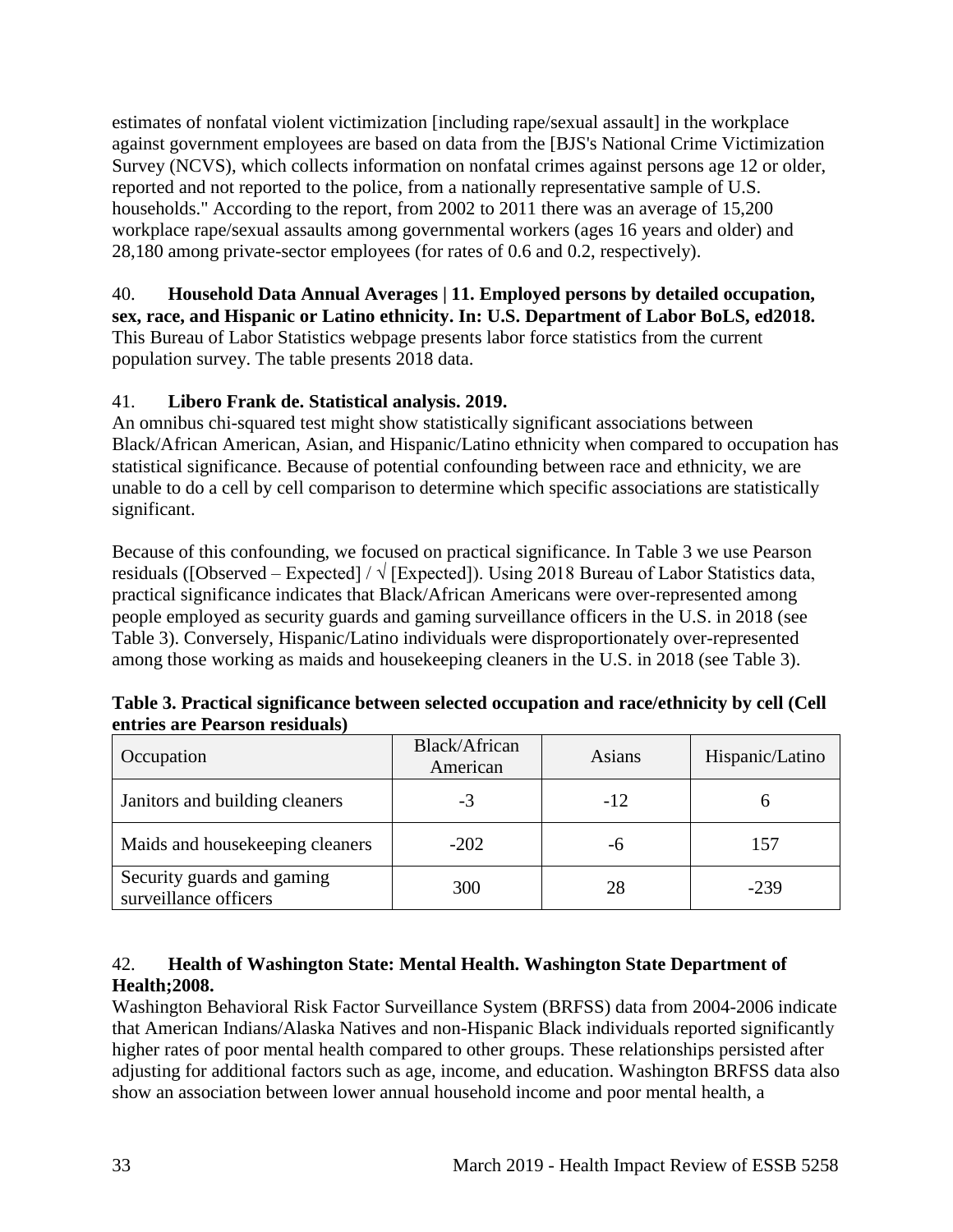estimates of nonfatal violent victimization [including rape/sexual assault] in the workplace against government employees are based on data from the [BJS's National Crime Victimization Survey (NCVS), which collects information on nonfatal crimes against persons age 12 or older, reported and not reported to the police, from a nationally representative sample of U.S. households." According to the report, from 2002 to 2011 there was an average of 15,200 workplace rape/sexual assaults among governmental workers (ages 16 years and older) and 28,180 among private-sector employees (for rates of 0.6 and 0.2, respectively).

40. **Household Data Annual Averages | 11. Employed persons by detailed occupation, sex, race, and Hispanic or Latino ethnicity. In: U.S. Department of Labor BoLS, ed2018.** This Bureau of Labor Statistics webpage presents labor force statistics from the current population survey. The table presents 2018 data.

# 41. **Libero Frank de. Statistical analysis. 2019.**

An omnibus chi-squared test might show statistically significant associations between Black/African American, Asian, and Hispanic/Latino ethnicity when compared to occupation has statistical significance. Because of potential confounding between race and ethnicity, we are unable to do a cell by cell comparison to determine which specific associations are statistically significant.

Because of this confounding, we focused on practical significance. In Table 3 we use Pearson residuals ([Observed – Expected] /  $\sqrt{\text{[Expected]}}$ . Using 2018 Bureau of Labor Statistics data, practical significance indicates that Black/African Americans were over-represented among people employed as security guards and gaming surveillance officers in the U.S. in 2018 (see Table 3). Conversely, Hispanic/Latino individuals were disproportionately over-represented among those working as maids and housekeeping cleaners in the U.S. in 2018 (see Table 3).

| Occupation                                          | Black/African<br>American | Asians | Hispanic/Latino |
|-----------------------------------------------------|---------------------------|--------|-----------------|
| Janitors and building cleaners                      | -3                        | $-12$  |                 |
| Maids and housekeeping cleaners                     | $-202$                    | -6     | 157             |
| Security guards and gaming<br>surveillance officers | 300                       | 28     | $-239$          |

**Table 3. Practical significance between selected occupation and race/ethnicity by cell (Cell entries are Pearson residuals)**

# <span id="page-35-0"></span>42. **Health of Washington State: Mental Health. Washington State Department of Health;2008.**

Washington Behavioral Risk Factor Surveillance System (BRFSS) data from 2004-2006 indicate that American Indians/Alaska Natives and non-Hispanic Black individuals reported significantly higher rates of poor mental health compared to other groups. These relationships persisted after adjusting for additional factors such as age, income, and education. Washington BRFSS data also show an association between lower annual household income and poor mental health, a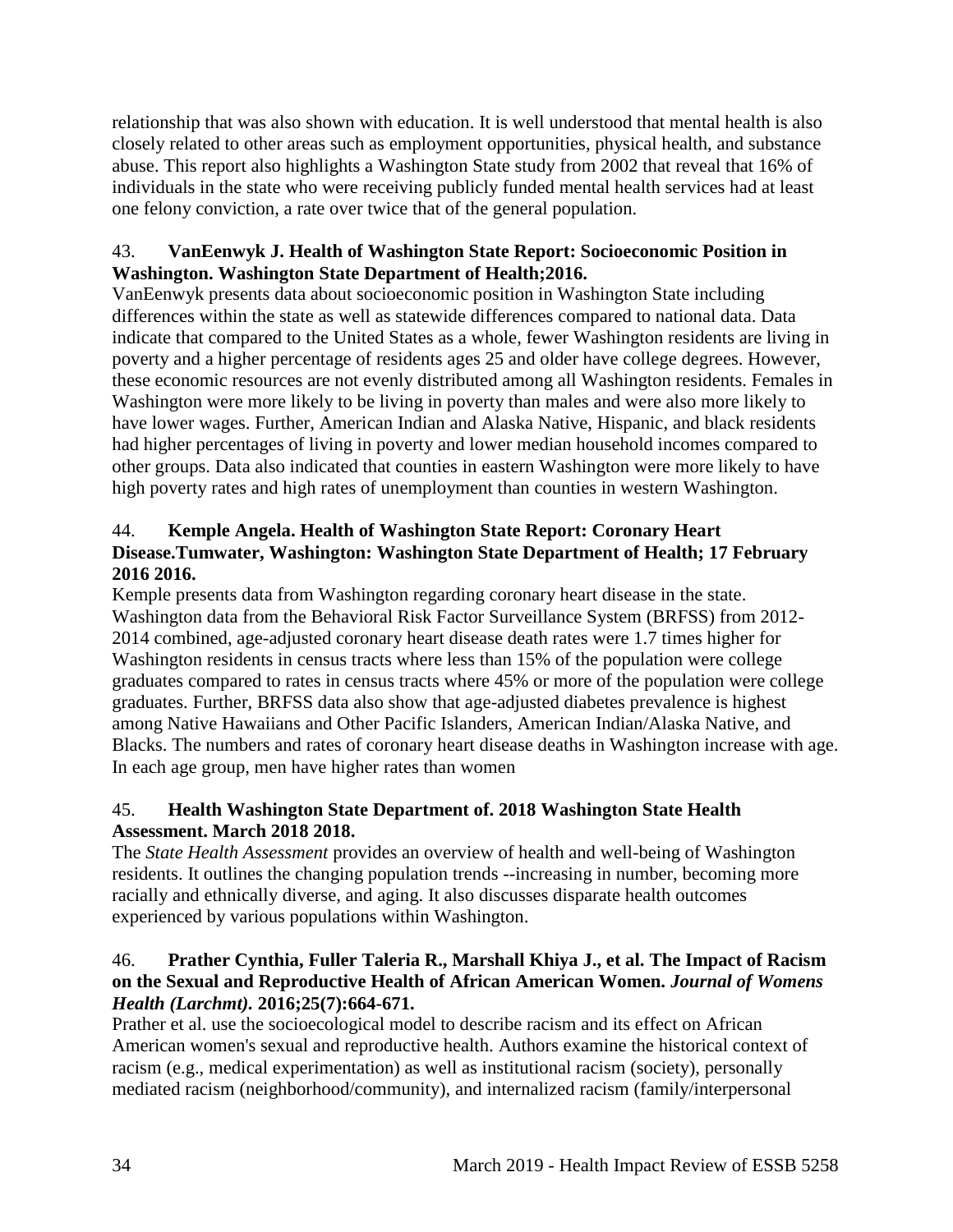relationship that was also shown with education. It is well understood that mental health is also closely related to other areas such as employment opportunities, physical health, and substance abuse. This report also highlights a Washington State study from 2002 that reveal that 16% of individuals in the state who were receiving publicly funded mental health services had at least one felony conviction, a rate over twice that of the general population.

## <span id="page-36-0"></span>43. **VanEenwyk J. Health of Washington State Report: Socioeconomic Position in Washington. Washington State Department of Health;2016.**

VanEenwyk presents data about socioeconomic position in Washington State including differences within the state as well as statewide differences compared to national data. Data indicate that compared to the United States as a whole, fewer Washington residents are living in poverty and a higher percentage of residents ages 25 and older have college degrees. However, these economic resources are not evenly distributed among all Washington residents. Females in Washington were more likely to be living in poverty than males and were also more likely to have lower wages. Further, American Indian and Alaska Native, Hispanic, and black residents had higher percentages of living in poverty and lower median household incomes compared to other groups. Data also indicated that counties in eastern Washington were more likely to have high poverty rates and high rates of unemployment than counties in western Washington.

# <span id="page-36-1"></span>44. **Kemple Angela. Health of Washington State Report: Coronary Heart Disease.Tumwater, Washington: Washington State Department of Health; 17 February 2016 2016.**

Kemple presents data from Washington regarding coronary heart disease in the state. Washington data from the Behavioral Risk Factor Surveillance System (BRFSS) from 2012- 2014 combined, age-adjusted coronary heart disease death rates were 1.7 times higher for Washington residents in census tracts where less than 15% of the population were college graduates compared to rates in census tracts where 45% or more of the population were college graduates. Further, BRFSS data also show that age-adjusted diabetes prevalence is highest among Native Hawaiians and Other Pacific Islanders, American Indian/Alaska Native, and Blacks. The numbers and rates of coronary heart disease deaths in Washington increase with age. In each age group, men have higher rates than women

# 45. **Health Washington State Department of. 2018 Washington State Health Assessment. March 2018 2018.**

The *State Health Assessment* provides an overview of health and well-being of Washington residents. It outlines the changing population trends --increasing in number, becoming more racially and ethnically diverse, and aging. It also discusses disparate health outcomes experienced by various populations within Washington.

# 46. **Prather Cynthia, Fuller Taleria R., Marshall Khiya J., et al. The Impact of Racism on the Sexual and Reproductive Health of African American Women.** *Journal of Womens Health (Larchmt).* **2016;25(7):664-671.**

Prather et al. use the socioecological model to describe racism and its effect on African American women's sexual and reproductive health. Authors examine the historical context of racism (e.g., medical experimentation) as well as institutional racism (society), personally mediated racism (neighborhood/community), and internalized racism (family/interpersonal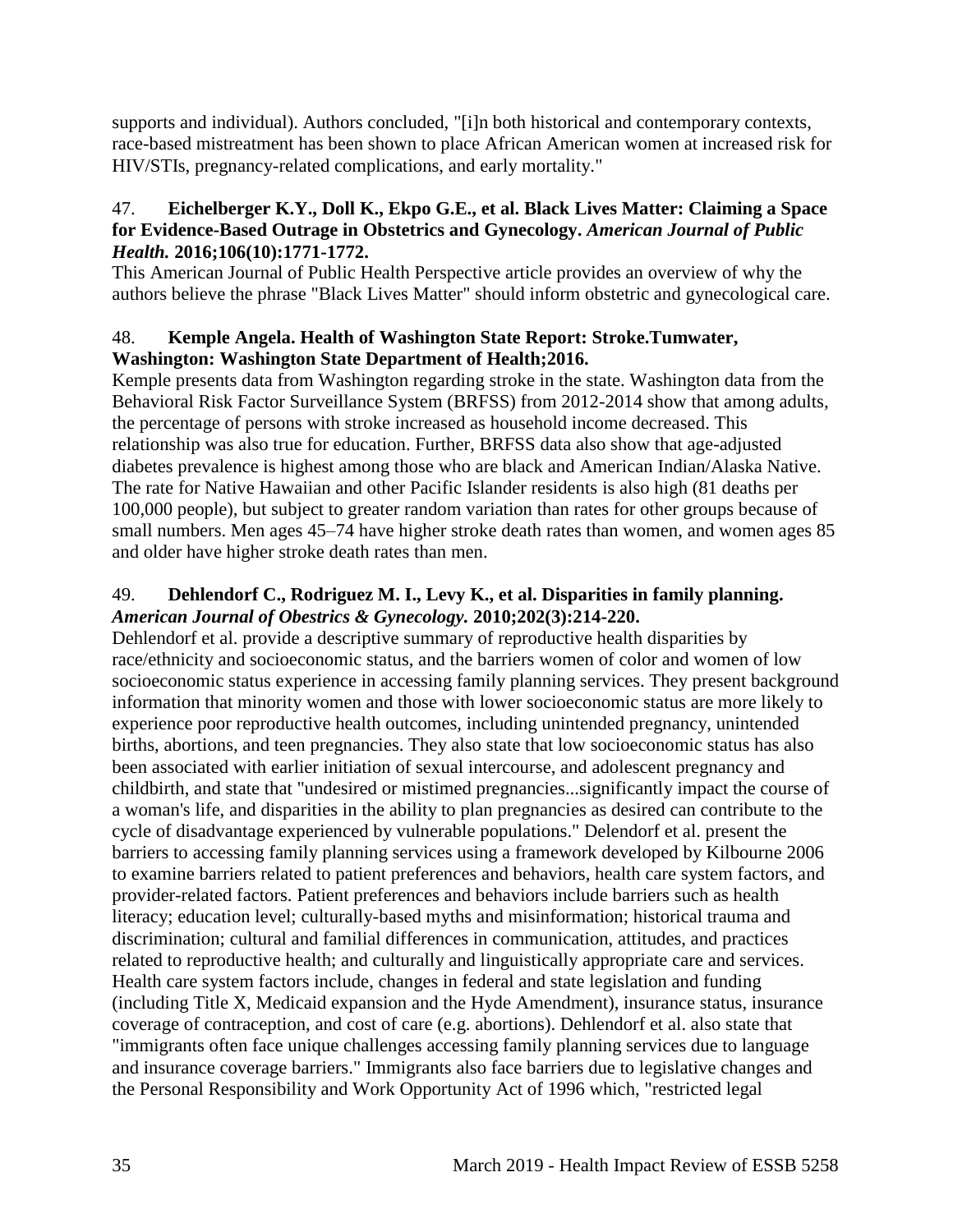supports and individual). Authors concluded, "[i]n both historical and contemporary contexts, race-based mistreatment has been shown to place African American women at increased risk for HIV/STIs, pregnancy-related complications, and early mortality."

## 47. **Eichelberger K.Y., Doll K., Ekpo G.E., et al. Black Lives Matter: Claiming a Space for Evidence-Based Outrage in Obstetrics and Gynecology.** *American Journal of Public Health.* **2016;106(10):1771-1772.**

This American Journal of Public Health Perspective article provides an overview of why the authors believe the phrase "Black Lives Matter" should inform obstetric and gynecological care.

# 48. **Kemple Angela. Health of Washington State Report: Stroke.Tumwater, Washington: Washington State Department of Health;2016.**

Kemple presents data from Washington regarding stroke in the state. Washington data from the Behavioral Risk Factor Surveillance System (BRFSS) from 2012-2014 show that among adults, the percentage of persons with stroke increased as household income decreased. This relationship was also true for education. Further, BRFSS data also show that age-adjusted diabetes prevalence is highest among those who are black and American Indian/Alaska Native. The rate for Native Hawaiian and other Pacific Islander residents is also high (81 deaths per 100,000 people), but subject to greater random variation than rates for other groups because of small numbers. Men ages 45–74 have higher stroke death rates than women, and women ages 85 and older have higher stroke death rates than men.

# 49. **Dehlendorf C., Rodriguez M. I., Levy K., et al. Disparities in family planning.**  *American Journal of Obestrics & Gynecology.* **2010;202(3):214-220.**

Dehlendorf et al. provide a descriptive summary of reproductive health disparities by race/ethnicity and socioeconomic status, and the barriers women of color and women of low socioeconomic status experience in accessing family planning services. They present background information that minority women and those with lower socioeconomic status are more likely to experience poor reproductive health outcomes, including unintended pregnancy, unintended births, abortions, and teen pregnancies. They also state that low socioeconomic status has also been associated with earlier initiation of sexual intercourse, and adolescent pregnancy and childbirth, and state that "undesired or mistimed pregnancies...significantly impact the course of a woman's life, and disparities in the ability to plan pregnancies as desired can contribute to the cycle of disadvantage experienced by vulnerable populations." Delendorf et al. present the barriers to accessing family planning services using a framework developed by Kilbourne 2006 to examine barriers related to patient preferences and behaviors, health care system factors, and provider-related factors. Patient preferences and behaviors include barriers such as health literacy; education level; culturally-based myths and misinformation; historical trauma and discrimination; cultural and familial differences in communication, attitudes, and practices related to reproductive health; and culturally and linguistically appropriate care and services. Health care system factors include, changes in federal and state legislation and funding (including Title X, Medicaid expansion and the Hyde Amendment), insurance status, insurance coverage of contraception, and cost of care (e.g. abortions). Dehlendorf et al. also state that "immigrants often face unique challenges accessing family planning services due to language and insurance coverage barriers." Immigrants also face barriers due to legislative changes and the Personal Responsibility and Work Opportunity Act of 1996 which, "restricted legal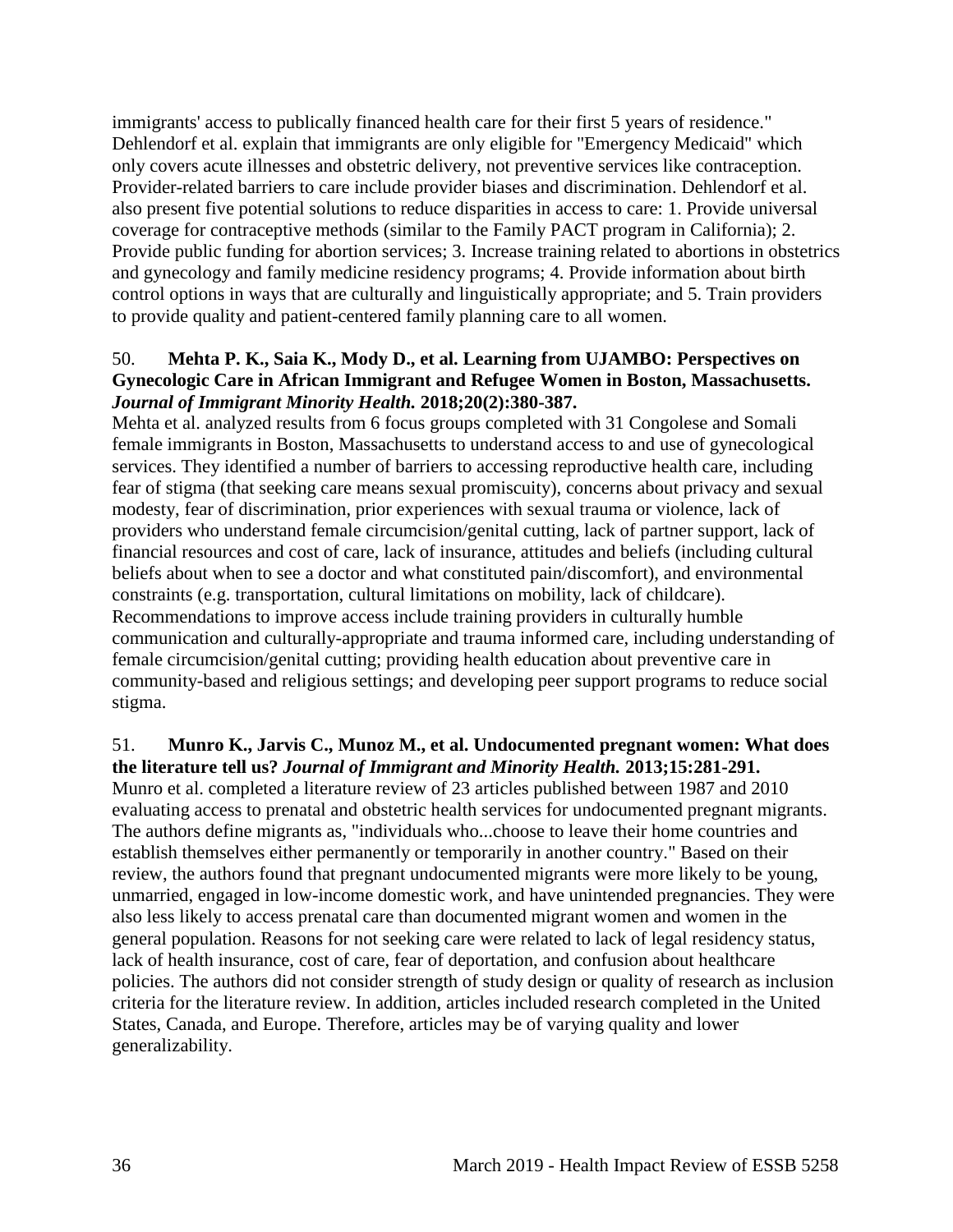immigrants' access to publically financed health care for their first 5 years of residence." Dehlendorf et al. explain that immigrants are only eligible for "Emergency Medicaid" which only covers acute illnesses and obstetric delivery, not preventive services like contraception. Provider-related barriers to care include provider biases and discrimination. Dehlendorf et al. also present five potential solutions to reduce disparities in access to care: 1. Provide universal coverage for contraceptive methods (similar to the Family PACT program in California); 2. Provide public funding for abortion services; 3. Increase training related to abortions in obstetrics and gynecology and family medicine residency programs; 4. Provide information about birth control options in ways that are culturally and linguistically appropriate; and 5. Train providers to provide quality and patient-centered family planning care to all women.

## 50. **Mehta P. K., Saia K., Mody D., et al. Learning from UJAMBO: Perspectives on Gynecologic Care in African Immigrant and Refugee Women in Boston, Massachusetts.**  *Journal of Immigrant Minority Health.* **2018;20(2):380-387.**

Mehta et al. analyzed results from 6 focus groups completed with 31 Congolese and Somali female immigrants in Boston, Massachusetts to understand access to and use of gynecological services. They identified a number of barriers to accessing reproductive health care, including fear of stigma (that seeking care means sexual promiscuity), concerns about privacy and sexual modesty, fear of discrimination, prior experiences with sexual trauma or violence, lack of providers who understand female circumcision/genital cutting, lack of partner support, lack of financial resources and cost of care, lack of insurance, attitudes and beliefs (including cultural beliefs about when to see a doctor and what constituted pain/discomfort), and environmental constraints (e.g. transportation, cultural limitations on mobility, lack of childcare). Recommendations to improve access include training providers in culturally humble communication and culturally-appropriate and trauma informed care, including understanding of female circumcision/genital cutting; providing health education about preventive care in community-based and religious settings; and developing peer support programs to reduce social stigma.

#### 51. **Munro K., Jarvis C., Munoz M., et al. Undocumented pregnant women: What does the literature tell us?** *Journal of Immigrant and Minority Health.* **2013;15:281-291.**

Munro et al. completed a literature review of 23 articles published between 1987 and 2010 evaluating access to prenatal and obstetric health services for undocumented pregnant migrants. The authors define migrants as, "individuals who...choose to leave their home countries and establish themselves either permanently or temporarily in another country." Based on their review, the authors found that pregnant undocumented migrants were more likely to be young, unmarried, engaged in low-income domestic work, and have unintended pregnancies. They were also less likely to access prenatal care than documented migrant women and women in the general population. Reasons for not seeking care were related to lack of legal residency status, lack of health insurance, cost of care, fear of deportation, and confusion about healthcare policies. The authors did not consider strength of study design or quality of research as inclusion criteria for the literature review. In addition, articles included research completed in the United States, Canada, and Europe. Therefore, articles may be of varying quality and lower generalizability.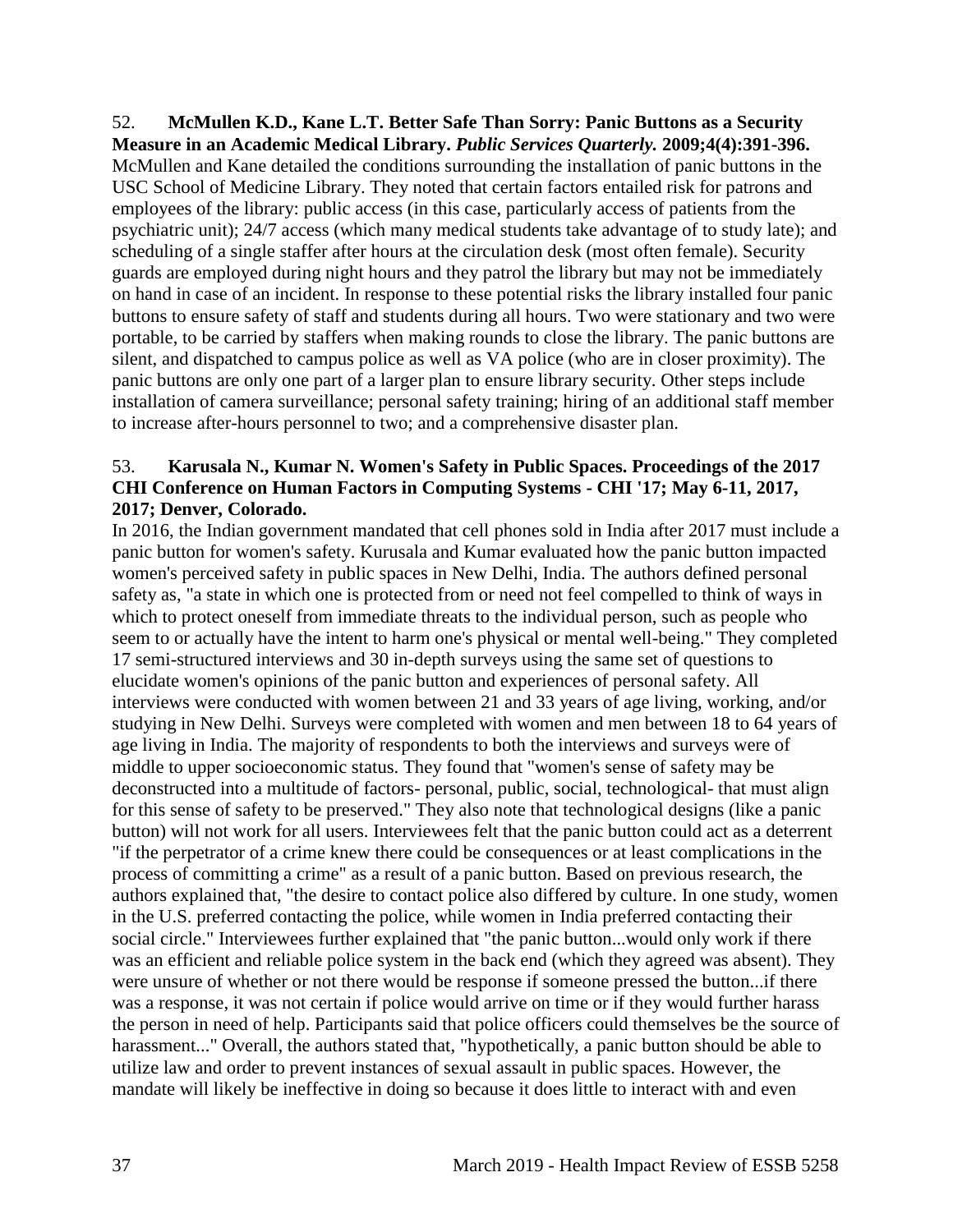<span id="page-39-0"></span>52. **McMullen K.D., Kane L.T. Better Safe Than Sorry: Panic Buttons as a Security Measure in an Academic Medical Library.** *Public Services Quarterly.* **2009;4(4):391-396.** McMullen and Kane detailed the conditions surrounding the installation of panic buttons in the USC School of Medicine Library. They noted that certain factors entailed risk for patrons and employees of the library: public access (in this case, particularly access of patients from the psychiatric unit); 24/7 access (which many medical students take advantage of to study late); and scheduling of a single staffer after hours at the circulation desk (most often female). Security guards are employed during night hours and they patrol the library but may not be immediately on hand in case of an incident. In response to these potential risks the library installed four panic buttons to ensure safety of staff and students during all hours. Two were stationary and two were portable, to be carried by staffers when making rounds to close the library. The panic buttons are silent, and dispatched to campus police as well as VA police (who are in closer proximity). The panic buttons are only one part of a larger plan to ensure library security. Other steps include installation of camera surveillance; personal safety training; hiring of an additional staff member to increase after-hours personnel to two; and a comprehensive disaster plan.

## 53. **Karusala N., Kumar N. Women's Safety in Public Spaces. Proceedings of the 2017 CHI Conference on Human Factors in Computing Systems - CHI '17; May 6-11, 2017, 2017; Denver, Colorado.**

In 2016, the Indian government mandated that cell phones sold in India after 2017 must include a panic button for women's safety. Kurusala and Kumar evaluated how the panic button impacted women's perceived safety in public spaces in New Delhi, India. The authors defined personal safety as, "a state in which one is protected from or need not feel compelled to think of ways in which to protect oneself from immediate threats to the individual person, such as people who seem to or actually have the intent to harm one's physical or mental well-being." They completed 17 semi-structured interviews and 30 in-depth surveys using the same set of questions to elucidate women's opinions of the panic button and experiences of personal safety. All interviews were conducted with women between 21 and 33 years of age living, working, and/or studying in New Delhi. Surveys were completed with women and men between 18 to 64 years of age living in India. The majority of respondents to both the interviews and surveys were of middle to upper socioeconomic status. They found that "women's sense of safety may be deconstructed into a multitude of factors- personal, public, social, technological- that must align for this sense of safety to be preserved." They also note that technological designs (like a panic button) will not work for all users. Interviewees felt that the panic button could act as a deterrent "if the perpetrator of a crime knew there could be consequences or at least complications in the process of committing a crime" as a result of a panic button. Based on previous research, the authors explained that, "the desire to contact police also differed by culture. In one study, women in the U.S. preferred contacting the police, while women in India preferred contacting their social circle." Interviewees further explained that "the panic button...would only work if there was an efficient and reliable police system in the back end (which they agreed was absent). They were unsure of whether or not there would be response if someone pressed the button...if there was a response, it was not certain if police would arrive on time or if they would further harass the person in need of help. Participants said that police officers could themselves be the source of harassment..." Overall, the authors stated that, "hypothetically, a panic button should be able to utilize law and order to prevent instances of sexual assault in public spaces. However, the mandate will likely be ineffective in doing so because it does little to interact with and even